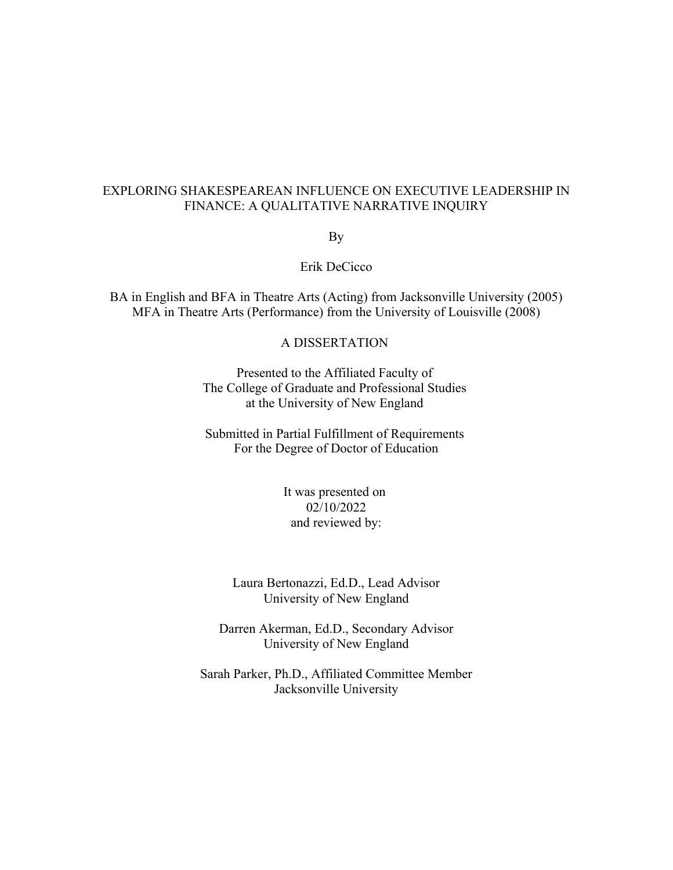## EXPLORING SHAKESPEAREAN INFLUENCE ON EXECUTIVE LEADERSHIP IN FINANCE: A QUALITATIVE NARRATIVE INQUIRY

By

Erik DeCicco

BA in English and BFA in Theatre Arts (Acting) from Jacksonville University (2005) MFA in Theatre Arts (Performance) from the University of Louisville (2008)

## A DISSERTATION

Presented to the Affiliated Faculty of The College of Graduate and Professional Studies at the University of New England

Submitted in Partial Fulfillment of Requirements For the Degree of Doctor of Education

> It was presented on 02/10/2022 and reviewed by:

Laura Bertonazzi, Ed.D., Lead Advisor University of New England

Darren Akerman, Ed.D., Secondary Advisor University of New England

Sarah Parker, Ph.D., Affiliated Committee Member Jacksonville University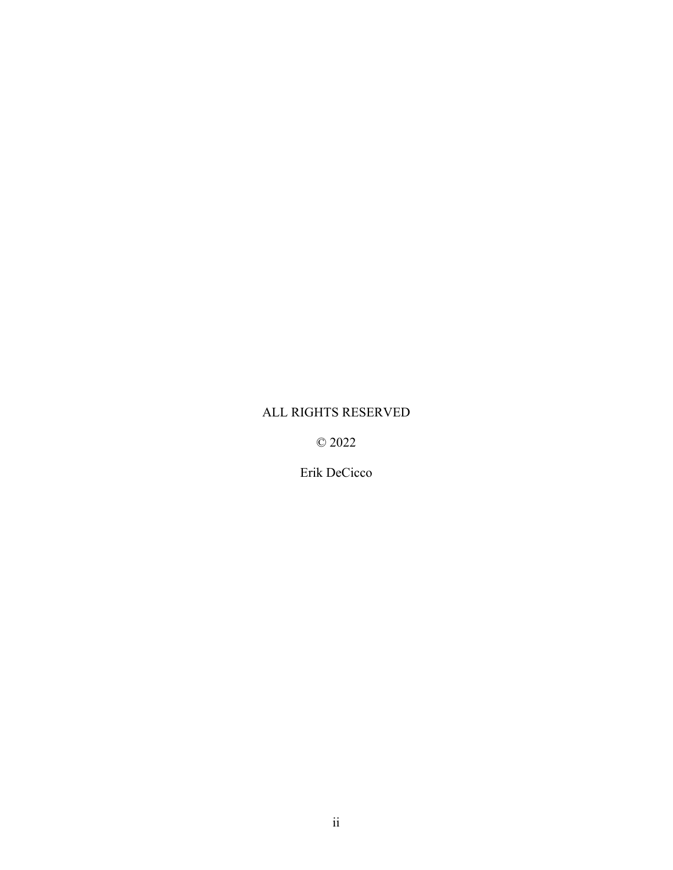# ALL RIGHTS RESERVED

© 2022

Erik DeCicco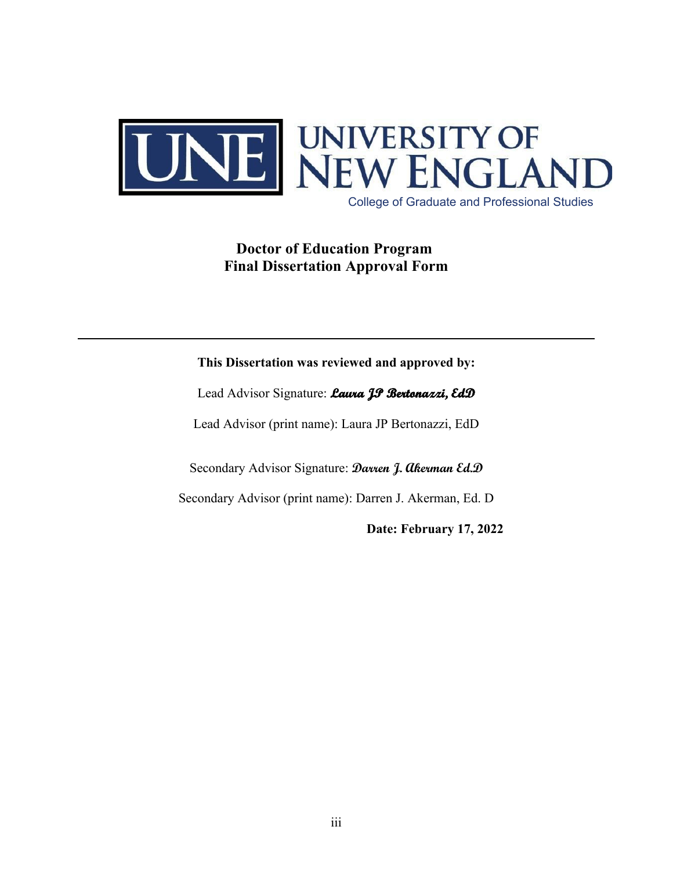

College of Graduate and Professional Studies

# **Doctor of Education Program Final Dissertation Approval Form**

## **This Dissertation was reviewed and approved by:**

Lead Advisor Signature: **Laura JP Bertonazzi, EdD** 

Lead Advisor (print name): Laura JP Bertonazzi, EdD

Secondary Advisor Signature: **Darren J. Akerman Ed.D**

Secondary Advisor (print name): Darren J. Akerman, Ed. D

**Date: February 17, 2022**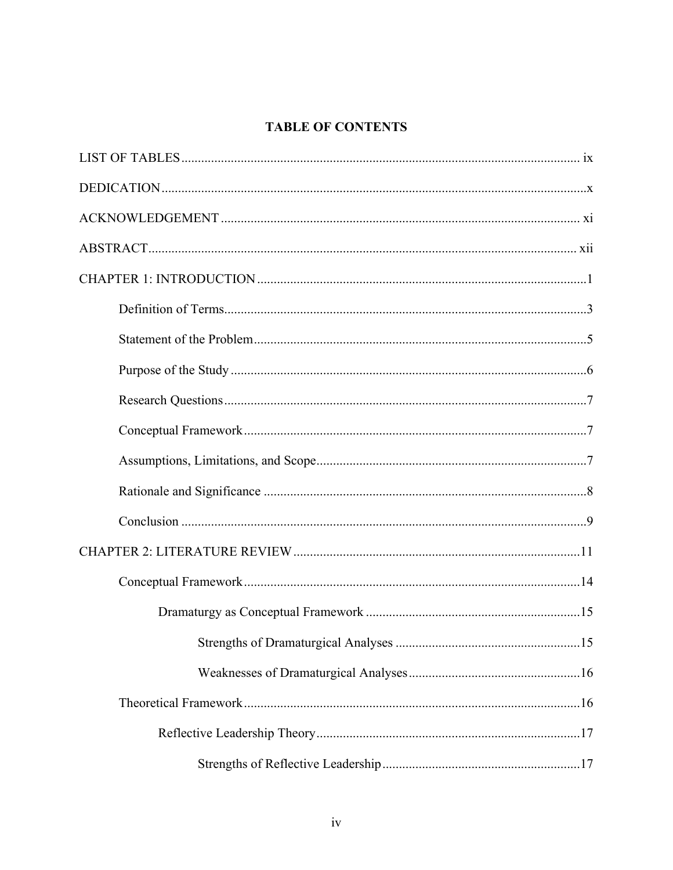# **TABLE OF CONTENTS**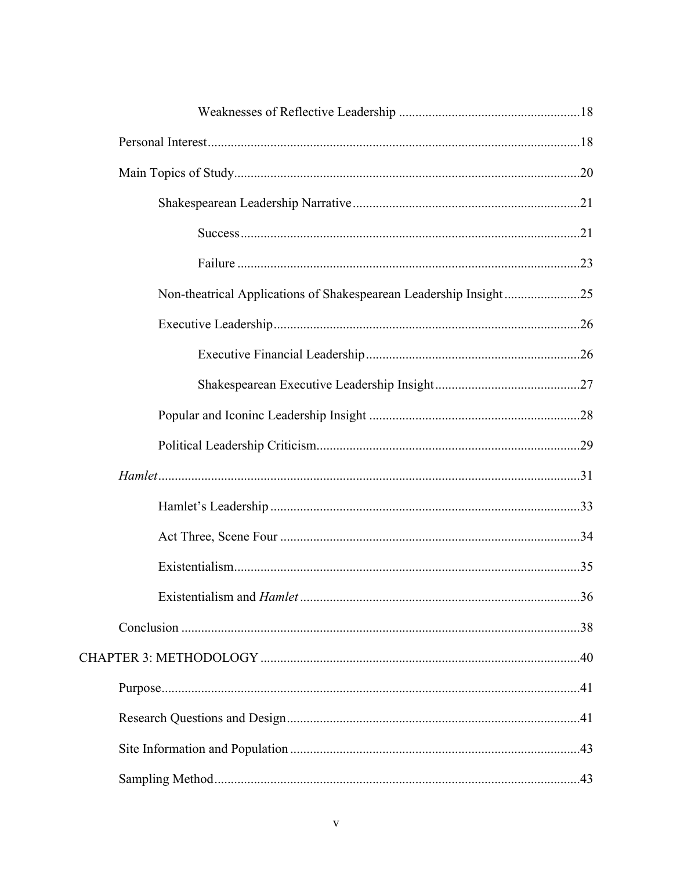| Non-theatrical Applications of Shakespearean Leadership Insight25 |  |
|-------------------------------------------------------------------|--|
|                                                                   |  |
|                                                                   |  |
|                                                                   |  |
|                                                                   |  |
|                                                                   |  |
|                                                                   |  |
|                                                                   |  |
|                                                                   |  |
|                                                                   |  |
|                                                                   |  |
|                                                                   |  |
|                                                                   |  |
|                                                                   |  |
|                                                                   |  |
|                                                                   |  |
|                                                                   |  |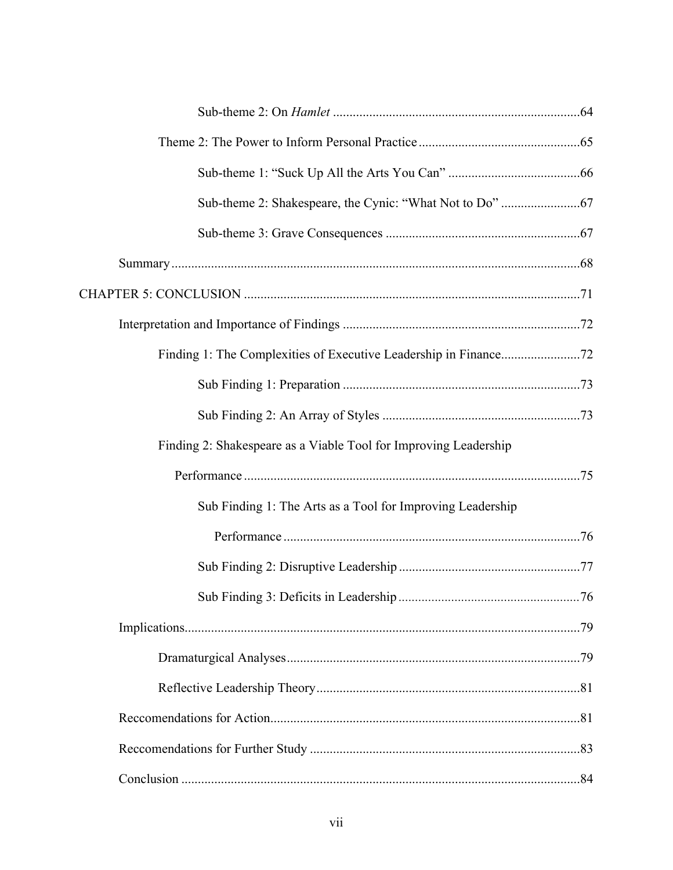| Finding 2: Shakespeare as a Viable Tool for Improving Leadership |  |
|------------------------------------------------------------------|--|
|                                                                  |  |
| Sub Finding 1: The Arts as a Tool for Improving Leadership       |  |
|                                                                  |  |
|                                                                  |  |
|                                                                  |  |
|                                                                  |  |
|                                                                  |  |
|                                                                  |  |
|                                                                  |  |
|                                                                  |  |
|                                                                  |  |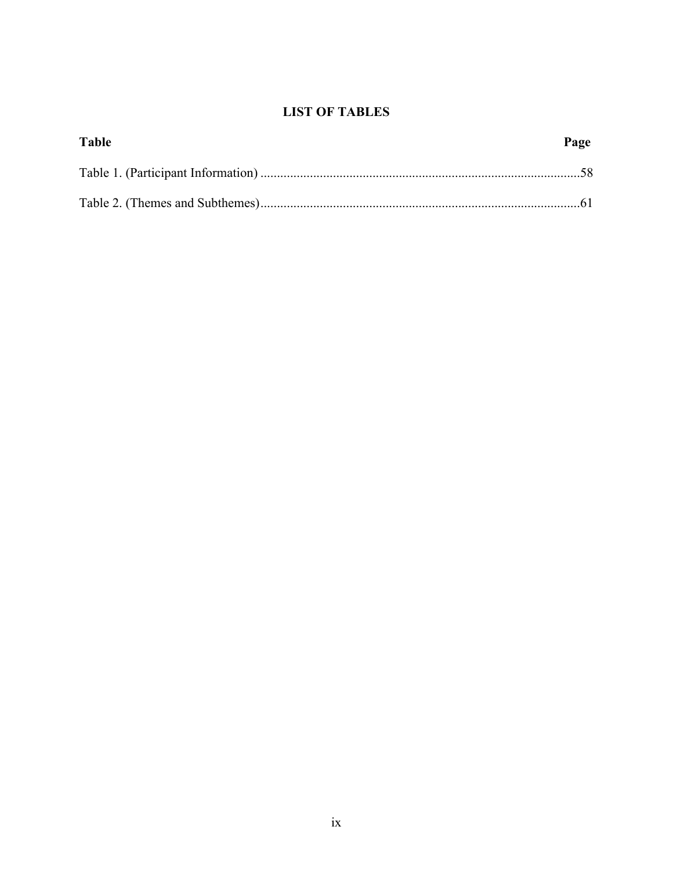# **LIST OF TABLES**

| Table | Page |
|-------|------|
|       |      |
|       |      |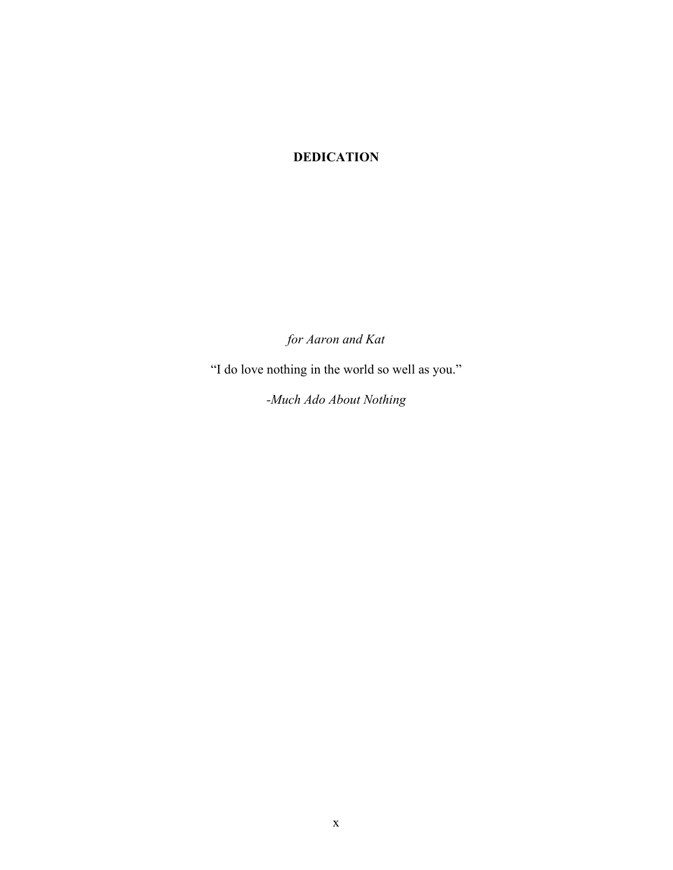# **DEDICATION**

*for Aaron and Kat*

"I do love nothing in the world so well as you."

*-Much Ado About Nothing*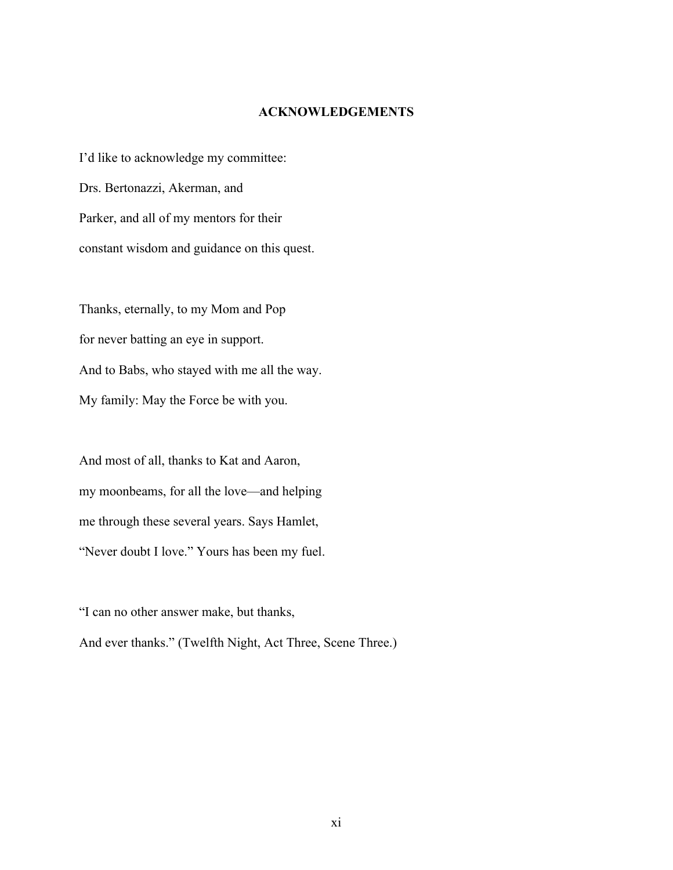## **ACKNOWLEDGEMENTS**

I'd like to acknowledge my committee: Drs. Bertonazzi, Akerman, and Parker, and all of my mentors for their constant wisdom and guidance on this quest.

Thanks, eternally, to my Mom and Pop for never batting an eye in support. And to Babs, who stayed with me all the way. My family: May the Force be with you.

And most of all, thanks to Kat and Aaron, my moonbeams, for all the love—and helping me through these several years. Says Hamlet, "Never doubt I love." Yours has been my fuel.

"I can no other answer make, but thanks,

And ever thanks." (Twelfth Night, Act Three, Scene Three.)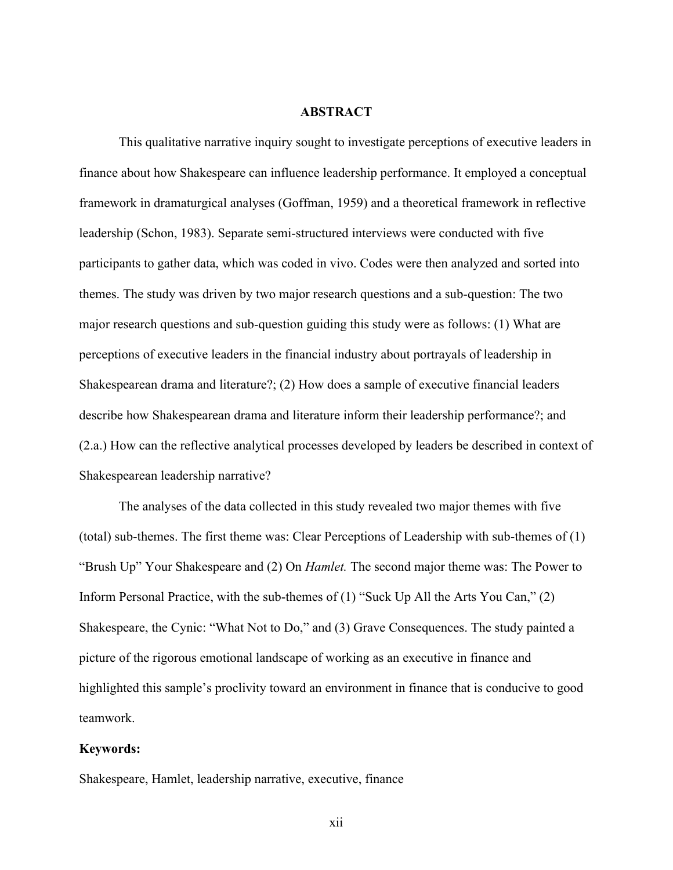## **ABSTRACT**

This qualitative narrative inquiry sought to investigate perceptions of executive leaders in finance about how Shakespeare can influence leadership performance. It employed a conceptual framework in dramaturgical analyses (Goffman, 1959) and a theoretical framework in reflective leadership (Schon, 1983). Separate semi-structured interviews were conducted with five participants to gather data, which was coded in vivo. Codes were then analyzed and sorted into themes. The study was driven by two major research questions and a sub-question: The two major research questions and sub-question guiding this study were as follows: (1) What are perceptions of executive leaders in the financial industry about portrayals of leadership in Shakespearean drama and literature?; (2) How does a sample of executive financial leaders describe how Shakespearean drama and literature inform their leadership performance?; and (2.a.) How can the reflective analytical processes developed by leaders be described in context of Shakespearean leadership narrative?

The analyses of the data collected in this study revealed two major themes with five (total) sub-themes. The first theme was: Clear Perceptions of Leadership with sub-themes of (1) "Brush Up" Your Shakespeare and (2) On *Hamlet.* The second major theme was: The Power to Inform Personal Practice, with the sub-themes of (1) "Suck Up All the Arts You Can," (2) Shakespeare, the Cynic: "What Not to Do," and (3) Grave Consequences. The study painted a picture of the rigorous emotional landscape of working as an executive in finance and highlighted this sample's proclivity toward an environment in finance that is conducive to good teamwork.

## **Keywords:**

Shakespeare, Hamlet, leadership narrative, executive, finance

xii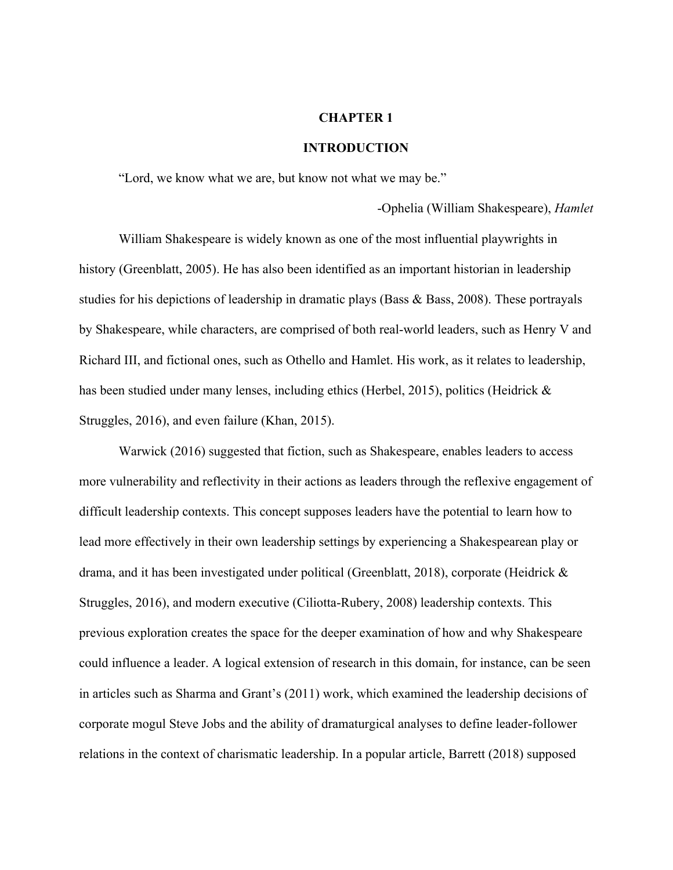## **CHAPTER 1**

## **INTRODUCTION**

"Lord, we know what we are, but know not what we may be."

-Ophelia (William Shakespeare), *Hamlet*

William Shakespeare is widely known as one of the most influential playwrights in history (Greenblatt, 2005). He has also been identified as an important historian in leadership studies for his depictions of leadership in dramatic plays (Bass  $\&$  Bass, 2008). These portrayals by Shakespeare, while characters, are comprised of both real-world leaders, such as Henry V and Richard III, and fictional ones, such as Othello and Hamlet. His work, as it relates to leadership, has been studied under many lenses, including ethics (Herbel, 2015), politics (Heidrick & Struggles, 2016), and even failure (Khan, 2015).

Warwick (2016) suggested that fiction, such as Shakespeare, enables leaders to access more vulnerability and reflectivity in their actions as leaders through the reflexive engagement of difficult leadership contexts. This concept supposes leaders have the potential to learn how to lead more effectively in their own leadership settings by experiencing a Shakespearean play or drama, and it has been investigated under political (Greenblatt, 2018), corporate (Heidrick & Struggles, 2016), and modern executive (Ciliotta-Rubery, 2008) leadership contexts. This previous exploration creates the space for the deeper examination of how and why Shakespeare could influence a leader. A logical extension of research in this domain, for instance, can be seen in articles such as Sharma and Grant's (2011) work, which examined the leadership decisions of corporate mogul Steve Jobs and the ability of dramaturgical analyses to define leader-follower relations in the context of charismatic leadership. In a popular article, Barrett (2018) supposed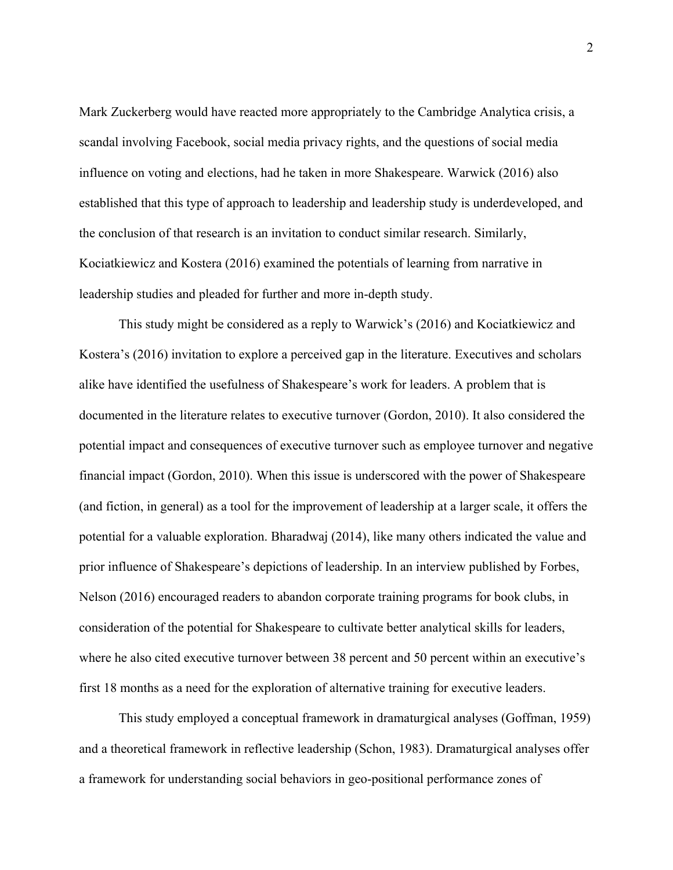Mark Zuckerberg would have reacted more appropriately to the Cambridge Analytica crisis, a scandal involving Facebook, social media privacy rights, and the questions of social media influence on voting and elections, had he taken in more Shakespeare. Warwick (2016) also established that this type of approach to leadership and leadership study is underdeveloped, and the conclusion of that research is an invitation to conduct similar research. Similarly, Kociatkiewicz and Kostera (2016) examined the potentials of learning from narrative in leadership studies and pleaded for further and more in-depth study.

This study might be considered as a reply to Warwick's (2016) and Kociatkiewicz and Kostera's (2016) invitation to explore a perceived gap in the literature. Executives and scholars alike have identified the usefulness of Shakespeare's work for leaders. A problem that is documented in the literature relates to executive turnover (Gordon, 2010). It also considered the potential impact and consequences of executive turnover such as employee turnover and negative financial impact (Gordon, 2010). When this issue is underscored with the power of Shakespeare (and fiction, in general) as a tool for the improvement of leadership at a larger scale, it offers the potential for a valuable exploration. Bharadwaj (2014), like many others indicated the value and prior influence of Shakespeare's depictions of leadership. In an interview published by Forbes, Nelson (2016) encouraged readers to abandon corporate training programs for book clubs, in consideration of the potential for Shakespeare to cultivate better analytical skills for leaders, where he also cited executive turnover between 38 percent and 50 percent within an executive's first 18 months as a need for the exploration of alternative training for executive leaders.

This study employed a conceptual framework in dramaturgical analyses (Goffman, 1959) and a theoretical framework in reflective leadership (Schon, 1983). Dramaturgical analyses offer a framework for understanding social behaviors in geo-positional performance zones of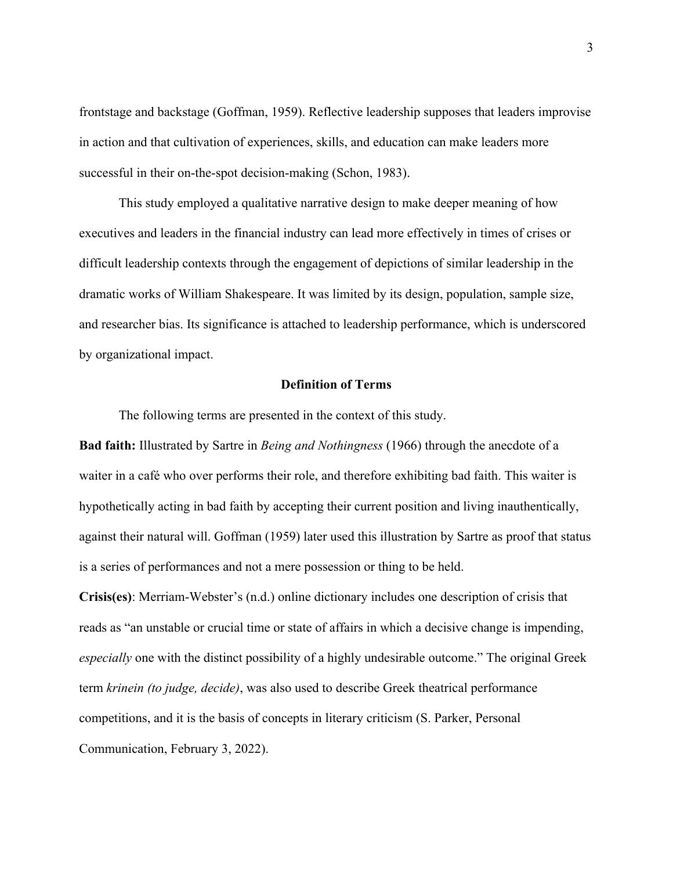frontstage and backstage (Goffman, 1959). Reflective leadership supposes that leaders improvise in action and that cultivation of experiences, skills, and education can make leaders more successful in their on-the-spot decision-making (Schon, 1983).

This study employed a qualitative narrative design to make deeper meaning of how executives and leaders in the financial industry can lead more effectively in times of crises or difficult leadership contexts through the engagement of depictions of similar leadership in the dramatic works of William Shakespeare. It was limited by its design, population, sample size, and researcher bias. Its significance is attached to leadership performance, which is underscored by organizational impact.

## **Definition of Terms**

The following terms are presented in the context of this study.

**Bad faith:** Illustrated by Sartre in *Being and Nothingness* (1966) through the anecdote of a waiter in a café who over performs their role, and therefore exhibiting bad faith. This waiter is hypothetically acting in bad faith by accepting their current position and living inauthentically, against their natural will. Goffman (1959) later used this illustration by Sartre as proof that status is a series of performances and not a mere possession or thing to be held.

**Crisis(es)**: Merriam-Webster's (n.d.) online dictionary includes one description of crisis that reads as "an unstable or crucial time or state of affairs in which a decisive change is impending, *especially* one with the distinct possibility of a highly undesirable outcome." The original Greek term *krinein (to judge, decide)*, was also used to describe Greek theatrical performance competitions, and it is the basis of concepts in literary criticism (S. Parker, Personal Communication, February 3, 2022).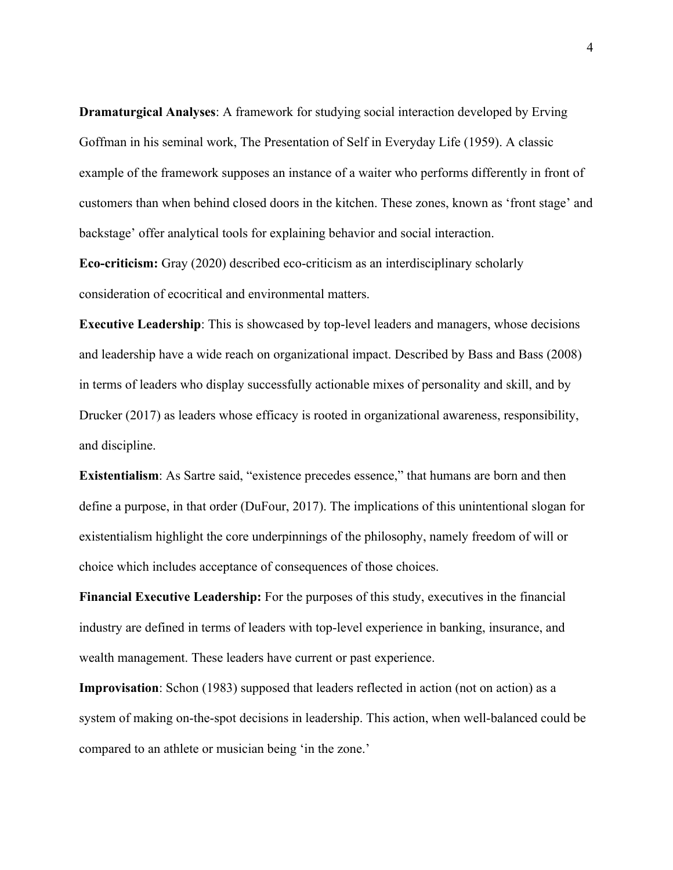**Dramaturgical Analyses**: A framework for studying social interaction developed by Erving Goffman in his seminal work, The Presentation of Self in Everyday Life (1959). A classic example of the framework supposes an instance of a waiter who performs differently in front of customers than when behind closed doors in the kitchen. These zones, known as 'front stage' and backstage' offer analytical tools for explaining behavior and social interaction.

**Eco-criticism:** Gray (2020) described eco-criticism as an interdisciplinary scholarly consideration of ecocritical and environmental matters.

**Executive Leadership**: This is showcased by top-level leaders and managers, whose decisions and leadership have a wide reach on organizational impact. Described by Bass and Bass (2008) in terms of leaders who display successfully actionable mixes of personality and skill, and by Drucker (2017) as leaders whose efficacy is rooted in organizational awareness, responsibility, and discipline.

**Existentialism**: As Sartre said, "existence precedes essence," that humans are born and then define a purpose, in that order (DuFour, 2017). The implications of this unintentional slogan for existentialism highlight the core underpinnings of the philosophy, namely freedom of will or choice which includes acceptance of consequences of those choices.

**Financial Executive Leadership:** For the purposes of this study, executives in the financial industry are defined in terms of leaders with top-level experience in banking, insurance, and wealth management. These leaders have current or past experience.

**Improvisation**: Schon (1983) supposed that leaders reflected in action (not on action) as a system of making on-the-spot decisions in leadership. This action, when well-balanced could be compared to an athlete or musician being 'in the zone.'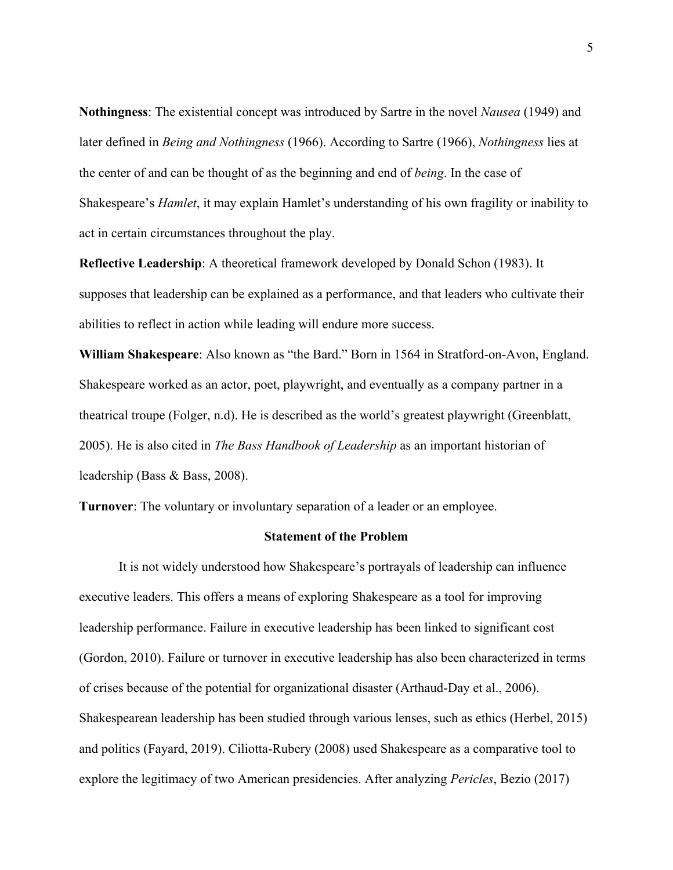**Nothingness**: The existential concept was introduced by Sartre in the novel *Nausea* (1949) and later defined in *Being and Nothingness* (1966). According to Sartre (1966), *Nothingness* lies at the center of and can be thought of as the beginning and end of *being*. In the case of Shakespeare's *Hamlet*, it may explain Hamlet's understanding of his own fragility or inability to act in certain circumstances throughout the play.

**Reflective Leadership**: A theoretical framework developed by Donald Schon (1983). It supposes that leadership can be explained as a performance, and that leaders who cultivate their abilities to reflect in action while leading will endure more success.

**William Shakespeare**: Also known as "the Bard." Born in 1564 in Stratford-on-Avon, England. Shakespeare worked as an actor, poet, playwright, and eventually as a company partner in a theatrical troupe (Folger, n.d). He is described as the world's greatest playwright (Greenblatt, 2005). He is also cited in *The Bass Handbook of Leadership* as an important historian of leadership (Bass & Bass, 2008).

**Turnover**: The voluntary or involuntary separation of a leader or an employee.

#### **Statement of the Problem**

It is not widely understood how Shakespeare's portrayals of leadership can influence executive leaders. This offers a means of exploring Shakespeare as a tool for improving leadership performance. Failure in executive leadership has been linked to significant cost (Gordon, 2010). Failure or turnover in executive leadership has also been characterized in terms of crises because of the potential for organizational disaster (Arthaud-Day et al., 2006). Shakespearean leadership has been studied through various lenses, such as ethics (Herbel, 2015) and politics (Fayard, 2019). Ciliotta-Rubery (2008) used Shakespeare as a comparative tool to explore the legitimacy of two American presidencies. After analyzing *Pericles*, Bezio (2017)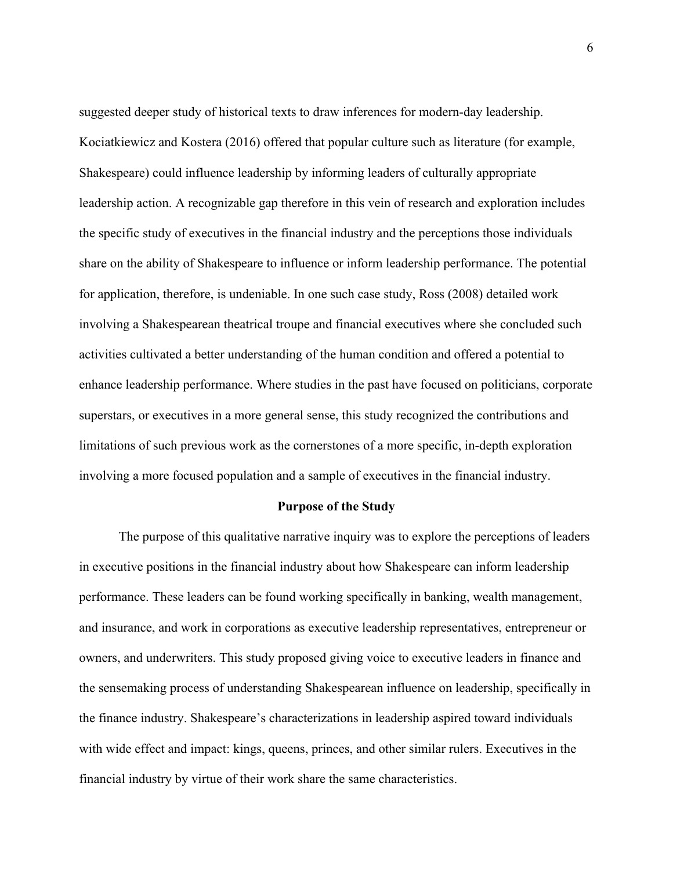suggested deeper study of historical texts to draw inferences for modern-day leadership. Kociatkiewicz and Kostera (2016) offered that popular culture such as literature (for example, Shakespeare) could influence leadership by informing leaders of culturally appropriate leadership action. A recognizable gap therefore in this vein of research and exploration includes the specific study of executives in the financial industry and the perceptions those individuals share on the ability of Shakespeare to influence or inform leadership performance. The potential for application, therefore, is undeniable. In one such case study, Ross (2008) detailed work involving a Shakespearean theatrical troupe and financial executives where she concluded such activities cultivated a better understanding of the human condition and offered a potential to enhance leadership performance. Where studies in the past have focused on politicians, corporate superstars, or executives in a more general sense, this study recognized the contributions and limitations of such previous work as the cornerstones of a more specific, in-depth exploration involving a more focused population and a sample of executives in the financial industry.

## **Purpose of the Study**

The purpose of this qualitative narrative inquiry was to explore the perceptions of leaders in executive positions in the financial industry about how Shakespeare can inform leadership performance. These leaders can be found working specifically in banking, wealth management, and insurance, and work in corporations as executive leadership representatives, entrepreneur or owners, and underwriters. This study proposed giving voice to executive leaders in finance and the sensemaking process of understanding Shakespearean influence on leadership, specifically in the finance industry. Shakespeare's characterizations in leadership aspired toward individuals with wide effect and impact: kings, queens, princes, and other similar rulers. Executives in the financial industry by virtue of their work share the same characteristics.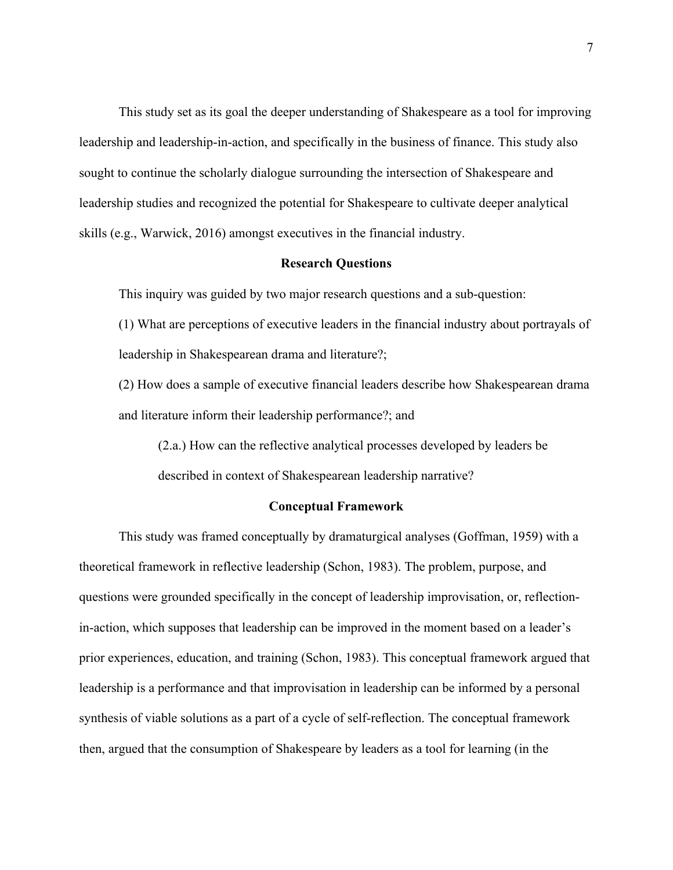This study set as its goal the deeper understanding of Shakespeare as a tool for improving leadership and leadership-in-action, and specifically in the business of finance. This study also sought to continue the scholarly dialogue surrounding the intersection of Shakespeare and leadership studies and recognized the potential for Shakespeare to cultivate deeper analytical skills (e.g., Warwick, 2016) amongst executives in the financial industry.

#### **Research Questions**

This inquiry was guided by two major research questions and a sub-question:

(1) What are perceptions of executive leaders in the financial industry about portrayals of leadership in Shakespearean drama and literature?;

(2) How does a sample of executive financial leaders describe how Shakespearean drama and literature inform their leadership performance?; and

(2.a.) How can the reflective analytical processes developed by leaders be described in context of Shakespearean leadership narrative?

## **Conceptual Framework**

This study was framed conceptually by dramaturgical analyses (Goffman, 1959) with a theoretical framework in reflective leadership (Schon, 1983). The problem, purpose, and questions were grounded specifically in the concept of leadership improvisation, or, reflectionin-action, which supposes that leadership can be improved in the moment based on a leader's prior experiences, education, and training (Schon, 1983). This conceptual framework argued that leadership is a performance and that improvisation in leadership can be informed by a personal synthesis of viable solutions as a part of a cycle of self-reflection. The conceptual framework then, argued that the consumption of Shakespeare by leaders as a tool for learning (in the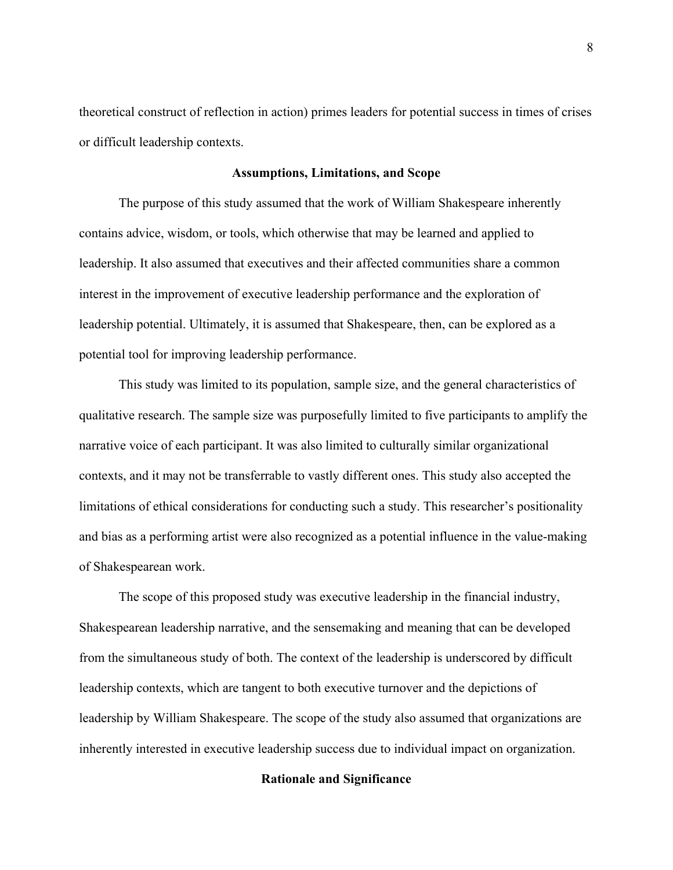theoretical construct of reflection in action) primes leaders for potential success in times of crises or difficult leadership contexts.

#### **Assumptions, Limitations, and Scope**

The purpose of this study assumed that the work of William Shakespeare inherently contains advice, wisdom, or tools, which otherwise that may be learned and applied to leadership. It also assumed that executives and their affected communities share a common interest in the improvement of executive leadership performance and the exploration of leadership potential. Ultimately, it is assumed that Shakespeare, then, can be explored as a potential tool for improving leadership performance.

This study was limited to its population, sample size, and the general characteristics of qualitative research. The sample size was purposefully limited to five participants to amplify the narrative voice of each participant. It was also limited to culturally similar organizational contexts, and it may not be transferrable to vastly different ones. This study also accepted the limitations of ethical considerations for conducting such a study. This researcher's positionality and bias as a performing artist were also recognized as a potential influence in the value-making of Shakespearean work.

The scope of this proposed study was executive leadership in the financial industry, Shakespearean leadership narrative, and the sensemaking and meaning that can be developed from the simultaneous study of both. The context of the leadership is underscored by difficult leadership contexts, which are tangent to both executive turnover and the depictions of leadership by William Shakespeare. The scope of the study also assumed that organizations are inherently interested in executive leadership success due to individual impact on organization.

## **Rationale and Significance**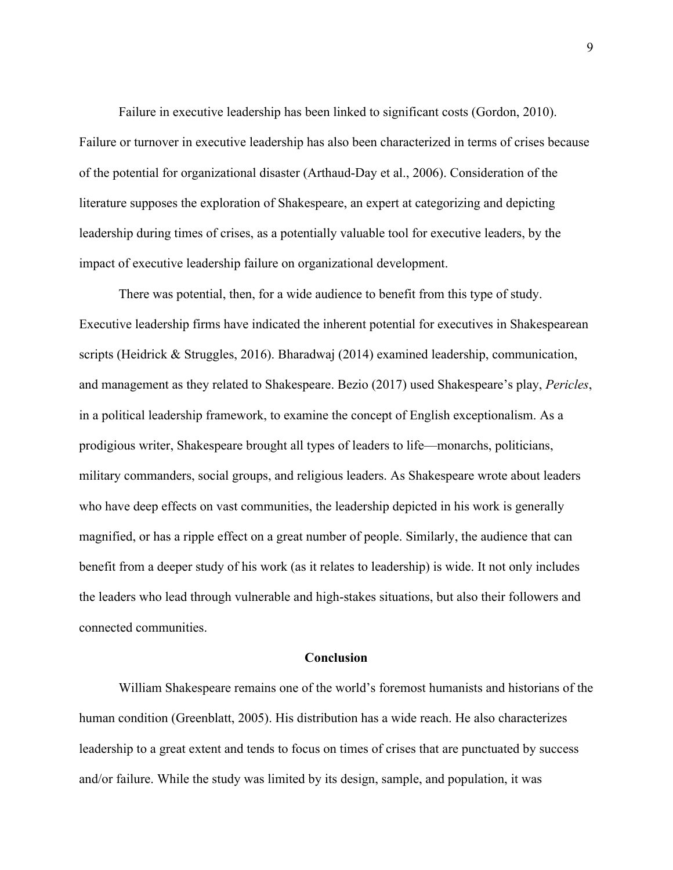Failure in executive leadership has been linked to significant costs (Gordon, 2010). Failure or turnover in executive leadership has also been characterized in terms of crises because of the potential for organizational disaster (Arthaud-Day et al., 2006). Consideration of the literature supposes the exploration of Shakespeare, an expert at categorizing and depicting leadership during times of crises, as a potentially valuable tool for executive leaders, by the impact of executive leadership failure on organizational development.

There was potential, then, for a wide audience to benefit from this type of study. Executive leadership firms have indicated the inherent potential for executives in Shakespearean scripts (Heidrick & Struggles, 2016). Bharadwaj (2014) examined leadership, communication, and management as they related to Shakespeare. Bezio (2017) used Shakespeare's play, *Pericles*, in a political leadership framework, to examine the concept of English exceptionalism. As a prodigious writer, Shakespeare brought all types of leaders to life—monarchs, politicians, military commanders, social groups, and religious leaders. As Shakespeare wrote about leaders who have deep effects on vast communities, the leadership depicted in his work is generally magnified, or has a ripple effect on a great number of people. Similarly, the audience that can benefit from a deeper study of his work (as it relates to leadership) is wide. It not only includes the leaders who lead through vulnerable and high-stakes situations, but also their followers and connected communities.

## **Conclusion**

William Shakespeare remains one of the world's foremost humanists and historians of the human condition (Greenblatt, 2005). His distribution has a wide reach. He also characterizes leadership to a great extent and tends to focus on times of crises that are punctuated by success and/or failure. While the study was limited by its design, sample, and population, it was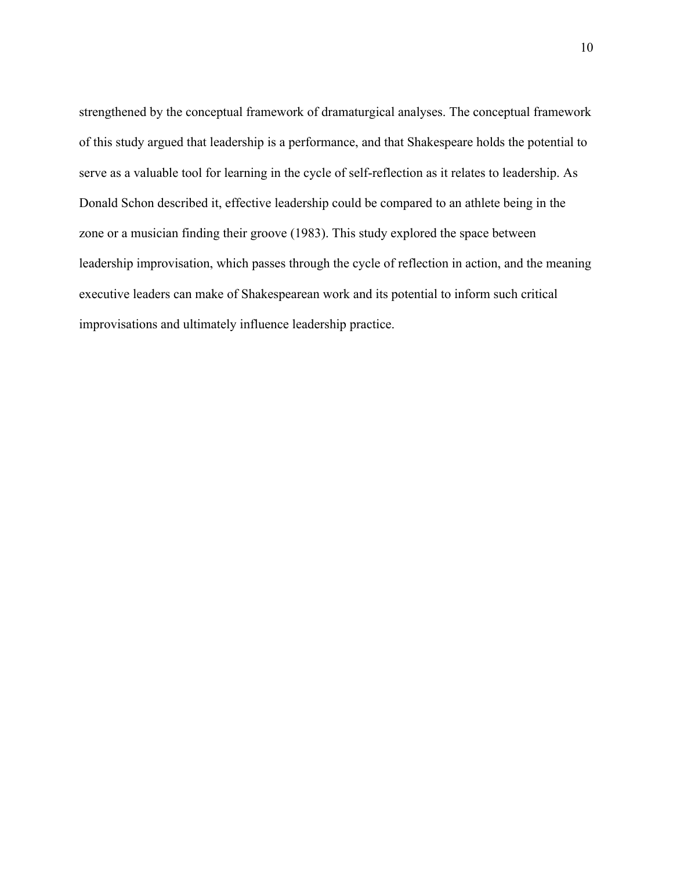strengthened by the conceptual framework of dramaturgical analyses. The conceptual framework of this study argued that leadership is a performance, and that Shakespeare holds the potential to serve as a valuable tool for learning in the cycle of self-reflection as it relates to leadership. As Donald Schon described it, effective leadership could be compared to an athlete being in the zone or a musician finding their groove (1983). This study explored the space between leadership improvisation, which passes through the cycle of reflection in action, and the meaning executive leaders can make of Shakespearean work and its potential to inform such critical improvisations and ultimately influence leadership practice.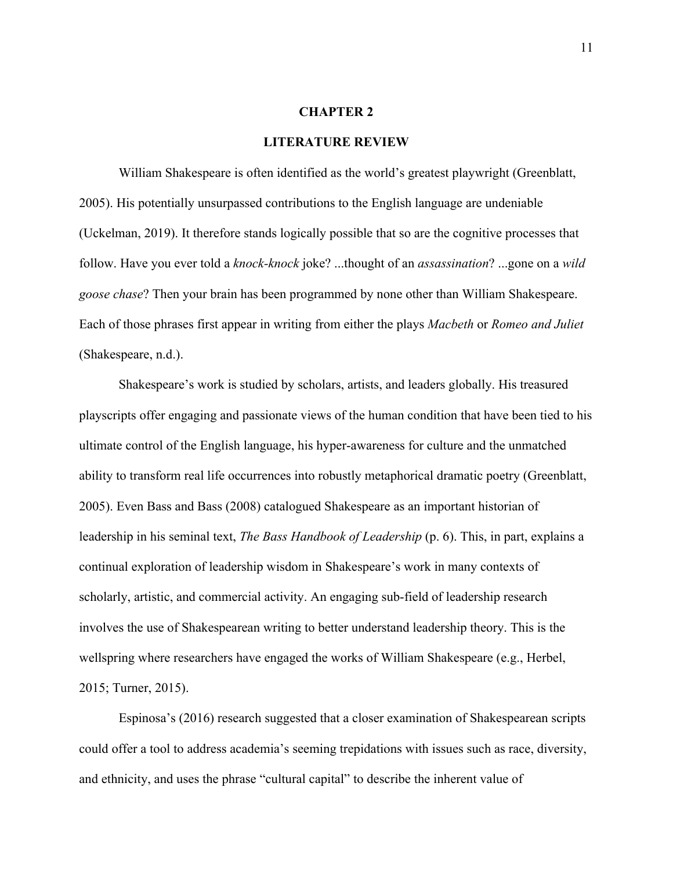#### **CHAPTER 2**

#### **LITERATURE REVIEW**

William Shakespeare is often identified as the world's greatest playwright (Greenblatt, 2005). His potentially unsurpassed contributions to the English language are undeniable (Uckelman, 2019). It therefore stands logically possible that so are the cognitive processes that follow. Have you ever told a *knock-knock* joke? ...thought of an *assassination*? ...gone on a *wild goose chase*? Then your brain has been programmed by none other than William Shakespeare. Each of those phrases first appear in writing from either the plays *Macbeth* or *Romeo and Juliet* (Shakespeare, n.d.).

Shakespeare's work is studied by scholars, artists, and leaders globally. His treasured playscripts offer engaging and passionate views of the human condition that have been tied to his ultimate control of the English language, his hyper-awareness for culture and the unmatched ability to transform real life occurrences into robustly metaphorical dramatic poetry (Greenblatt, 2005). Even Bass and Bass (2008) catalogued Shakespeare as an important historian of leadership in his seminal text, *The Bass Handbook of Leadership* (p. 6). This, in part, explains a continual exploration of leadership wisdom in Shakespeare's work in many contexts of scholarly, artistic, and commercial activity. An engaging sub-field of leadership research involves the use of Shakespearean writing to better understand leadership theory. This is the wellspring where researchers have engaged the works of William Shakespeare (e.g., Herbel, 2015; Turner, 2015).

Espinosa's (2016) research suggested that a closer examination of Shakespearean scripts could offer a tool to address academia's seeming trepidations with issues such as race, diversity, and ethnicity, and uses the phrase "cultural capital" to describe the inherent value of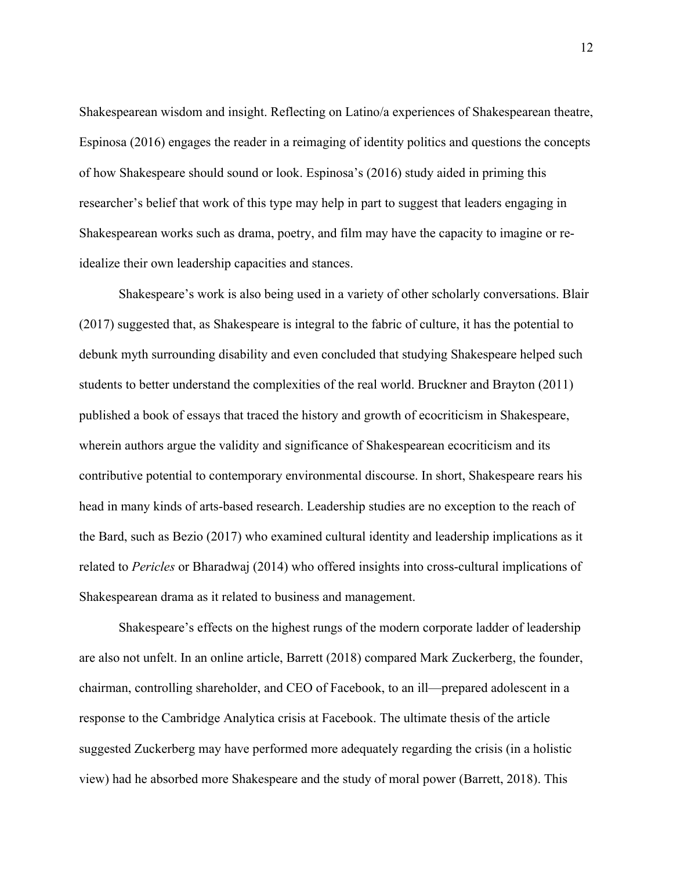Shakespearean wisdom and insight. Reflecting on Latino/a experiences of Shakespearean theatre, Espinosa (2016) engages the reader in a reimaging of identity politics and questions the concepts of how Shakespeare should sound or look. Espinosa's (2016) study aided in priming this researcher's belief that work of this type may help in part to suggest that leaders engaging in Shakespearean works such as drama, poetry, and film may have the capacity to imagine or reidealize their own leadership capacities and stances.

Shakespeare's work is also being used in a variety of other scholarly conversations. Blair (2017) suggested that, as Shakespeare is integral to the fabric of culture, it has the potential to debunk myth surrounding disability and even concluded that studying Shakespeare helped such students to better understand the complexities of the real world. Bruckner and Brayton (2011) published a book of essays that traced the history and growth of ecocriticism in Shakespeare, wherein authors argue the validity and significance of Shakespearean ecocriticism and its contributive potential to contemporary environmental discourse. In short, Shakespeare rears his head in many kinds of arts-based research. Leadership studies are no exception to the reach of the Bard, such as Bezio (2017) who examined cultural identity and leadership implications as it related to *Pericles* or Bharadwaj (2014) who offered insights into cross-cultural implications of Shakespearean drama as it related to business and management.

Shakespeare's effects on the highest rungs of the modern corporate ladder of leadership are also not unfelt. In an online article, Barrett (2018) compared Mark Zuckerberg, the founder, chairman, controlling shareholder, and CEO of Facebook, to an ill—prepared adolescent in a response to the Cambridge Analytica crisis at Facebook. The ultimate thesis of the article suggested Zuckerberg may have performed more adequately regarding the crisis (in a holistic view) had he absorbed more Shakespeare and the study of moral power (Barrett, 2018). This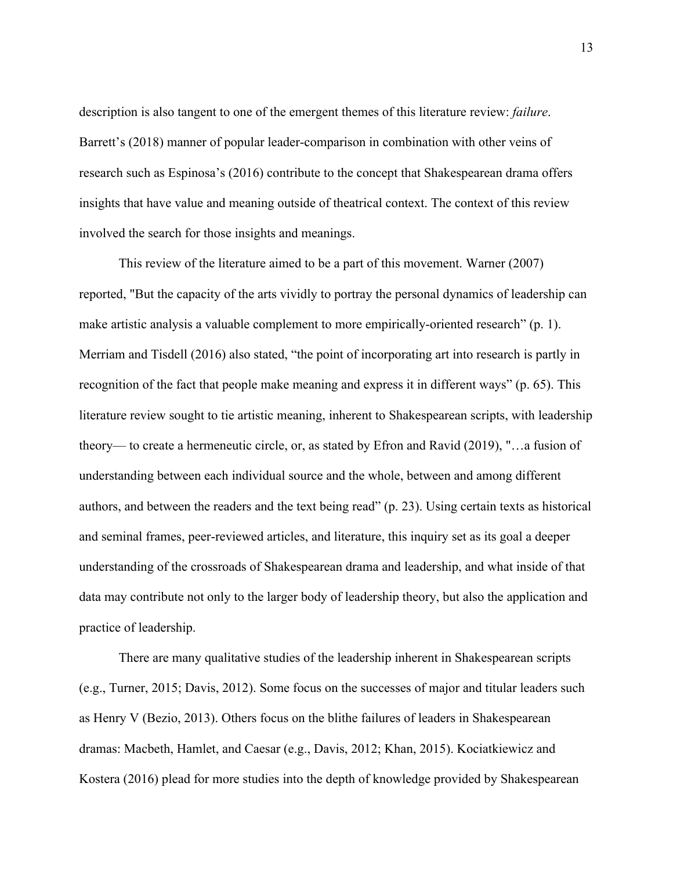description is also tangent to one of the emergent themes of this literature review: *failure*. Barrett's (2018) manner of popular leader-comparison in combination with other veins of research such as Espinosa's (2016) contribute to the concept that Shakespearean drama offers insights that have value and meaning outside of theatrical context. The context of this review involved the search for those insights and meanings.

This review of the literature aimed to be a part of this movement. Warner (2007) reported, "But the capacity of the arts vividly to portray the personal dynamics of leadership can make artistic analysis a valuable complement to more empirically-oriented research" (p. 1). Merriam and Tisdell (2016) also stated, "the point of incorporating art into research is partly in recognition of the fact that people make meaning and express it in different ways" (p. 65). This literature review sought to tie artistic meaning, inherent to Shakespearean scripts, with leadership theory— to create a hermeneutic circle, or, as stated by Efron and Ravid (2019), "…a fusion of understanding between each individual source and the whole, between and among different authors, and between the readers and the text being read" (p. 23). Using certain texts as historical and seminal frames, peer-reviewed articles, and literature, this inquiry set as its goal a deeper understanding of the crossroads of Shakespearean drama and leadership, and what inside of that data may contribute not only to the larger body of leadership theory, but also the application and practice of leadership.

There are many qualitative studies of the leadership inherent in Shakespearean scripts (e.g., Turner, 2015; Davis, 2012). Some focus on the successes of major and titular leaders such as Henry V (Bezio, 2013). Others focus on the blithe failures of leaders in Shakespearean dramas: Macbeth, Hamlet, and Caesar (e.g., Davis, 2012; Khan, 2015). Kociatkiewicz and Kostera (2016) plead for more studies into the depth of knowledge provided by Shakespearean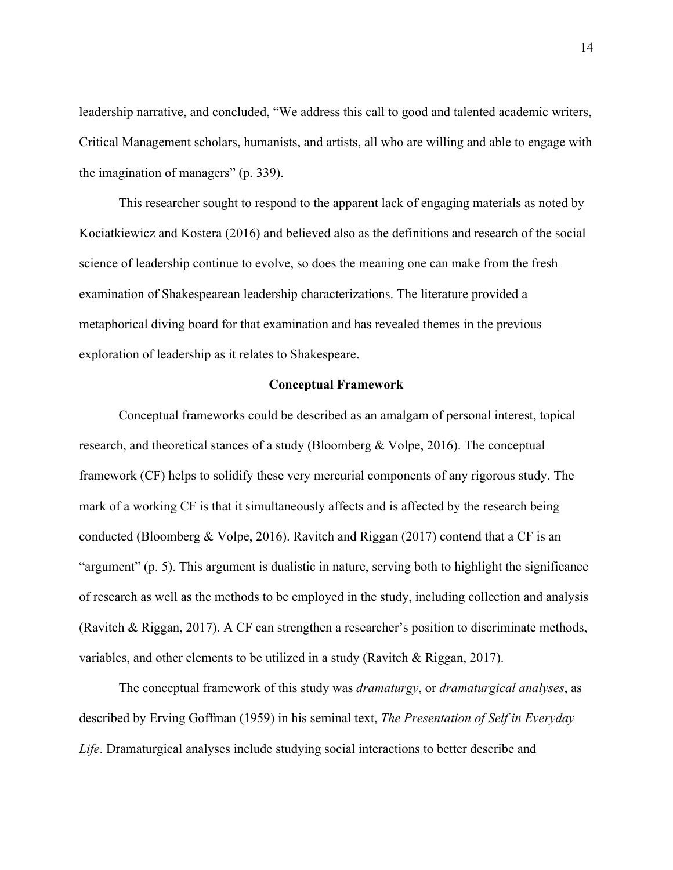leadership narrative, and concluded, "We address this call to good and talented academic writers, Critical Management scholars, humanists, and artists, all who are willing and able to engage with the imagination of managers" (p. 339).

This researcher sought to respond to the apparent lack of engaging materials as noted by Kociatkiewicz and Kostera (2016) and believed also as the definitions and research of the social science of leadership continue to evolve, so does the meaning one can make from the fresh examination of Shakespearean leadership characterizations. The literature provided a metaphorical diving board for that examination and has revealed themes in the previous exploration of leadership as it relates to Shakespeare.

#### **Conceptual Framework**

Conceptual frameworks could be described as an amalgam of personal interest, topical research, and theoretical stances of a study (Bloomberg & Volpe, 2016). The conceptual framework (CF) helps to solidify these very mercurial components of any rigorous study. The mark of a working CF is that it simultaneously affects and is affected by the research being conducted (Bloomberg & Volpe, 2016). Ravitch and Riggan (2017) contend that a CF is an "argument" (p. 5). This argument is dualistic in nature, serving both to highlight the significance of research as well as the methods to be employed in the study, including collection and analysis (Ravitch & Riggan, 2017). A CF can strengthen a researcher's position to discriminate methods, variables, and other elements to be utilized in a study (Ravitch & Riggan, 2017).

The conceptual framework of this study was *dramaturgy*, or *dramaturgical analyses*, as described by Erving Goffman (1959) in his seminal text, *The Presentation of Self in Everyday Life*. Dramaturgical analyses include studying social interactions to better describe and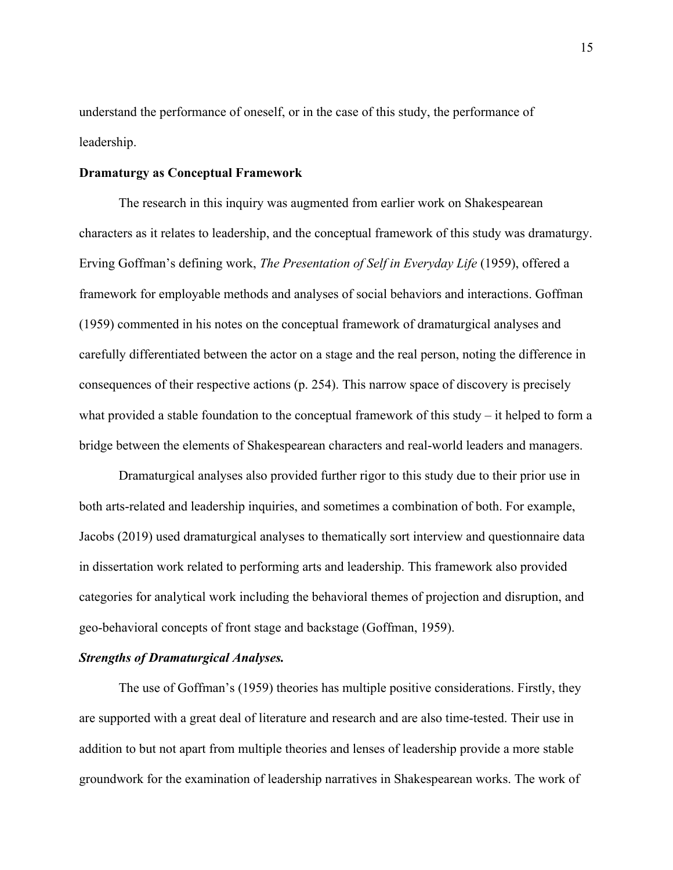understand the performance of oneself, or in the case of this study, the performance of leadership.

## **Dramaturgy as Conceptual Framework**

The research in this inquiry was augmented from earlier work on Shakespearean characters as it relates to leadership, and the conceptual framework of this study was dramaturgy. Erving Goffman's defining work, *The Presentation of Self in Everyday Life* (1959), offered a framework for employable methods and analyses of social behaviors and interactions. Goffman (1959) commented in his notes on the conceptual framework of dramaturgical analyses and carefully differentiated between the actor on a stage and the real person, noting the difference in consequences of their respective actions (p. 254). This narrow space of discovery is precisely what provided a stable foundation to the conceptual framework of this study – it helped to form a bridge between the elements of Shakespearean characters and real-world leaders and managers.

Dramaturgical analyses also provided further rigor to this study due to their prior use in both arts-related and leadership inquiries, and sometimes a combination of both. For example, Jacobs (2019) used dramaturgical analyses to thematically sort interview and questionnaire data in dissertation work related to performing arts and leadership. This framework also provided categories for analytical work including the behavioral themes of projection and disruption, and geo-behavioral concepts of front stage and backstage (Goffman, 1959).

## *Strengths of Dramaturgical Analyses.*

The use of Goffman's (1959) theories has multiple positive considerations. Firstly, they are supported with a great deal of literature and research and are also time-tested. Their use in addition to but not apart from multiple theories and lenses of leadership provide a more stable groundwork for the examination of leadership narratives in Shakespearean works. The work of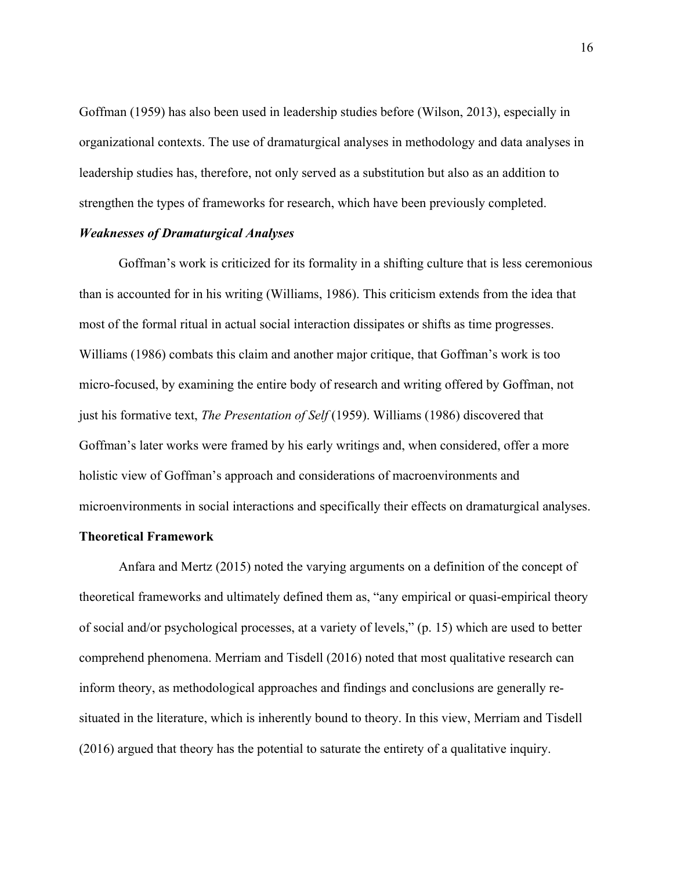Goffman (1959) has also been used in leadership studies before (Wilson, 2013), especially in organizational contexts. The use of dramaturgical analyses in methodology and data analyses in leadership studies has, therefore, not only served as a substitution but also as an addition to strengthen the types of frameworks for research, which have been previously completed.

## *Weaknesses of Dramaturgical Analyses*

Goffman's work is criticized for its formality in a shifting culture that is less ceremonious than is accounted for in his writing (Williams, 1986). This criticism extends from the idea that most of the formal ritual in actual social interaction dissipates or shifts as time progresses. Williams (1986) combats this claim and another major critique, that Goffman's work is too micro-focused, by examining the entire body of research and writing offered by Goffman, not just his formative text, *The Presentation of Self* (1959). Williams (1986) discovered that Goffman's later works were framed by his early writings and, when considered, offer a more holistic view of Goffman's approach and considerations of macroenvironments and microenvironments in social interactions and specifically their effects on dramaturgical analyses.

#### **Theoretical Framework**

Anfara and Mertz (2015) noted the varying arguments on a definition of the concept of theoretical frameworks and ultimately defined them as, "any empirical or quasi-empirical theory of social and/or psychological processes, at a variety of levels," (p. 15) which are used to better comprehend phenomena. Merriam and Tisdell (2016) noted that most qualitative research can inform theory, as methodological approaches and findings and conclusions are generally resituated in the literature, which is inherently bound to theory. In this view, Merriam and Tisdell (2016) argued that theory has the potential to saturate the entirety of a qualitative inquiry.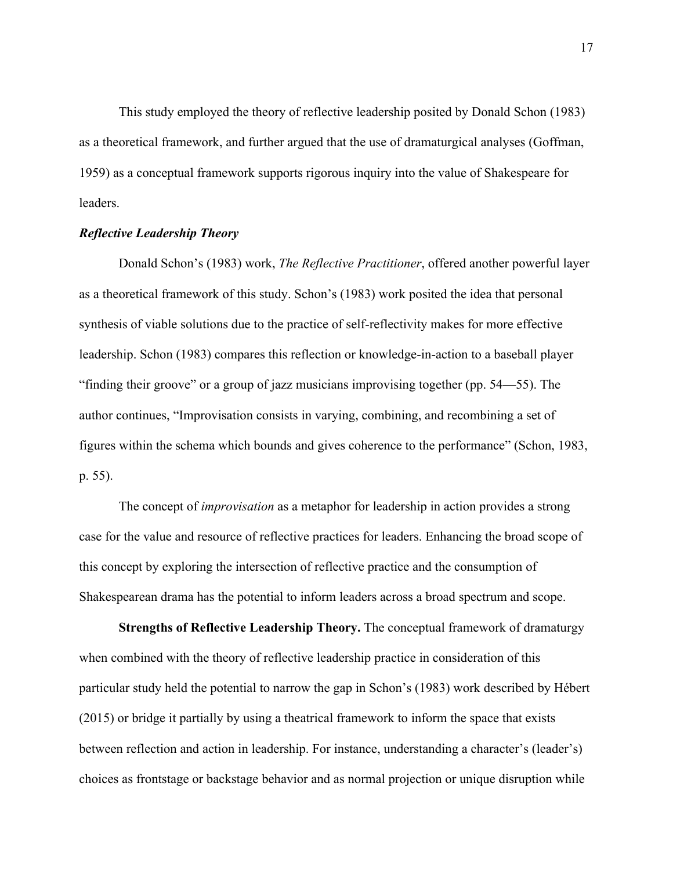This study employed the theory of reflective leadership posited by Donald Schon (1983) as a theoretical framework, and further argued that the use of dramaturgical analyses (Goffman, 1959) as a conceptual framework supports rigorous inquiry into the value of Shakespeare for leaders.

#### *Reflective Leadership Theory*

Donald Schon's (1983) work, *The Reflective Practitioner*, offered another powerful layer as a theoretical framework of this study. Schon's (1983) work posited the idea that personal synthesis of viable solutions due to the practice of self-reflectivity makes for more effective leadership. Schon (1983) compares this reflection or knowledge-in-action to a baseball player "finding their groove" or a group of jazz musicians improvising together (pp. 54—55). The author continues, "Improvisation consists in varying, combining, and recombining a set of figures within the schema which bounds and gives coherence to the performance" (Schon, 1983, p. 55).

The concept of *improvisation* as a metaphor for leadership in action provides a strong case for the value and resource of reflective practices for leaders. Enhancing the broad scope of this concept by exploring the intersection of reflective practice and the consumption of Shakespearean drama has the potential to inform leaders across a broad spectrum and scope.

**Strengths of Reflective Leadership Theory.** The conceptual framework of dramaturgy when combined with the theory of reflective leadership practice in consideration of this particular study held the potential to narrow the gap in Schon's (1983) work described by Hébert (2015) or bridge it partially by using a theatrical framework to inform the space that exists between reflection and action in leadership. For instance, understanding a character's (leader's) choices as frontstage or backstage behavior and as normal projection or unique disruption while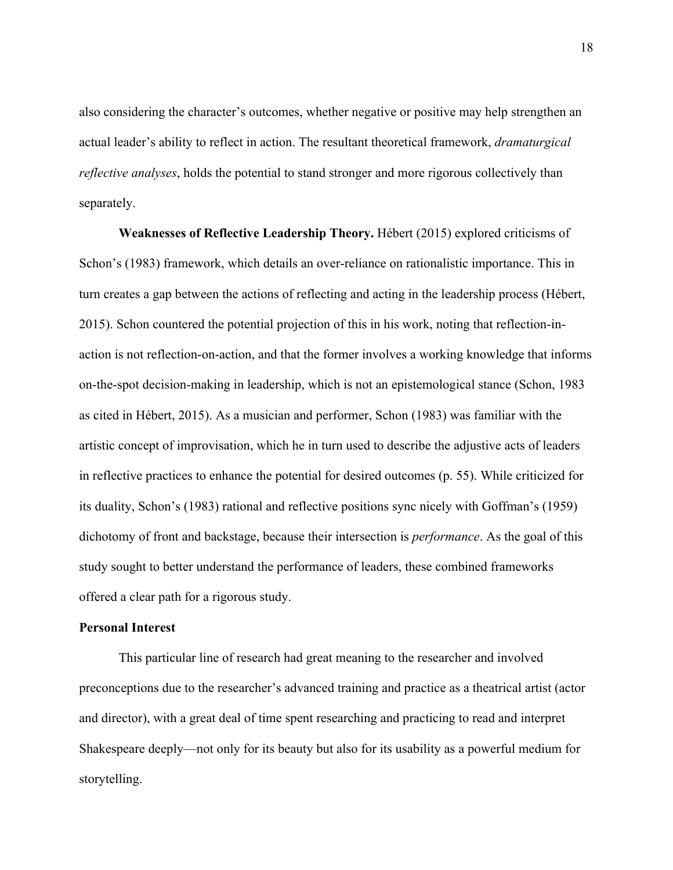also considering the character's outcomes, whether negative or positive may help strengthen an actual leader's ability to reflect in action. The resultant theoretical framework, *dramaturgical reflective analyses*, holds the potential to stand stronger and more rigorous collectively than separately.

**Weaknesses of Reflective Leadership Theory.** Hébert (2015) explored criticisms of Schon's (1983) framework, which details an over-reliance on rationalistic importance. This in turn creates a gap between the actions of reflecting and acting in the leadership process (Hébert, 2015). Schon countered the potential projection of this in his work, noting that reflection-inaction is not reflection-on-action, and that the former involves a working knowledge that informs on-the-spot decision-making in leadership, which is not an epistemological stance (Schon, 1983 as cited in Hébert, 2015). As a musician and performer, Schon (1983) was familiar with the artistic concept of improvisation, which he in turn used to describe the adjustive acts of leaders in reflective practices to enhance the potential for desired outcomes (p. 55). While criticized for its duality, Schon's (1983) rational and reflective positions sync nicely with Goffman's (1959) dichotomy of front and backstage, because their intersection is *performance*. As the goal of this study sought to better understand the performance of leaders, these combined frameworks offered a clear path for a rigorous study.

## **Personal Interest**

This particular line of research had great meaning to the researcher and involved preconceptions due to the researcher's advanced training and practice as a theatrical artist (actor and director), with a great deal of time spent researching and practicing to read and interpret Shakespeare deeply—not only for its beauty but also for its usability as a powerful medium for storytelling.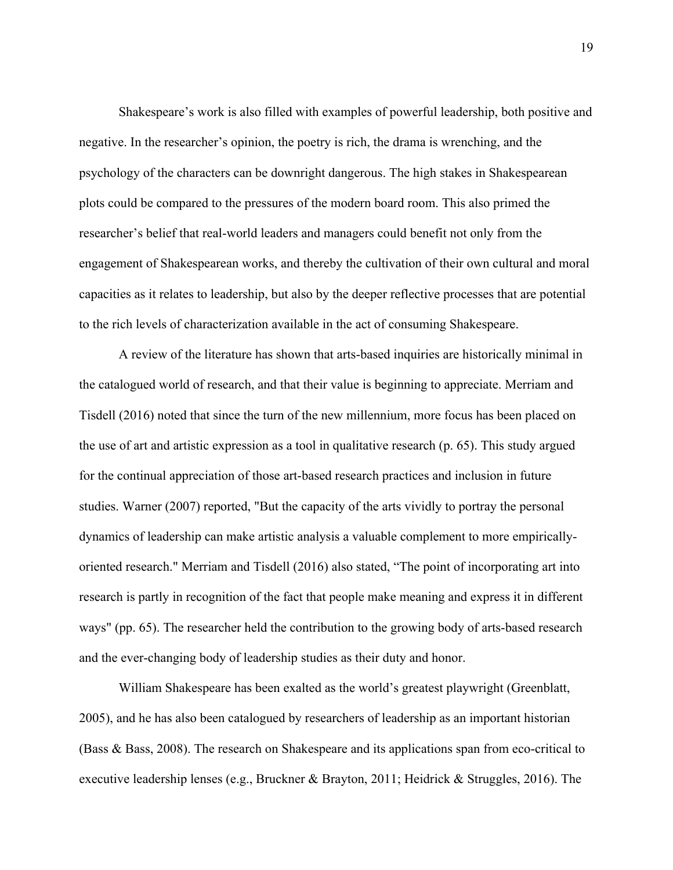Shakespeare's work is also filled with examples of powerful leadership, both positive and negative. In the researcher's opinion, the poetry is rich, the drama is wrenching, and the psychology of the characters can be downright dangerous. The high stakes in Shakespearean plots could be compared to the pressures of the modern board room. This also primed the researcher's belief that real-world leaders and managers could benefit not only from the engagement of Shakespearean works, and thereby the cultivation of their own cultural and moral capacities as it relates to leadership, but also by the deeper reflective processes that are potential to the rich levels of characterization available in the act of consuming Shakespeare.

A review of the literature has shown that arts-based inquiries are historically minimal in the catalogued world of research, and that their value is beginning to appreciate. Merriam and Tisdell (2016) noted that since the turn of the new millennium, more focus has been placed on the use of art and artistic expression as a tool in qualitative research (p. 65). This study argued for the continual appreciation of those art-based research practices and inclusion in future studies. Warner (2007) reported, "But the capacity of the arts vividly to portray the personal dynamics of leadership can make artistic analysis a valuable complement to more empiricallyoriented research." Merriam and Tisdell (2016) also stated, "The point of incorporating art into research is partly in recognition of the fact that people make meaning and express it in different ways" (pp. 65). The researcher held the contribution to the growing body of arts-based research and the ever-changing body of leadership studies as their duty and honor.

William Shakespeare has been exalted as the world's greatest playwright (Greenblatt, 2005), and he has also been catalogued by researchers of leadership as an important historian (Bass & Bass, 2008). The research on Shakespeare and its applications span from eco-critical to executive leadership lenses (e.g., Bruckner & Brayton, 2011; Heidrick & Struggles, 2016). The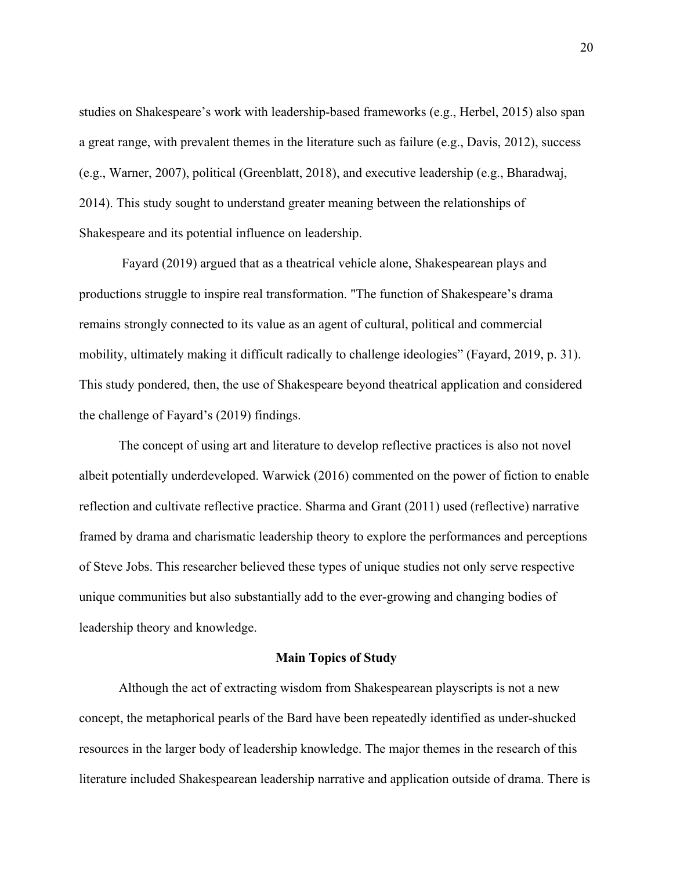studies on Shakespeare's work with leadership-based frameworks (e.g., Herbel, 2015) also span a great range, with prevalent themes in the literature such as failure (e.g., Davis, 2012), success (e.g., Warner, 2007), political (Greenblatt, 2018), and executive leadership (e.g., Bharadwaj, 2014). This study sought to understand greater meaning between the relationships of Shakespeare and its potential influence on leadership.

Fayard (2019) argued that as a theatrical vehicle alone, Shakespearean plays and productions struggle to inspire real transformation. "The function of Shakespeare's drama remains strongly connected to its value as an agent of cultural, political and commercial mobility, ultimately making it difficult radically to challenge ideologies" (Fayard, 2019, p. 31). This study pondered, then, the use of Shakespeare beyond theatrical application and considered the challenge of Fayard's (2019) findings.

The concept of using art and literature to develop reflective practices is also not novel albeit potentially underdeveloped. Warwick (2016) commented on the power of fiction to enable reflection and cultivate reflective practice. Sharma and Grant (2011) used (reflective) narrative framed by drama and charismatic leadership theory to explore the performances and perceptions of Steve Jobs. This researcher believed these types of unique studies not only serve respective unique communities but also substantially add to the ever-growing and changing bodies of leadership theory and knowledge.

## **Main Topics of Study**

Although the act of extracting wisdom from Shakespearean playscripts is not a new concept, the metaphorical pearls of the Bard have been repeatedly identified as under-shucked resources in the larger body of leadership knowledge. The major themes in the research of this literature included Shakespearean leadership narrative and application outside of drama. There is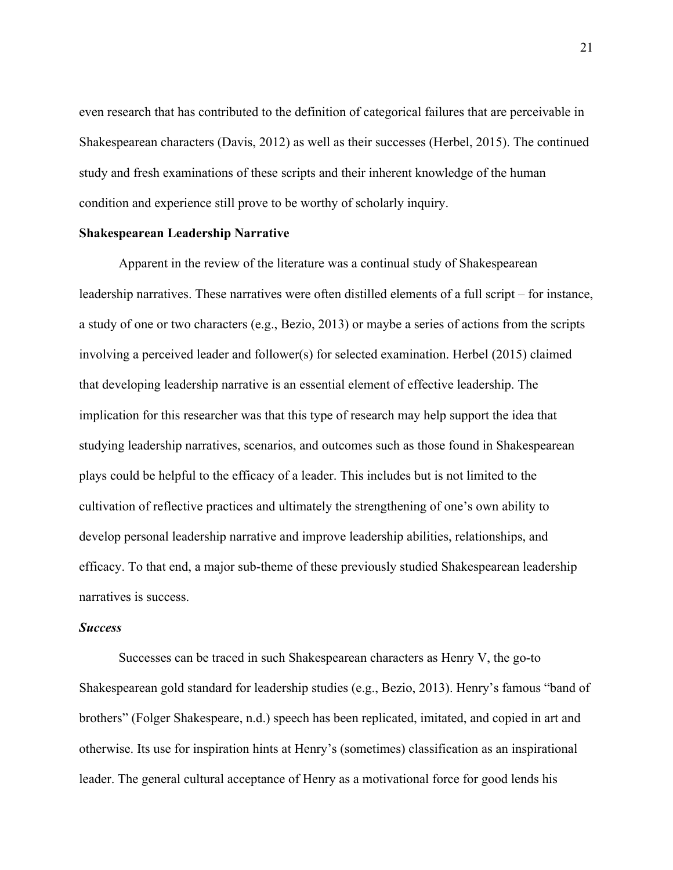even research that has contributed to the definition of categorical failures that are perceivable in Shakespearean characters (Davis, 2012) as well as their successes (Herbel, 2015). The continued study and fresh examinations of these scripts and their inherent knowledge of the human condition and experience still prove to be worthy of scholarly inquiry.

#### **Shakespearean Leadership Narrative**

Apparent in the review of the literature was a continual study of Shakespearean leadership narratives. These narratives were often distilled elements of a full script – for instance, a study of one or two characters (e.g., Bezio, 2013) or maybe a series of actions from the scripts involving a perceived leader and follower(s) for selected examination. Herbel (2015) claimed that developing leadership narrative is an essential element of effective leadership. The implication for this researcher was that this type of research may help support the idea that studying leadership narratives, scenarios, and outcomes such as those found in Shakespearean plays could be helpful to the efficacy of a leader. This includes but is not limited to the cultivation of reflective practices and ultimately the strengthening of one's own ability to develop personal leadership narrative and improve leadership abilities, relationships, and efficacy. To that end, a major sub-theme of these previously studied Shakespearean leadership narratives is success.

## *Success*

Successes can be traced in such Shakespearean characters as Henry V, the go-to Shakespearean gold standard for leadership studies (e.g., Bezio, 2013). Henry's famous "band of brothers" (Folger Shakespeare, n.d.) speech has been replicated, imitated, and copied in art and otherwise. Its use for inspiration hints at Henry's (sometimes) classification as an inspirational leader. The general cultural acceptance of Henry as a motivational force for good lends his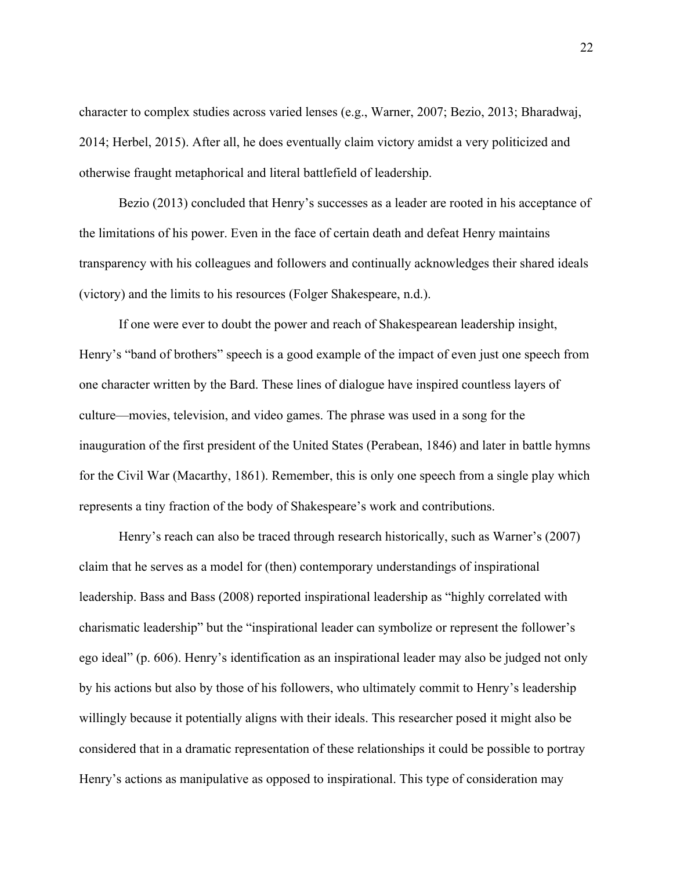character to complex studies across varied lenses (e.g., Warner, 2007; Bezio, 2013; Bharadwaj, 2014; Herbel, 2015). After all, he does eventually claim victory amidst a very politicized and otherwise fraught metaphorical and literal battlefield of leadership.

Bezio (2013) concluded that Henry's successes as a leader are rooted in his acceptance of the limitations of his power. Even in the face of certain death and defeat Henry maintains transparency with his colleagues and followers and continually acknowledges their shared ideals (victory) and the limits to his resources (Folger Shakespeare, n.d.).

If one were ever to doubt the power and reach of Shakespearean leadership insight, Henry's "band of brothers" speech is a good example of the impact of even just one speech from one character written by the Bard. These lines of dialogue have inspired countless layers of culture—movies, television, and video games. The phrase was used in a song for the inauguration of the first president of the United States (Perabean, 1846) and later in battle hymns for the Civil War (Macarthy, 1861). Remember, this is only one speech from a single play which represents a tiny fraction of the body of Shakespeare's work and contributions.

Henry's reach can also be traced through research historically, such as Warner's (2007) claim that he serves as a model for (then) contemporary understandings of inspirational leadership. Bass and Bass (2008) reported inspirational leadership as "highly correlated with charismatic leadership" but the "inspirational leader can symbolize or represent the follower's ego ideal" (p. 606). Henry's identification as an inspirational leader may also be judged not only by his actions but also by those of his followers, who ultimately commit to Henry's leadership willingly because it potentially aligns with their ideals. This researcher posed it might also be considered that in a dramatic representation of these relationships it could be possible to portray Henry's actions as manipulative as opposed to inspirational. This type of consideration may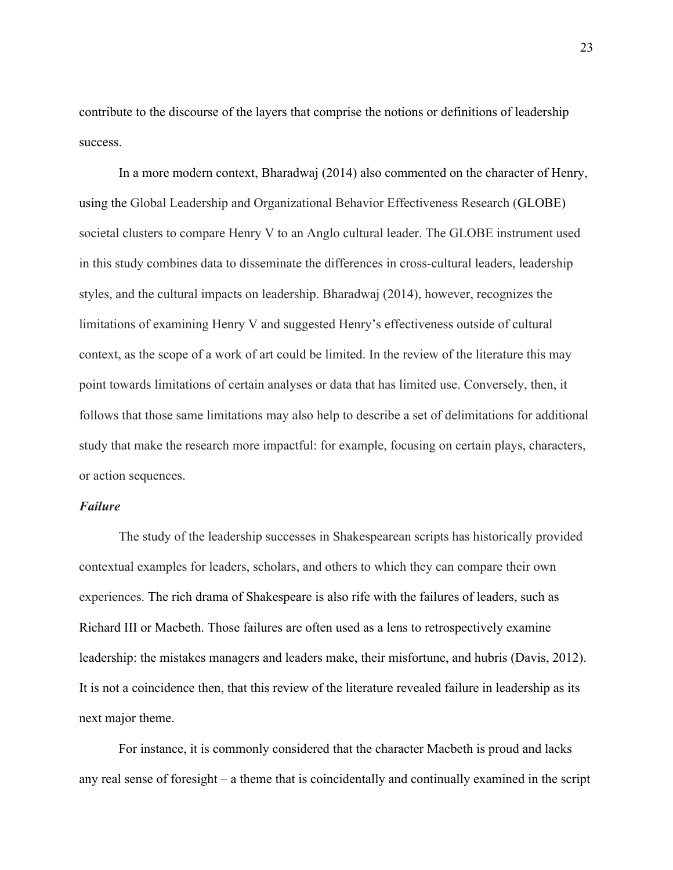contribute to the discourse of the layers that comprise the notions or definitions of leadership success.

In a more modern context, Bharadwaj (2014) also commented on the character of Henry, using the Global Leadership and Organizational Behavior Effectiveness Research (GLOBE) societal clusters to compare Henry V to an Anglo cultural leader. The GLOBE instrument used in this study combines data to disseminate the differences in cross-cultural leaders, leadership styles, and the cultural impacts on leadership. Bharadwaj (2014), however, recognizes the limitations of examining Henry V and suggested Henry's effectiveness outside of cultural context, as the scope of a work of art could be limited. In the review of the literature this may point towards limitations of certain analyses or data that has limited use. Conversely, then, it follows that those same limitations may also help to describe a set of delimitations for additional study that make the research more impactful: for example, focusing on certain plays, characters, or action sequences.

## *Failure*

The study of the leadership successes in Shakespearean scripts has historically provided contextual examples for leaders, scholars, and others to which they can compare their own experiences. The rich drama of Shakespeare is also rife with the failures of leaders, such as Richard III or Macbeth. Those failures are often used as a lens to retrospectively examine leadership: the mistakes managers and leaders make, their misfortune, and hubris (Davis, 2012). It is not a coincidence then, that this review of the literature revealed failure in leadership as its next major theme.

For instance, it is commonly considered that the character Macbeth is proud and lacks any real sense of foresight – a theme that is coincidentally and continually examined in the script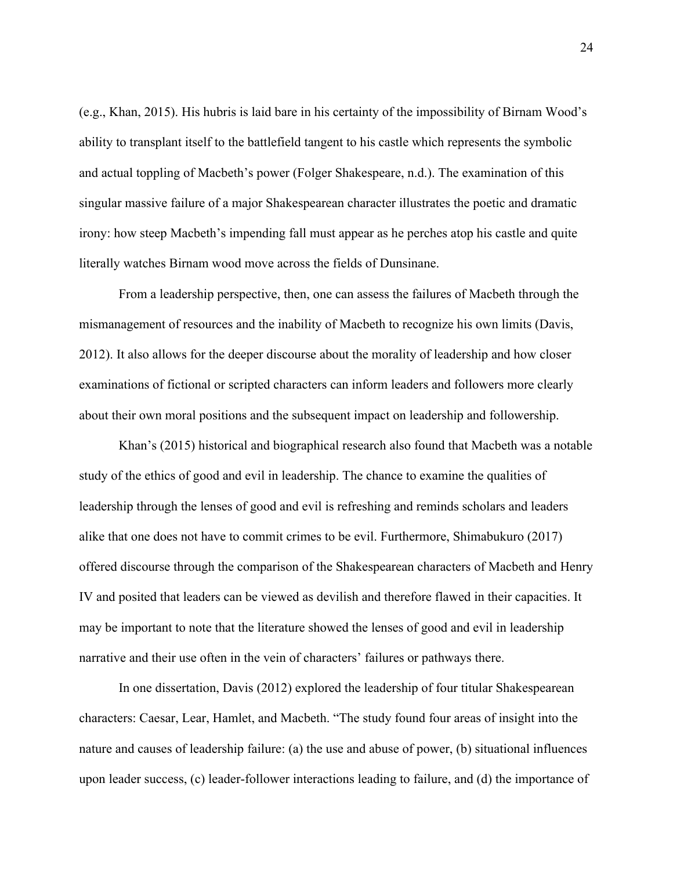(e.g., Khan, 2015). His hubris is laid bare in his certainty of the impossibility of Birnam Wood's ability to transplant itself to the battlefield tangent to his castle which represents the symbolic and actual toppling of Macbeth's power (Folger Shakespeare, n.d.). The examination of this singular massive failure of a major Shakespearean character illustrates the poetic and dramatic irony: how steep Macbeth's impending fall must appear as he perches atop his castle and quite literally watches Birnam wood move across the fields of Dunsinane.

From a leadership perspective, then, one can assess the failures of Macbeth through the mismanagement of resources and the inability of Macbeth to recognize his own limits (Davis, 2012). It also allows for the deeper discourse about the morality of leadership and how closer examinations of fictional or scripted characters can inform leaders and followers more clearly about their own moral positions and the subsequent impact on leadership and followership.

Khan's (2015) historical and biographical research also found that Macbeth was a notable study of the ethics of good and evil in leadership. The chance to examine the qualities of leadership through the lenses of good and evil is refreshing and reminds scholars and leaders alike that one does not have to commit crimes to be evil. Furthermore, Shimabukuro (2017) offered discourse through the comparison of the Shakespearean characters of Macbeth and Henry IV and posited that leaders can be viewed as devilish and therefore flawed in their capacities. It may be important to note that the literature showed the lenses of good and evil in leadership narrative and their use often in the vein of characters' failures or pathways there.

In one dissertation, Davis (2012) explored the leadership of four titular Shakespearean characters: Caesar, Lear, Hamlet, and Macbeth. "The study found four areas of insight into the nature and causes of leadership failure: (a) the use and abuse of power, (b) situational influences upon leader success, (c) leader-follower interactions leading to failure, and (d) the importance of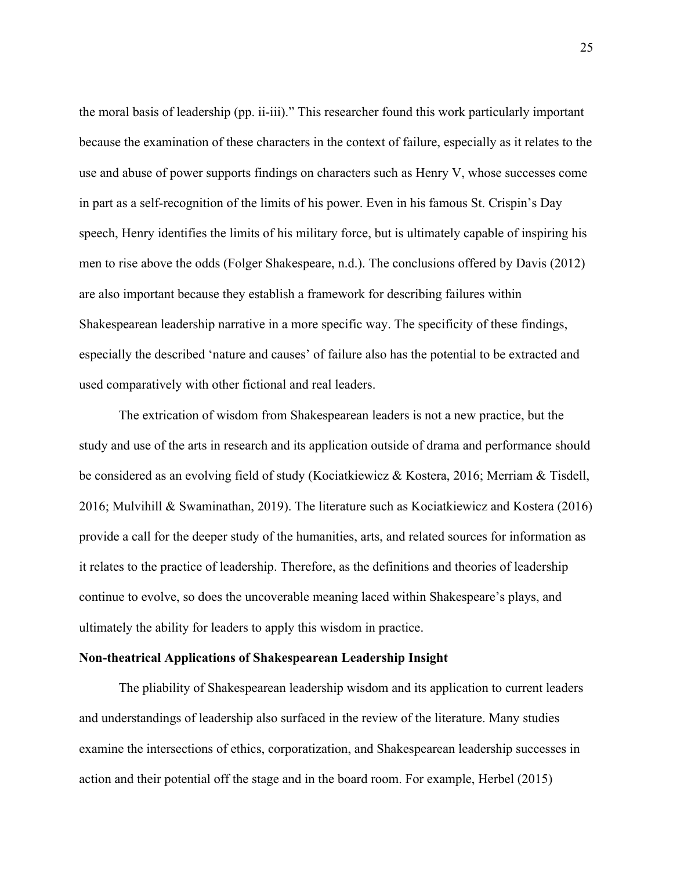the moral basis of leadership (pp. ii-iii)." This researcher found this work particularly important because the examination of these characters in the context of failure, especially as it relates to the use and abuse of power supports findings on characters such as Henry V, whose successes come in part as a self-recognition of the limits of his power. Even in his famous St. Crispin's Day speech, Henry identifies the limits of his military force, but is ultimately capable of inspiring his men to rise above the odds (Folger Shakespeare, n.d.). The conclusions offered by Davis (2012) are also important because they establish a framework for describing failures within Shakespearean leadership narrative in a more specific way. The specificity of these findings, especially the described 'nature and causes' of failure also has the potential to be extracted and used comparatively with other fictional and real leaders.

The extrication of wisdom from Shakespearean leaders is not a new practice, but the study and use of the arts in research and its application outside of drama and performance should be considered as an evolving field of study (Kociatkiewicz & Kostera, 2016; Merriam & Tisdell, 2016; Mulvihill & Swaminathan, 2019). The literature such as Kociatkiewicz and Kostera (2016) provide a call for the deeper study of the humanities, arts, and related sources for information as it relates to the practice of leadership. Therefore, as the definitions and theories of leadership continue to evolve, so does the uncoverable meaning laced within Shakespeare's plays, and ultimately the ability for leaders to apply this wisdom in practice.

## **Non-theatrical Applications of Shakespearean Leadership Insight**

The pliability of Shakespearean leadership wisdom and its application to current leaders and understandings of leadership also surfaced in the review of the literature. Many studies examine the intersections of ethics, corporatization, and Shakespearean leadership successes in action and their potential off the stage and in the board room. For example, Herbel (2015)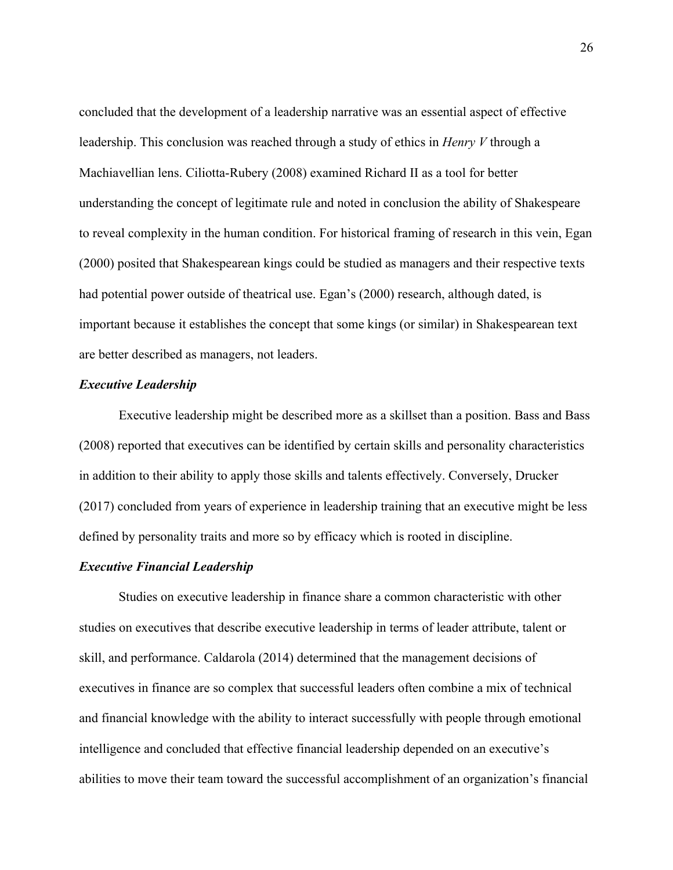concluded that the development of a leadership narrative was an essential aspect of effective leadership. This conclusion was reached through a study of ethics in *Henry V* through a Machiavellian lens. Ciliotta-Rubery (2008) examined Richard II as a tool for better understanding the concept of legitimate rule and noted in conclusion the ability of Shakespeare to reveal complexity in the human condition. For historical framing of research in this vein, Egan (2000) posited that Shakespearean kings could be studied as managers and their respective texts had potential power outside of theatrical use. Egan's (2000) research, although dated, is important because it establishes the concept that some kings (or similar) in Shakespearean text are better described as managers, not leaders.

### *Executive Leadership*

Executive leadership might be described more as a skillset than a position. Bass and Bass (2008) reported that executives can be identified by certain skills and personality characteristics in addition to their ability to apply those skills and talents effectively. Conversely, Drucker (2017) concluded from years of experience in leadership training that an executive might be less defined by personality traits and more so by efficacy which is rooted in discipline.

### *Executive Financial Leadership*

Studies on executive leadership in finance share a common characteristic with other studies on executives that describe executive leadership in terms of leader attribute, talent or skill, and performance. Caldarola (2014) determined that the management decisions of executives in finance are so complex that successful leaders often combine a mix of technical and financial knowledge with the ability to interact successfully with people through emotional intelligence and concluded that effective financial leadership depended on an executive's abilities to move their team toward the successful accomplishment of an organization's financial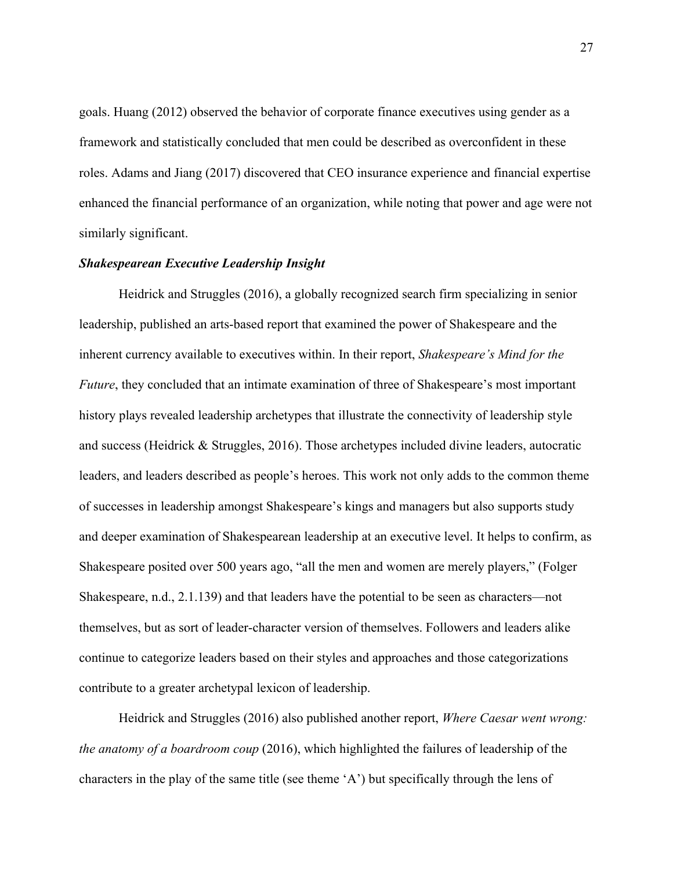goals. Huang (2012) observed the behavior of corporate finance executives using gender as a framework and statistically concluded that men could be described as overconfident in these roles. Adams and Jiang (2017) discovered that CEO insurance experience and financial expertise enhanced the financial performance of an organization, while noting that power and age were not similarly significant.

### *Shakespearean Executive Leadership Insight*

Heidrick and Struggles (2016), a globally recognized search firm specializing in senior leadership, published an arts-based report that examined the power of Shakespeare and the inherent currency available to executives within. In their report, *Shakespeare's Mind for the Future*, they concluded that an intimate examination of three of Shakespeare's most important history plays revealed leadership archetypes that illustrate the connectivity of leadership style and success (Heidrick & Struggles, 2016). Those archetypes included divine leaders, autocratic leaders, and leaders described as people's heroes. This work not only adds to the common theme of successes in leadership amongst Shakespeare's kings and managers but also supports study and deeper examination of Shakespearean leadership at an executive level. It helps to confirm, as Shakespeare posited over 500 years ago, "all the men and women are merely players," (Folger Shakespeare, n.d., 2.1.139) and that leaders have the potential to be seen as characters—not themselves, but as sort of leader-character version of themselves. Followers and leaders alike continue to categorize leaders based on their styles and approaches and those categorizations contribute to a greater archetypal lexicon of leadership.

Heidrick and Struggles (2016) also published another report, *Where Caesar went wrong: the anatomy of a boardroom coup* (2016), which highlighted the failures of leadership of the characters in the play of the same title (see theme 'A') but specifically through the lens of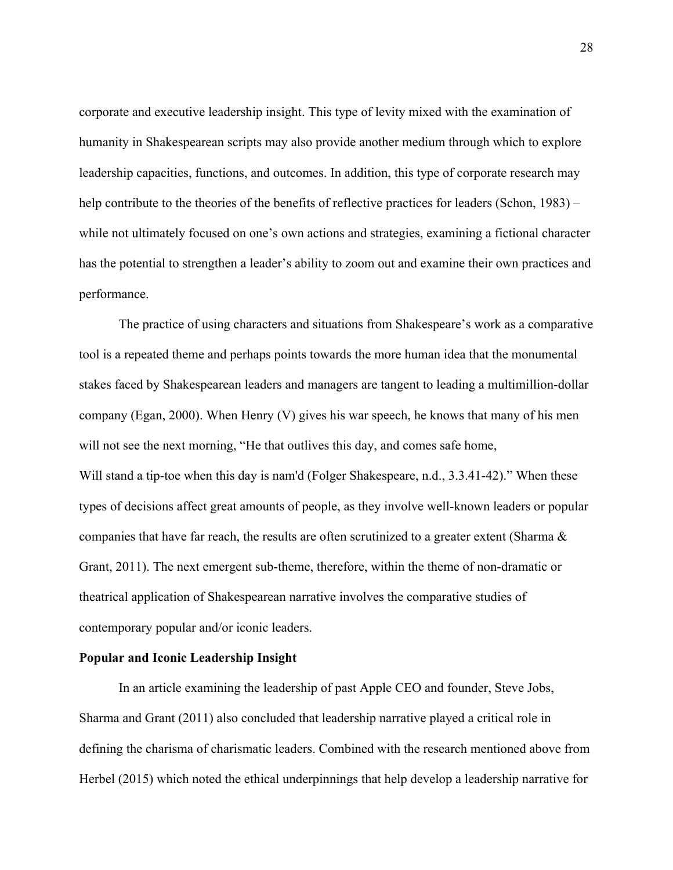corporate and executive leadership insight. This type of levity mixed with the examination of humanity in Shakespearean scripts may also provide another medium through which to explore leadership capacities, functions, and outcomes. In addition, this type of corporate research may help contribute to the theories of the benefits of reflective practices for leaders (Schon, 1983) – while not ultimately focused on one's own actions and strategies, examining a fictional character has the potential to strengthen a leader's ability to zoom out and examine their own practices and performance.

The practice of using characters and situations from Shakespeare's work as a comparative tool is a repeated theme and perhaps points towards the more human idea that the monumental stakes faced by Shakespearean leaders and managers are tangent to leading a multimillion-dollar company (Egan, 2000). When Henry (V) gives his war speech, he knows that many of his men will not see the next morning, "He that outlives this day, and comes safe home, Will stand a tip-toe when this day is nam'd (Folger Shakespeare, n.d., 3.3.41-42)." When these types of decisions affect great amounts of people, as they involve well-known leaders or popular companies that have far reach, the results are often scrutinized to a greater extent (Sharma  $\&$ Grant, 2011). The next emergent sub-theme, therefore, within the theme of non-dramatic or theatrical application of Shakespearean narrative involves the comparative studies of contemporary popular and/or iconic leaders.

## **Popular and Iconic Leadership Insight**

In an article examining the leadership of past Apple CEO and founder, Steve Jobs, Sharma and Grant (2011) also concluded that leadership narrative played a critical role in defining the charisma of charismatic leaders. Combined with the research mentioned above from Herbel (2015) which noted the ethical underpinnings that help develop a leadership narrative for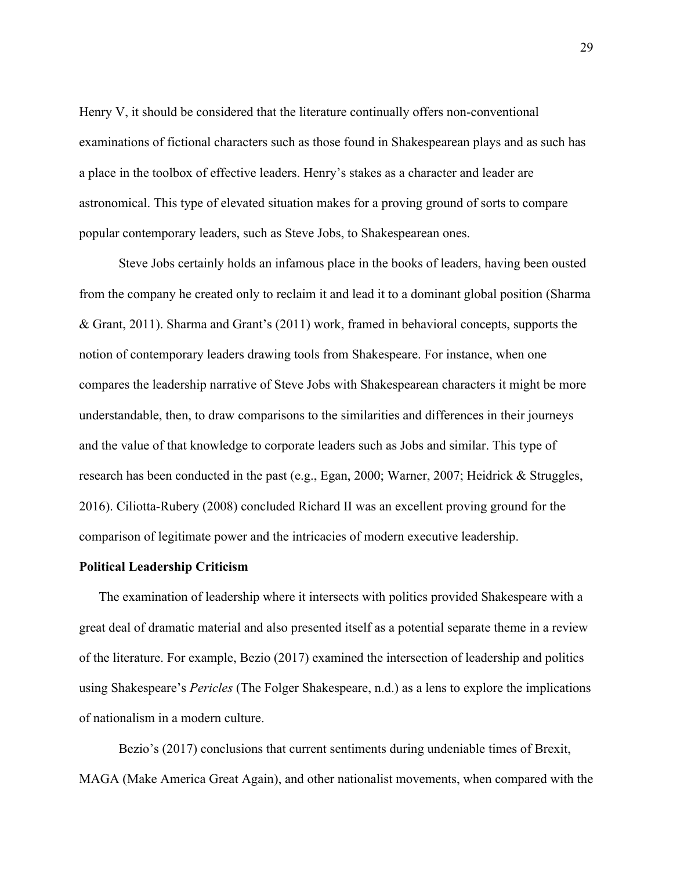Henry V, it should be considered that the literature continually offers non-conventional examinations of fictional characters such as those found in Shakespearean plays and as such has a place in the toolbox of effective leaders. Henry's stakes as a character and leader are astronomical. This type of elevated situation makes for a proving ground of sorts to compare popular contemporary leaders, such as Steve Jobs, to Shakespearean ones.

Steve Jobs certainly holds an infamous place in the books of leaders, having been ousted from the company he created only to reclaim it and lead it to a dominant global position (Sharma & Grant, 2011). Sharma and Grant's (2011) work, framed in behavioral concepts, supports the notion of contemporary leaders drawing tools from Shakespeare. For instance, when one compares the leadership narrative of Steve Jobs with Shakespearean characters it might be more understandable, then, to draw comparisons to the similarities and differences in their journeys and the value of that knowledge to corporate leaders such as Jobs and similar. This type of research has been conducted in the past (e.g., Egan, 2000; Warner, 2007; Heidrick & Struggles, 2016). Ciliotta-Rubery (2008) concluded Richard II was an excellent proving ground for the comparison of legitimate power and the intricacies of modern executive leadership.

### **Political Leadership Criticism**

The examination of leadership where it intersects with politics provided Shakespeare with a great deal of dramatic material and also presented itself as a potential separate theme in a review of the literature. For example, Bezio (2017) examined the intersection of leadership and politics using Shakespeare's *Pericles* (The Folger Shakespeare, n.d.) as a lens to explore the implications of nationalism in a modern culture.

Bezio's (2017) conclusions that current sentiments during undeniable times of Brexit, MAGA (Make America Great Again), and other nationalist movements, when compared with the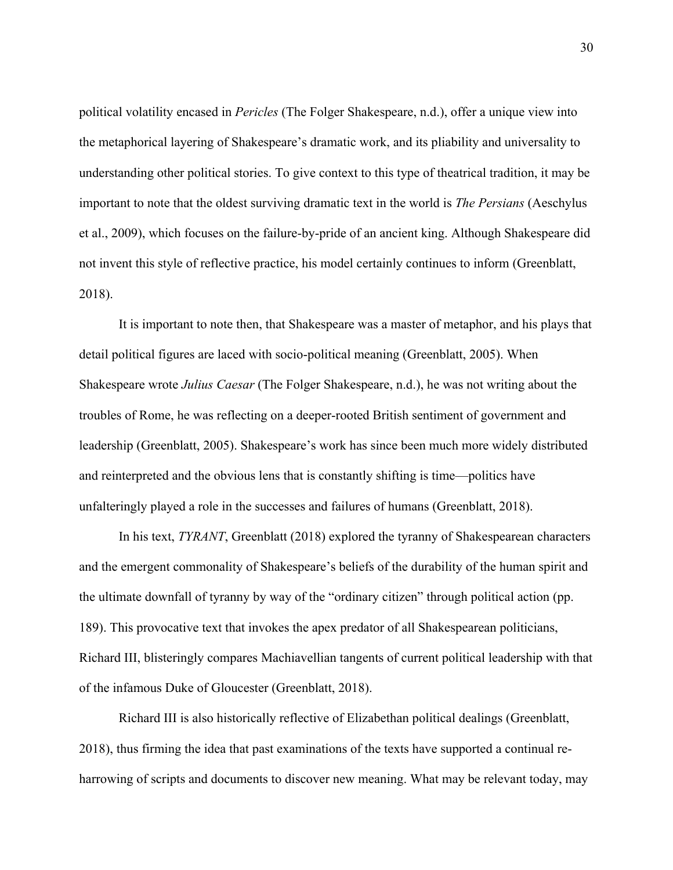political volatility encased in *Pericles* (The Folger Shakespeare, n.d.), offer a unique view into the metaphorical layering of Shakespeare's dramatic work, and its pliability and universality to understanding other political stories. To give context to this type of theatrical tradition, it may be important to note that the oldest surviving dramatic text in the world is *The Persians* (Aeschylus et al., 2009), which focuses on the failure-by-pride of an ancient king. Although Shakespeare did not invent this style of reflective practice, his model certainly continues to inform (Greenblatt, 2018).

It is important to note then, that Shakespeare was a master of metaphor, and his plays that detail political figures are laced with socio-political meaning (Greenblatt, 2005). When Shakespeare wrote *Julius Caesar* (The Folger Shakespeare, n.d.), he was not writing about the troubles of Rome, he was reflecting on a deeper-rooted British sentiment of government and leadership (Greenblatt, 2005). Shakespeare's work has since been much more widely distributed and reinterpreted and the obvious lens that is constantly shifting is time—politics have unfalteringly played a role in the successes and failures of humans (Greenblatt, 2018).

In his text, *TYRANT*, Greenblatt (2018) explored the tyranny of Shakespearean characters and the emergent commonality of Shakespeare's beliefs of the durability of the human spirit and the ultimate downfall of tyranny by way of the "ordinary citizen" through political action (pp. 189). This provocative text that invokes the apex predator of all Shakespearean politicians, Richard III, blisteringly compares Machiavellian tangents of current political leadership with that of the infamous Duke of Gloucester (Greenblatt, 2018).

Richard III is also historically reflective of Elizabethan political dealings (Greenblatt, 2018), thus firming the idea that past examinations of the texts have supported a continual reharrowing of scripts and documents to discover new meaning. What may be relevant today, may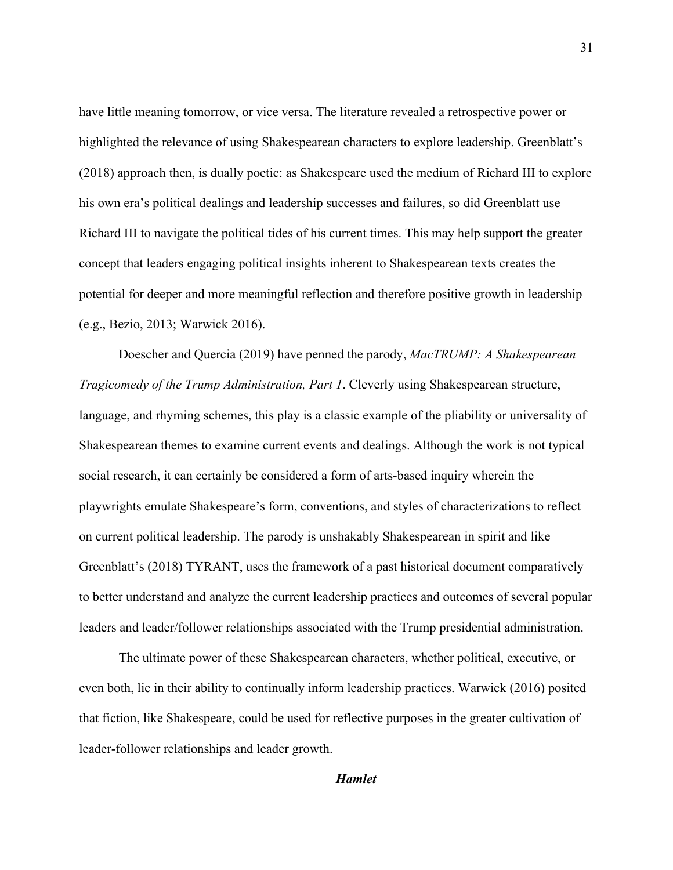have little meaning tomorrow, or vice versa. The literature revealed a retrospective power or highlighted the relevance of using Shakespearean characters to explore leadership. Greenblatt's (2018) approach then, is dually poetic: as Shakespeare used the medium of Richard III to explore his own era's political dealings and leadership successes and failures, so did Greenblatt use Richard III to navigate the political tides of his current times. This may help support the greater concept that leaders engaging political insights inherent to Shakespearean texts creates the potential for deeper and more meaningful reflection and therefore positive growth in leadership (e.g., Bezio, 2013; Warwick 2016).

Doescher and Quercia (2019) have penned the parody, *MacTRUMP: A Shakespearean Tragicomedy of the Trump Administration, Part 1*. Cleverly using Shakespearean structure, language, and rhyming schemes, this play is a classic example of the pliability or universality of Shakespearean themes to examine current events and dealings. Although the work is not typical social research, it can certainly be considered a form of arts-based inquiry wherein the playwrights emulate Shakespeare's form, conventions, and styles of characterizations to reflect on current political leadership. The parody is unshakably Shakespearean in spirit and like Greenblatt's (2018) TYRANT, uses the framework of a past historical document comparatively to better understand and analyze the current leadership practices and outcomes of several popular leaders and leader/follower relationships associated with the Trump presidential administration.

The ultimate power of these Shakespearean characters, whether political, executive, or even both, lie in their ability to continually inform leadership practices. Warwick (2016) posited that fiction, like Shakespeare, could be used for reflective purposes in the greater cultivation of leader-follower relationships and leader growth.

# *Hamlet*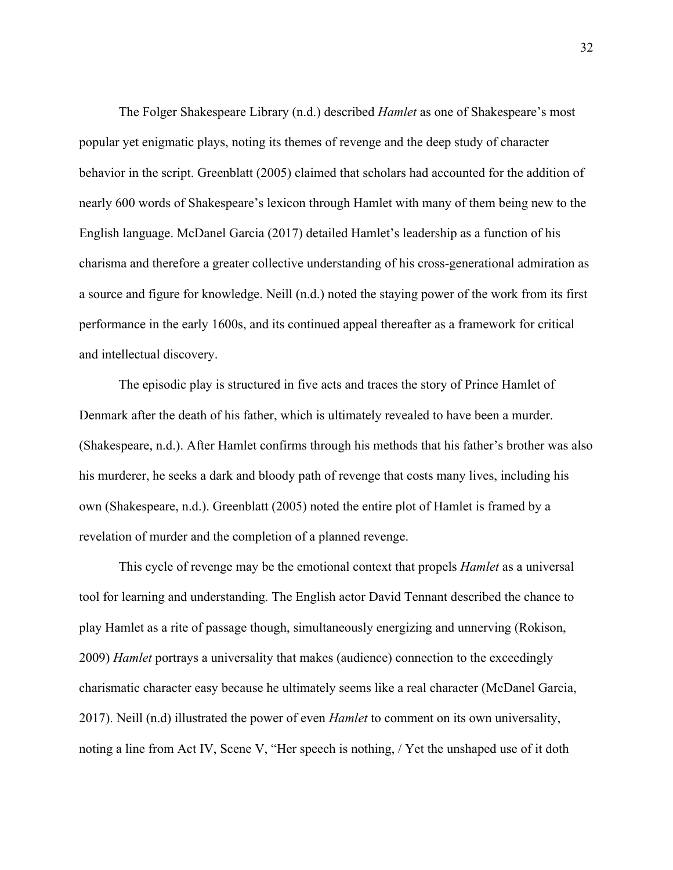The Folger Shakespeare Library (n.d.) described *Hamlet* as one of Shakespeare's most popular yet enigmatic plays, noting its themes of revenge and the deep study of character behavior in the script. Greenblatt (2005) claimed that scholars had accounted for the addition of nearly 600 words of Shakespeare's lexicon through Hamlet with many of them being new to the English language. McDanel Garcia (2017) detailed Hamlet's leadership as a function of his charisma and therefore a greater collective understanding of his cross-generational admiration as a source and figure for knowledge. Neill (n.d.) noted the staying power of the work from its first performance in the early 1600s, and its continued appeal thereafter as a framework for critical and intellectual discovery.

The episodic play is structured in five acts and traces the story of Prince Hamlet of Denmark after the death of his father, which is ultimately revealed to have been a murder. (Shakespeare, n.d.). After Hamlet confirms through his methods that his father's brother was also his murderer, he seeks a dark and bloody path of revenge that costs many lives, including his own (Shakespeare, n.d.). Greenblatt (2005) noted the entire plot of Hamlet is framed by a revelation of murder and the completion of a planned revenge.

This cycle of revenge may be the emotional context that propels *Hamlet* as a universal tool for learning and understanding. The English actor David Tennant described the chance to play Hamlet as a rite of passage though, simultaneously energizing and unnerving (Rokison, 2009) *Hamlet* portrays a universality that makes (audience) connection to the exceedingly charismatic character easy because he ultimately seems like a real character (McDanel Garcia, 2017). Neill (n.d) illustrated the power of even *Hamlet* to comment on its own universality, noting a line from Act IV, Scene V, "Her speech is nothing, / Yet the unshaped use of it doth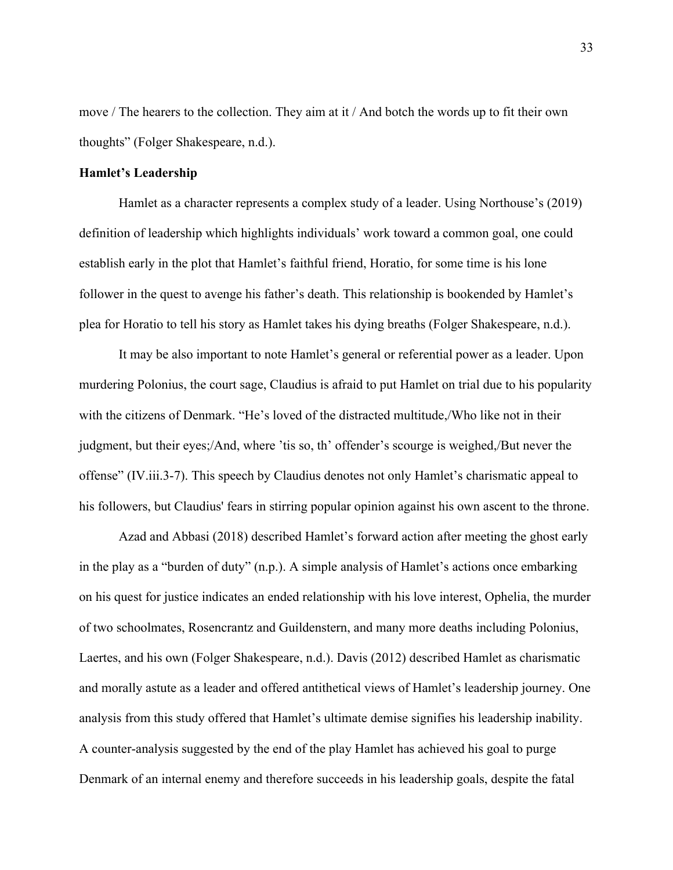move / The hearers to the collection. They aim at it / And botch the words up to fit their own thoughts" (Folger Shakespeare, n.d.).

## **Hamlet's Leadership**

Hamlet as a character represents a complex study of a leader. Using Northouse's (2019) definition of leadership which highlights individuals' work toward a common goal, one could establish early in the plot that Hamlet's faithful friend, Horatio, for some time is his lone follower in the quest to avenge his father's death. This relationship is bookended by Hamlet's plea for Horatio to tell his story as Hamlet takes his dying breaths (Folger Shakespeare, n.d.).

It may be also important to note Hamlet's general or referential power as a leader. Upon murdering Polonius, the court sage, Claudius is afraid to put Hamlet on trial due to his popularity with the citizens of Denmark. "He's loved of the distracted multitude,/Who like not in their judgment, but their eyes;/And, where 'tis so, th' offender's scourge is weighed,/But never the offense" (IV.iii.3-7). This speech by Claudius denotes not only Hamlet's charismatic appeal to his followers, but Claudius' fears in stirring popular opinion against his own ascent to the throne.

Azad and Abbasi (2018) described Hamlet's forward action after meeting the ghost early in the play as a "burden of duty" (n.p.). A simple analysis of Hamlet's actions once embarking on his quest for justice indicates an ended relationship with his love interest, Ophelia, the murder of two schoolmates, Rosencrantz and Guildenstern, and many more deaths including Polonius, Laertes, and his own (Folger Shakespeare, n.d.). Davis (2012) described Hamlet as charismatic and morally astute as a leader and offered antithetical views of Hamlet's leadership journey. One analysis from this study offered that Hamlet's ultimate demise signifies his leadership inability. A counter-analysis suggested by the end of the play Hamlet has achieved his goal to purge Denmark of an internal enemy and therefore succeeds in his leadership goals, despite the fatal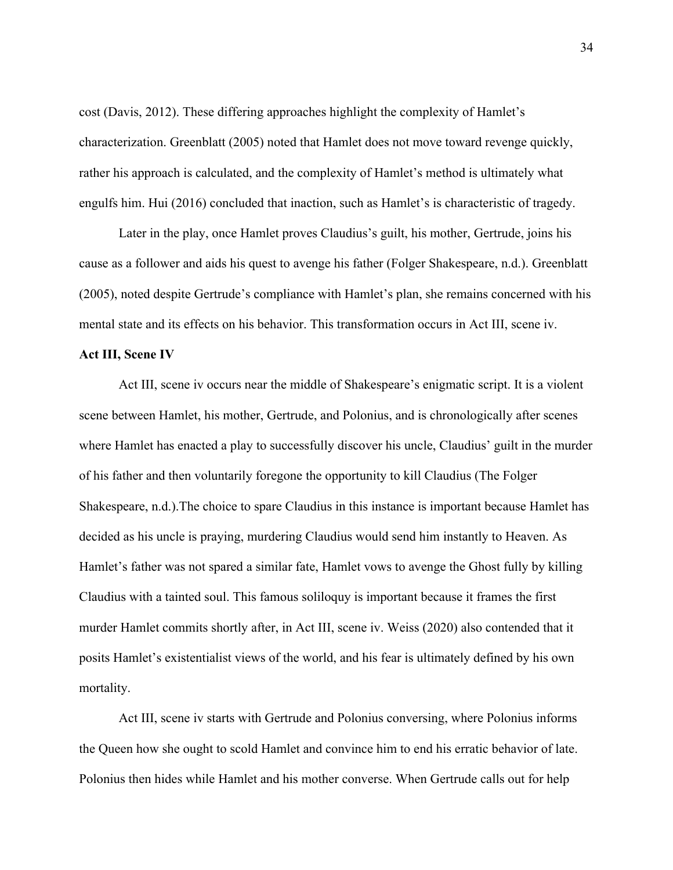cost (Davis, 2012). These differing approaches highlight the complexity of Hamlet's characterization. Greenblatt (2005) noted that Hamlet does not move toward revenge quickly, rather his approach is calculated, and the complexity of Hamlet's method is ultimately what engulfs him. Hui (2016) concluded that inaction, such as Hamlet's is characteristic of tragedy.

Later in the play, once Hamlet proves Claudius's guilt, his mother, Gertrude, joins his cause as a follower and aids his quest to avenge his father (Folger Shakespeare, n.d.). Greenblatt (2005), noted despite Gertrude's compliance with Hamlet's plan, she remains concerned with his mental state and its effects on his behavior. This transformation occurs in Act III, scene iv.

## **Act III, Scene IV**

Act III, scene iv occurs near the middle of Shakespeare's enigmatic script. It is a violent scene between Hamlet, his mother, Gertrude, and Polonius, and is chronologically after scenes where Hamlet has enacted a play to successfully discover his uncle, Claudius' guilt in the murder of his father and then voluntarily foregone the opportunity to kill Claudius (The Folger Shakespeare, n.d.).The choice to spare Claudius in this instance is important because Hamlet has decided as his uncle is praying, murdering Claudius would send him instantly to Heaven. As Hamlet's father was not spared a similar fate, Hamlet vows to avenge the Ghost fully by killing Claudius with a tainted soul. This famous soliloquy is important because it frames the first murder Hamlet commits shortly after, in Act III, scene iv. Weiss (2020) also contended that it posits Hamlet's existentialist views of the world, and his fear is ultimately defined by his own mortality.

Act III, scene iv starts with Gertrude and Polonius conversing, where Polonius informs the Queen how she ought to scold Hamlet and convince him to end his erratic behavior of late. Polonius then hides while Hamlet and his mother converse. When Gertrude calls out for help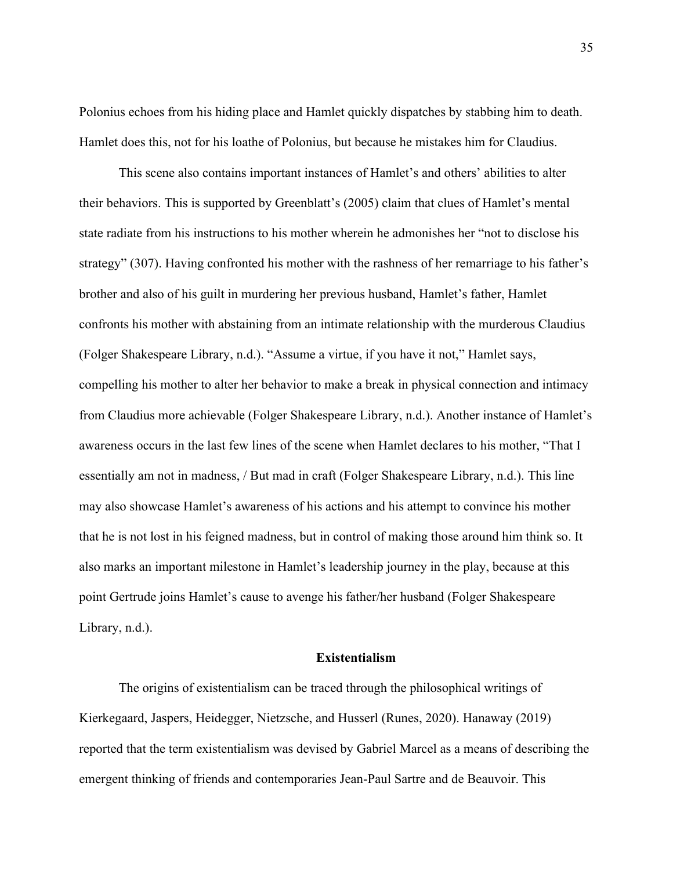Polonius echoes from his hiding place and Hamlet quickly dispatches by stabbing him to death. Hamlet does this, not for his loathe of Polonius, but because he mistakes him for Claudius.

This scene also contains important instances of Hamlet's and others' abilities to alter their behaviors. This is supported by Greenblatt's (2005) claim that clues of Hamlet's mental state radiate from his instructions to his mother wherein he admonishes her "not to disclose his strategy" (307). Having confronted his mother with the rashness of her remarriage to his father's brother and also of his guilt in murdering her previous husband, Hamlet's father, Hamlet confronts his mother with abstaining from an intimate relationship with the murderous Claudius (Folger Shakespeare Library, n.d.). "Assume a virtue, if you have it not," Hamlet says, compelling his mother to alter her behavior to make a break in physical connection and intimacy from Claudius more achievable (Folger Shakespeare Library, n.d.). Another instance of Hamlet's awareness occurs in the last few lines of the scene when Hamlet declares to his mother, "That I essentially am not in madness, / But mad in craft (Folger Shakespeare Library, n.d.). This line may also showcase Hamlet's awareness of his actions and his attempt to convince his mother that he is not lost in his feigned madness, but in control of making those around him think so. It also marks an important milestone in Hamlet's leadership journey in the play, because at this point Gertrude joins Hamlet's cause to avenge his father/her husband (Folger Shakespeare Library, n.d.).

# **Existentialism**

The origins of existentialism can be traced through the philosophical writings of Kierkegaard, Jaspers, Heidegger, Nietzsche, and Husserl (Runes, 2020). Hanaway (2019) reported that the term existentialism was devised by Gabriel Marcel as a means of describing the emergent thinking of friends and contemporaries Jean-Paul Sartre and de Beauvoir. This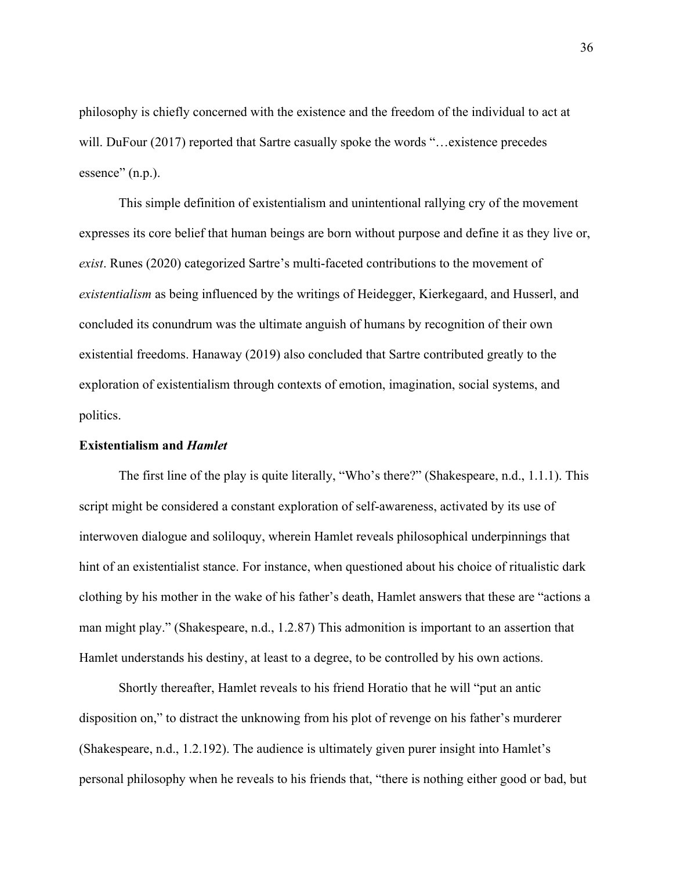philosophy is chiefly concerned with the existence and the freedom of the individual to act at will. DuFour (2017) reported that Sartre casually spoke the words "...existence precedes essence" (n.p.).

This simple definition of existentialism and unintentional rallying cry of the movement expresses its core belief that human beings are born without purpose and define it as they live or, *exist*. Runes (2020) categorized Sartre's multi-faceted contributions to the movement of *existentialism* as being influenced by the writings of Heidegger, Kierkegaard, and Husserl, and concluded its conundrum was the ultimate anguish of humans by recognition of their own existential freedoms. Hanaway (2019) also concluded that Sartre contributed greatly to the exploration of existentialism through contexts of emotion, imagination, social systems, and politics.

## **Existentialism and** *Hamlet*

The first line of the play is quite literally, "Who's there?" (Shakespeare, n.d., 1.1.1). This script might be considered a constant exploration of self-awareness, activated by its use of interwoven dialogue and soliloquy, wherein Hamlet reveals philosophical underpinnings that hint of an existentialist stance. For instance, when questioned about his choice of ritualistic dark clothing by his mother in the wake of his father's death, Hamlet answers that these are "actions a man might play." (Shakespeare, n.d., 1.2.87) This admonition is important to an assertion that Hamlet understands his destiny, at least to a degree, to be controlled by his own actions.

Shortly thereafter, Hamlet reveals to his friend Horatio that he will "put an antic disposition on," to distract the unknowing from his plot of revenge on his father's murderer (Shakespeare, n.d., 1.2.192). The audience is ultimately given purer insight into Hamlet's personal philosophy when he reveals to his friends that, "there is nothing either good or bad, but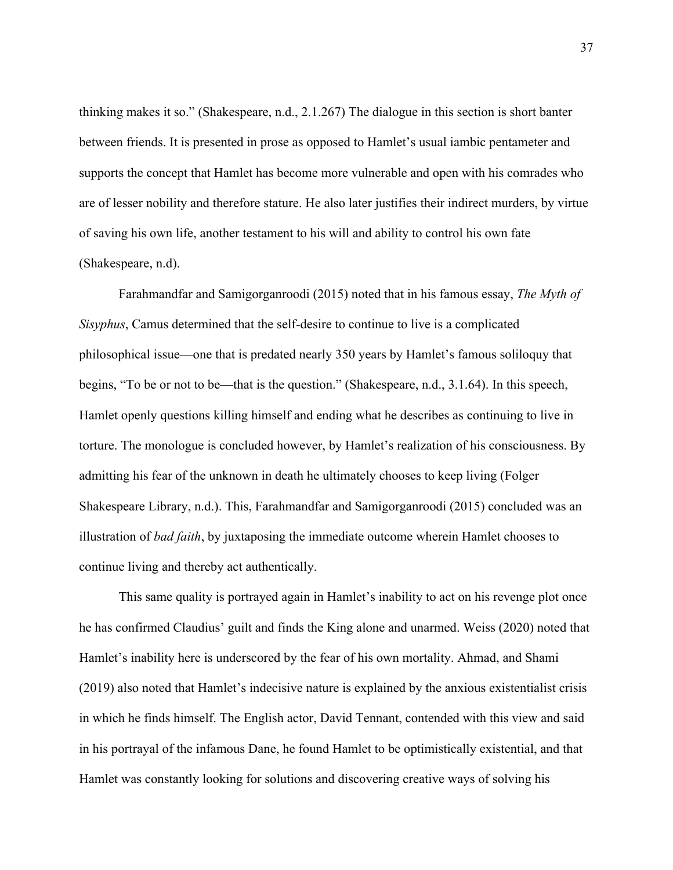thinking makes it so." (Shakespeare, n.d., 2.1.267) The dialogue in this section is short banter between friends. It is presented in prose as opposed to Hamlet's usual iambic pentameter and supports the concept that Hamlet has become more vulnerable and open with his comrades who are of lesser nobility and therefore stature. He also later justifies their indirect murders, by virtue of saving his own life, another testament to his will and ability to control his own fate (Shakespeare, n.d).

Farahmandfar and Samigorganroodi (2015) noted that in his famous essay, *The Myth of Sisyphus*, Camus determined that the self-desire to continue to live is a complicated philosophical issue—one that is predated nearly 350 years by Hamlet's famous soliloquy that begins, "To be or not to be—that is the question." (Shakespeare, n.d., 3.1.64). In this speech, Hamlet openly questions killing himself and ending what he describes as continuing to live in torture. The monologue is concluded however, by Hamlet's realization of his consciousness. By admitting his fear of the unknown in death he ultimately chooses to keep living (Folger Shakespeare Library, n.d.). This, Farahmandfar and Samigorganroodi (2015) concluded was an illustration of *bad faith*, by juxtaposing the immediate outcome wherein Hamlet chooses to continue living and thereby act authentically.

This same quality is portrayed again in Hamlet's inability to act on his revenge plot once he has confirmed Claudius' guilt and finds the King alone and unarmed. Weiss (2020) noted that Hamlet's inability here is underscored by the fear of his own mortality. Ahmad, and Shami (2019) also noted that Hamlet's indecisive nature is explained by the anxious existentialist crisis in which he finds himself. The English actor, David Tennant, contended with this view and said in his portrayal of the infamous Dane, he found Hamlet to be optimistically existential, and that Hamlet was constantly looking for solutions and discovering creative ways of solving his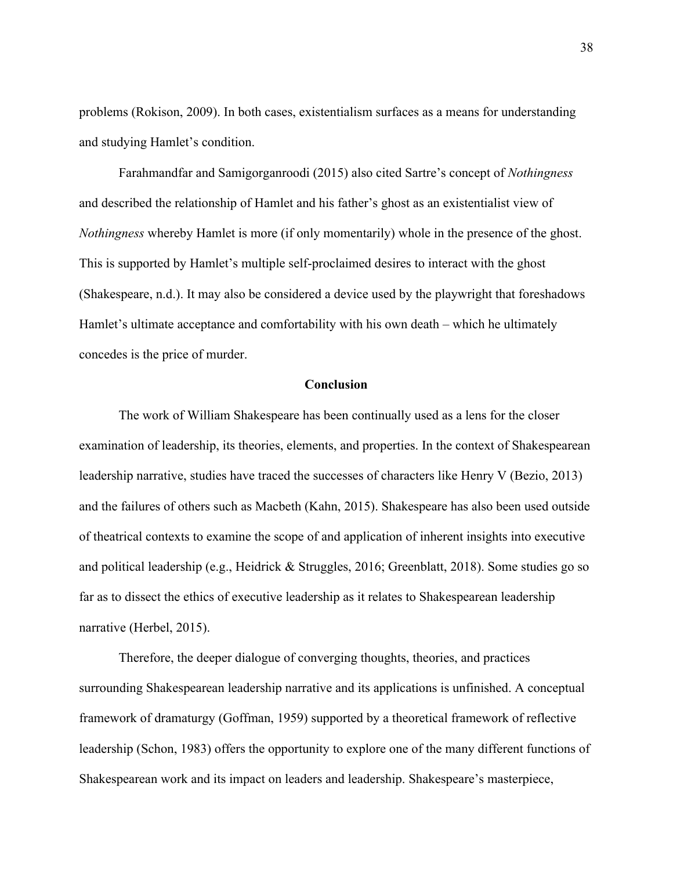problems (Rokison, 2009). In both cases, existentialism surfaces as a means for understanding and studying Hamlet's condition.

Farahmandfar and Samigorganroodi (2015) also cited Sartre's concept of *Nothingness* and described the relationship of Hamlet and his father's ghost as an existentialist view of *Nothingness* whereby Hamlet is more (if only momentarily) whole in the presence of the ghost. This is supported by Hamlet's multiple self-proclaimed desires to interact with the ghost (Shakespeare, n.d.). It may also be considered a device used by the playwright that foreshadows Hamlet's ultimate acceptance and comfortability with his own death – which he ultimately concedes is the price of murder.

## **Conclusion**

The work of William Shakespeare has been continually used as a lens for the closer examination of leadership, its theories, elements, and properties. In the context of Shakespearean leadership narrative, studies have traced the successes of characters like Henry V (Bezio, 2013) and the failures of others such as Macbeth (Kahn, 2015). Shakespeare has also been used outside of theatrical contexts to examine the scope of and application of inherent insights into executive and political leadership (e.g., Heidrick & Struggles, 2016; Greenblatt, 2018). Some studies go so far as to dissect the ethics of executive leadership as it relates to Shakespearean leadership narrative (Herbel, 2015).

Therefore, the deeper dialogue of converging thoughts, theories, and practices surrounding Shakespearean leadership narrative and its applications is unfinished. A conceptual framework of dramaturgy (Goffman, 1959) supported by a theoretical framework of reflective leadership (Schon, 1983) offers the opportunity to explore one of the many different functions of Shakespearean work and its impact on leaders and leadership. Shakespeare's masterpiece,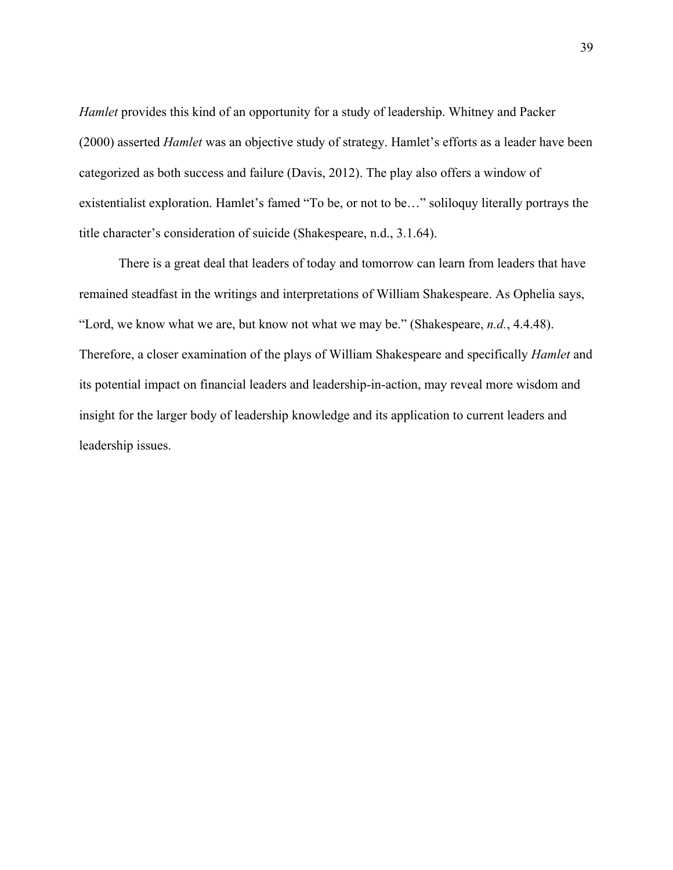*Hamlet* provides this kind of an opportunity for a study of leadership. Whitney and Packer (2000) asserted *Hamlet* was an objective study of strategy. Hamlet's efforts as a leader have been categorized as both success and failure (Davis, 2012). The play also offers a window of existentialist exploration. Hamlet's famed "To be, or not to be…" soliloquy literally portrays the title character's consideration of suicide (Shakespeare, n.d., 3.1.64).

There is a great deal that leaders of today and tomorrow can learn from leaders that have remained steadfast in the writings and interpretations of William Shakespeare. As Ophelia says, "Lord, we know what we are, but know not what we may be." (Shakespeare, *n.d.*, 4.4.48). Therefore, a closer examination of the plays of William Shakespeare and specifically *Hamlet* and its potential impact on financial leaders and leadership-in-action, may reveal more wisdom and insight for the larger body of leadership knowledge and its application to current leaders and leadership issues.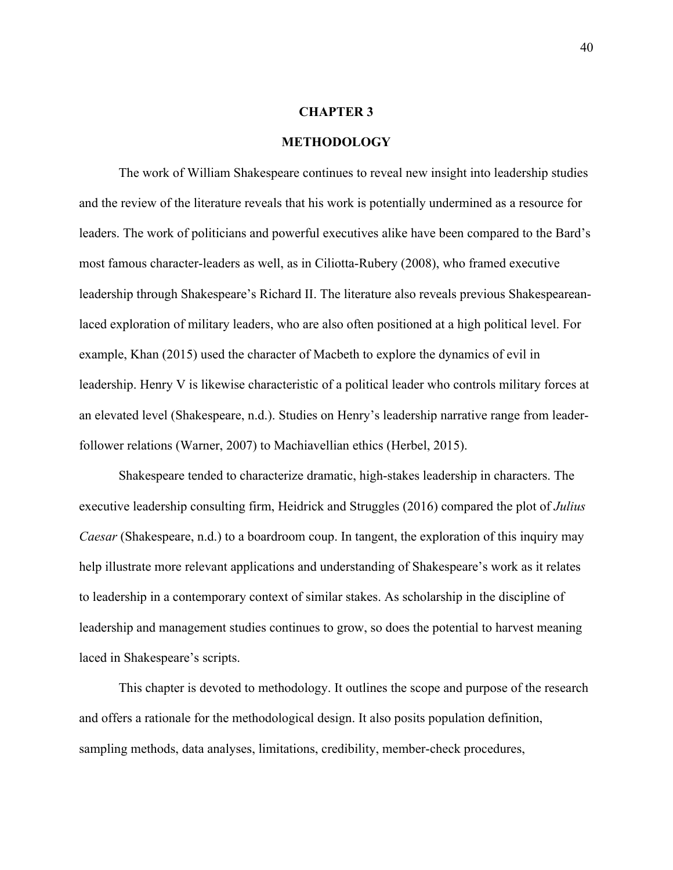### **CHAPTER 3**

### **METHODOLOGY**

The work of William Shakespeare continues to reveal new insight into leadership studies and the review of the literature reveals that his work is potentially undermined as a resource for leaders. The work of politicians and powerful executives alike have been compared to the Bard's most famous character-leaders as well, as in Ciliotta-Rubery (2008), who framed executive leadership through Shakespeare's Richard II. The literature also reveals previous Shakespeareanlaced exploration of military leaders, who are also often positioned at a high political level. For example, Khan (2015) used the character of Macbeth to explore the dynamics of evil in leadership. Henry V is likewise characteristic of a political leader who controls military forces at an elevated level (Shakespeare, n.d.). Studies on Henry's leadership narrative range from leaderfollower relations (Warner, 2007) to Machiavellian ethics (Herbel, 2015).

Shakespeare tended to characterize dramatic, high-stakes leadership in characters. The executive leadership consulting firm, Heidrick and Struggles (2016) compared the plot of *Julius Caesar* (Shakespeare, n.d.) to a boardroom coup. In tangent, the exploration of this inquiry may help illustrate more relevant applications and understanding of Shakespeare's work as it relates to leadership in a contemporary context of similar stakes. As scholarship in the discipline of leadership and management studies continues to grow, so does the potential to harvest meaning laced in Shakespeare's scripts.

This chapter is devoted to methodology. It outlines the scope and purpose of the research and offers a rationale for the methodological design. It also posits population definition, sampling methods, data analyses, limitations, credibility, member-check procedures,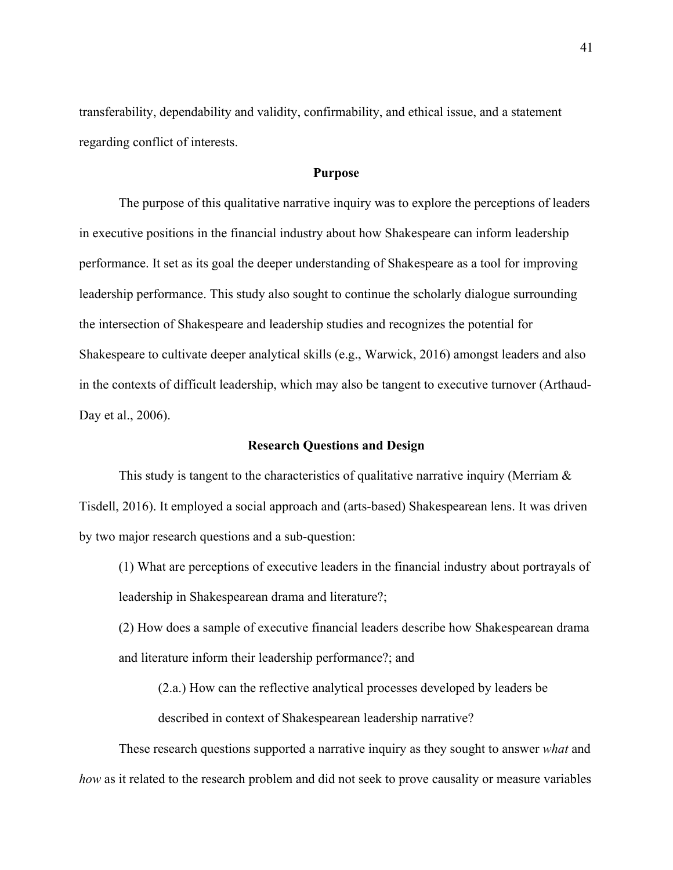transferability, dependability and validity, confirmability, and ethical issue, and a statement regarding conflict of interests.

# **Purpose**

The purpose of this qualitative narrative inquiry was to explore the perceptions of leaders in executive positions in the financial industry about how Shakespeare can inform leadership performance. It set as its goal the deeper understanding of Shakespeare as a tool for improving leadership performance. This study also sought to continue the scholarly dialogue surrounding the intersection of Shakespeare and leadership studies and recognizes the potential for Shakespeare to cultivate deeper analytical skills (e.g., Warwick, 2016) amongst leaders and also in the contexts of difficult leadership, which may also be tangent to executive turnover (Arthaud-Day et al., 2006).

### **Research Questions and Design**

This study is tangent to the characteristics of qualitative narrative inquiry (Merriam  $\&$ Tisdell, 2016). It employed a social approach and (arts-based) Shakespearean lens. It was driven by two major research questions and a sub-question:

(1) What are perceptions of executive leaders in the financial industry about portrayals of leadership in Shakespearean drama and literature?;

(2) How does a sample of executive financial leaders describe how Shakespearean drama and literature inform their leadership performance?; and

(2.a.) How can the reflective analytical processes developed by leaders be

described in context of Shakespearean leadership narrative?

These research questions supported a narrative inquiry as they sought to answer *what* and *how* as it related to the research problem and did not seek to prove causality or measure variables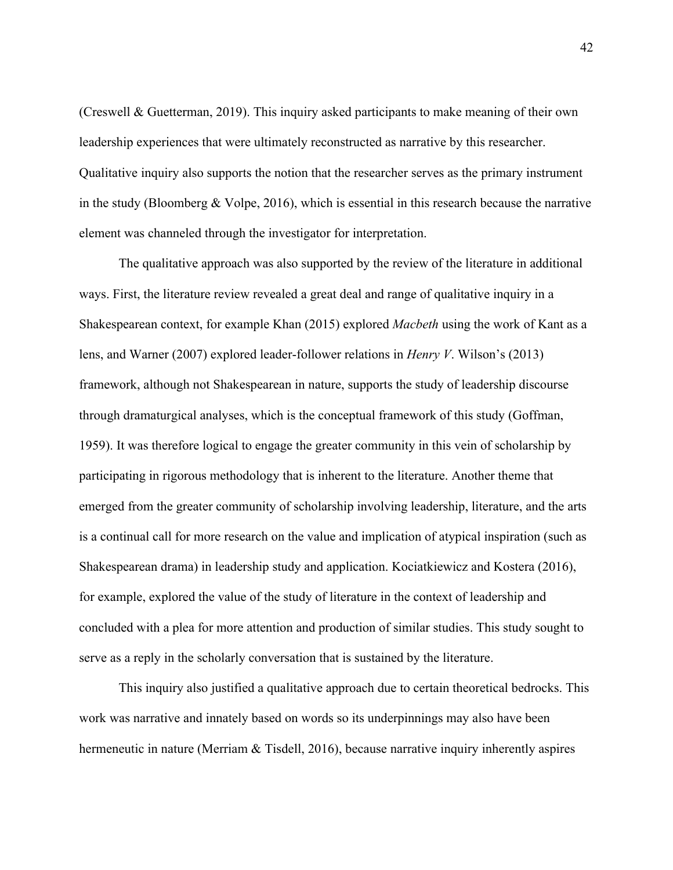(Creswell & Guetterman, 2019). This inquiry asked participants to make meaning of their own leadership experiences that were ultimately reconstructed as narrative by this researcher. Qualitative inquiry also supports the notion that the researcher serves as the primary instrument in the study (Bloomberg  $& \text{Volpe}, 2016$ ), which is essential in this research because the narrative element was channeled through the investigator for interpretation.

The qualitative approach was also supported by the review of the literature in additional ways. First, the literature review revealed a great deal and range of qualitative inquiry in a Shakespearean context, for example Khan (2015) explored *Macbeth* using the work of Kant as a lens, and Warner (2007) explored leader-follower relations in *Henry V*. Wilson's (2013) framework, although not Shakespearean in nature, supports the study of leadership discourse through dramaturgical analyses, which is the conceptual framework of this study (Goffman, 1959). It was therefore logical to engage the greater community in this vein of scholarship by participating in rigorous methodology that is inherent to the literature. Another theme that emerged from the greater community of scholarship involving leadership, literature, and the arts is a continual call for more research on the value and implication of atypical inspiration (such as Shakespearean drama) in leadership study and application. Kociatkiewicz and Kostera (2016), for example, explored the value of the study of literature in the context of leadership and concluded with a plea for more attention and production of similar studies. This study sought to serve as a reply in the scholarly conversation that is sustained by the literature.

This inquiry also justified a qualitative approach due to certain theoretical bedrocks. This work was narrative and innately based on words so its underpinnings may also have been hermeneutic in nature (Merriam & Tisdell, 2016), because narrative inquiry inherently aspires

42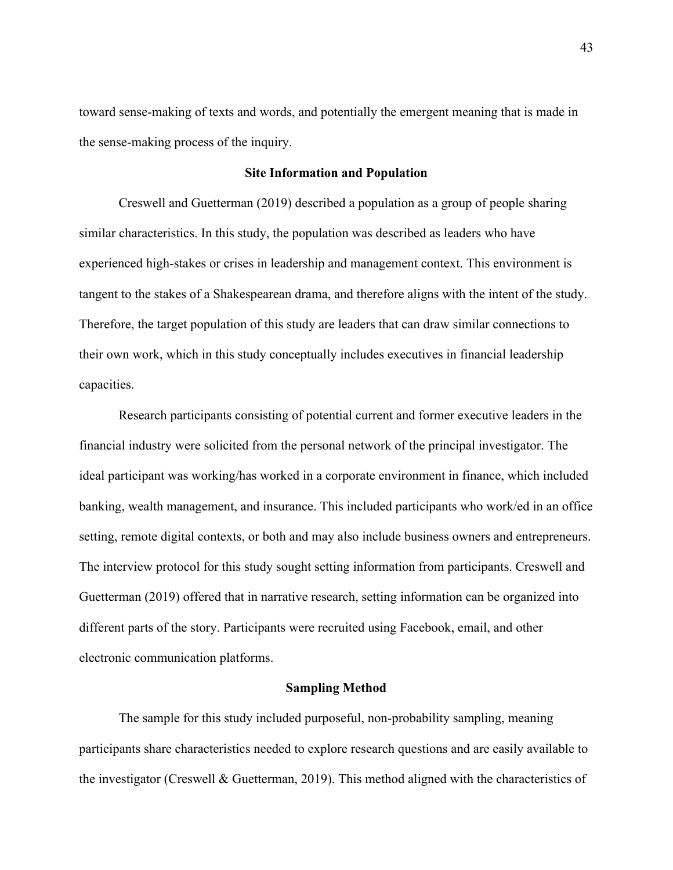toward sense-making of texts and words, and potentially the emergent meaning that is made in the sense-making process of the inquiry.

## **Site Information and Population**

Creswell and Guetterman (2019) described a population as a group of people sharing similar characteristics. In this study, the population was described as leaders who have experienced high-stakes or crises in leadership and management context. This environment is tangent to the stakes of a Shakespearean drama, and therefore aligns with the intent of the study. Therefore, the target population of this study are leaders that can draw similar connections to their own work, which in this study conceptually includes executives in financial leadership capacities.

Research participants consisting of potential current and former executive leaders in the financial industry were solicited from the personal network of the principal investigator. The ideal participant was working/has worked in a corporate environment in finance, which included banking, wealth management, and insurance. This included participants who work/ed in an office setting, remote digital contexts, or both and may also include business owners and entrepreneurs. The interview protocol for this study sought setting information from participants. Creswell and Guetterman (2019) offered that in narrative research, setting information can be organized into different parts of the story. Participants were recruited using Facebook, email, and other electronic communication platforms.

# **Sampling Method**

The sample for this study included purposeful, non-probability sampling, meaning participants share characteristics needed to explore research questions and are easily available to the investigator (Creswell & Guetterman, 2019). This method aligned with the characteristics of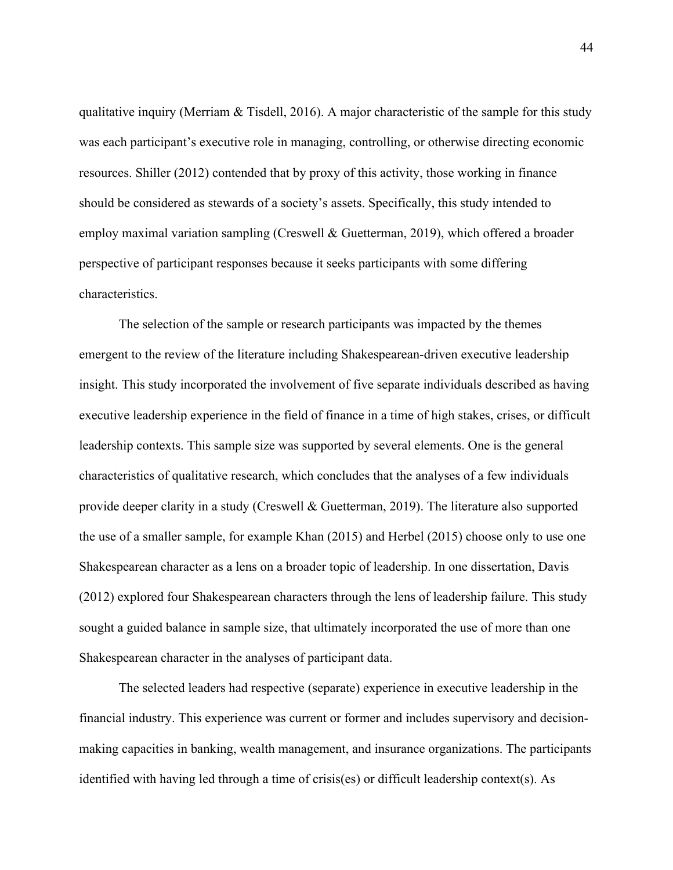qualitative inquiry (Merriam & Tisdell, 2016). A major characteristic of the sample for this study was each participant's executive role in managing, controlling, or otherwise directing economic resources. Shiller (2012) contended that by proxy of this activity, those working in finance should be considered as stewards of a society's assets. Specifically, this study intended to employ maximal variation sampling (Creswell & Guetterman, 2019), which offered a broader perspective of participant responses because it seeks participants with some differing characteristics.

The selection of the sample or research participants was impacted by the themes emergent to the review of the literature including Shakespearean-driven executive leadership insight. This study incorporated the involvement of five separate individuals described as having executive leadership experience in the field of finance in a time of high stakes, crises, or difficult leadership contexts. This sample size was supported by several elements. One is the general characteristics of qualitative research, which concludes that the analyses of a few individuals provide deeper clarity in a study (Creswell & Guetterman, 2019). The literature also supported the use of a smaller sample, for example Khan (2015) and Herbel (2015) choose only to use one Shakespearean character as a lens on a broader topic of leadership. In one dissertation, Davis (2012) explored four Shakespearean characters through the lens of leadership failure. This study sought a guided balance in sample size, that ultimately incorporated the use of more than one Shakespearean character in the analyses of participant data.

The selected leaders had respective (separate) experience in executive leadership in the financial industry. This experience was current or former and includes supervisory and decisionmaking capacities in banking, wealth management, and insurance organizations. The participants identified with having led through a time of crisis(es) or difficult leadership context(s). As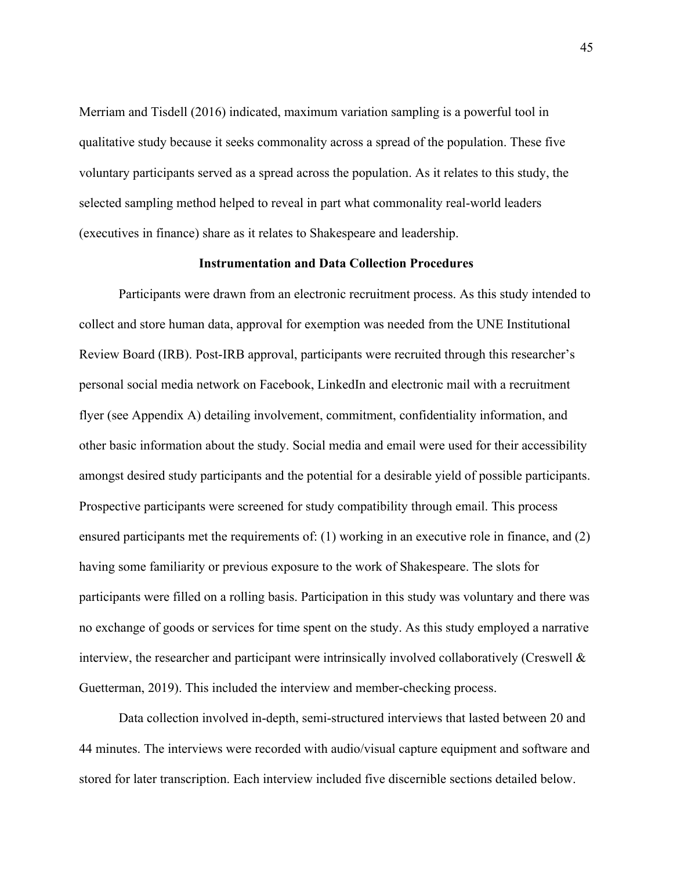Merriam and Tisdell (2016) indicated, maximum variation sampling is a powerful tool in qualitative study because it seeks commonality across a spread of the population. These five voluntary participants served as a spread across the population. As it relates to this study, the selected sampling method helped to reveal in part what commonality real-world leaders (executives in finance) share as it relates to Shakespeare and leadership.

## **Instrumentation and Data Collection Procedures**

Participants were drawn from an electronic recruitment process. As this study intended to collect and store human data, approval for exemption was needed from the UNE Institutional Review Board (IRB). Post-IRB approval, participants were recruited through this researcher's personal social media network on Facebook, LinkedIn and electronic mail with a recruitment flyer (see Appendix A) detailing involvement, commitment, confidentiality information, and other basic information about the study. Social media and email were used for their accessibility amongst desired study participants and the potential for a desirable yield of possible participants. Prospective participants were screened for study compatibility through email. This process ensured participants met the requirements of: (1) working in an executive role in finance, and (2) having some familiarity or previous exposure to the work of Shakespeare. The slots for participants were filled on a rolling basis. Participation in this study was voluntary and there was no exchange of goods or services for time spent on the study. As this study employed a narrative interview, the researcher and participant were intrinsically involved collaboratively (Creswell & Guetterman, 2019). This included the interview and member-checking process.

Data collection involved in-depth, semi-structured interviews that lasted between 20 and 44 minutes. The interviews were recorded with audio/visual capture equipment and software and stored for later transcription. Each interview included five discernible sections detailed below.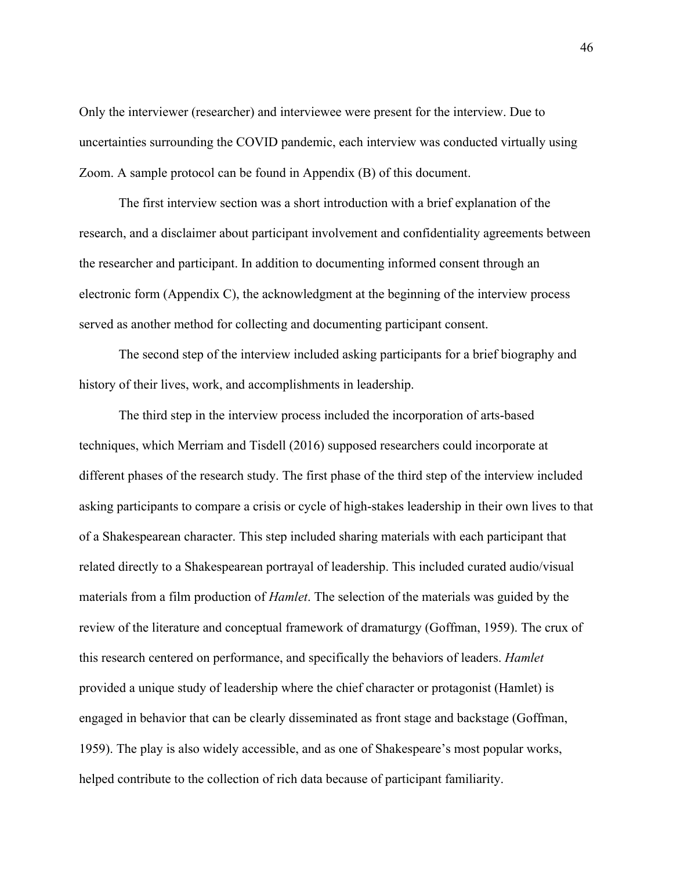Only the interviewer (researcher) and interviewee were present for the interview. Due to uncertainties surrounding the COVID pandemic, each interview was conducted virtually using Zoom. A sample protocol can be found in Appendix (B) of this document.

The first interview section was a short introduction with a brief explanation of the research, and a disclaimer about participant involvement and confidentiality agreements between the researcher and participant. In addition to documenting informed consent through an electronic form (Appendix C), the acknowledgment at the beginning of the interview process served as another method for collecting and documenting participant consent.

The second step of the interview included asking participants for a brief biography and history of their lives, work, and accomplishments in leadership.

The third step in the interview process included the incorporation of arts-based techniques, which Merriam and Tisdell (2016) supposed researchers could incorporate at different phases of the research study. The first phase of the third step of the interview included asking participants to compare a crisis or cycle of high-stakes leadership in their own lives to that of a Shakespearean character. This step included sharing materials with each participant that related directly to a Shakespearean portrayal of leadership. This included curated audio/visual materials from a film production of *Hamlet*. The selection of the materials was guided by the review of the literature and conceptual framework of dramaturgy (Goffman, 1959). The crux of this research centered on performance, and specifically the behaviors of leaders. *Hamlet* provided a unique study of leadership where the chief character or protagonist (Hamlet) is engaged in behavior that can be clearly disseminated as front stage and backstage (Goffman, 1959). The play is also widely accessible, and as one of Shakespeare's most popular works, helped contribute to the collection of rich data because of participant familiarity.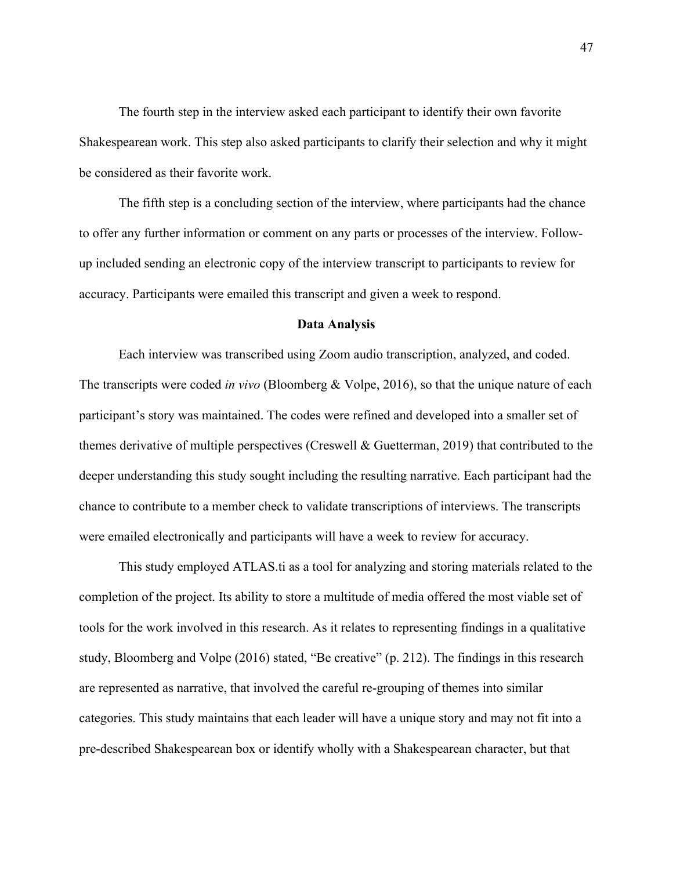The fourth step in the interview asked each participant to identify their own favorite Shakespearean work. This step also asked participants to clarify their selection and why it might be considered as their favorite work.

The fifth step is a concluding section of the interview, where participants had the chance to offer any further information or comment on any parts or processes of the interview. Followup included sending an electronic copy of the interview transcript to participants to review for accuracy. Participants were emailed this transcript and given a week to respond.

#### **Data Analysis**

Each interview was transcribed using Zoom audio transcription, analyzed, and coded. The transcripts were coded *in vivo* (Bloomberg & Volpe, 2016), so that the unique nature of each participant's story was maintained. The codes were refined and developed into a smaller set of themes derivative of multiple perspectives (Creswell & Guetterman, 2019) that contributed to the deeper understanding this study sought including the resulting narrative. Each participant had the chance to contribute to a member check to validate transcriptions of interviews. The transcripts were emailed electronically and participants will have a week to review for accuracy.

This study employed ATLAS.ti as a tool for analyzing and storing materials related to the completion of the project. Its ability to store a multitude of media offered the most viable set of tools for the work involved in this research. As it relates to representing findings in a qualitative study, Bloomberg and Volpe (2016) stated, "Be creative" (p. 212). The findings in this research are represented as narrative, that involved the careful re-grouping of themes into similar categories. This study maintains that each leader will have a unique story and may not fit into a pre-described Shakespearean box or identify wholly with a Shakespearean character, but that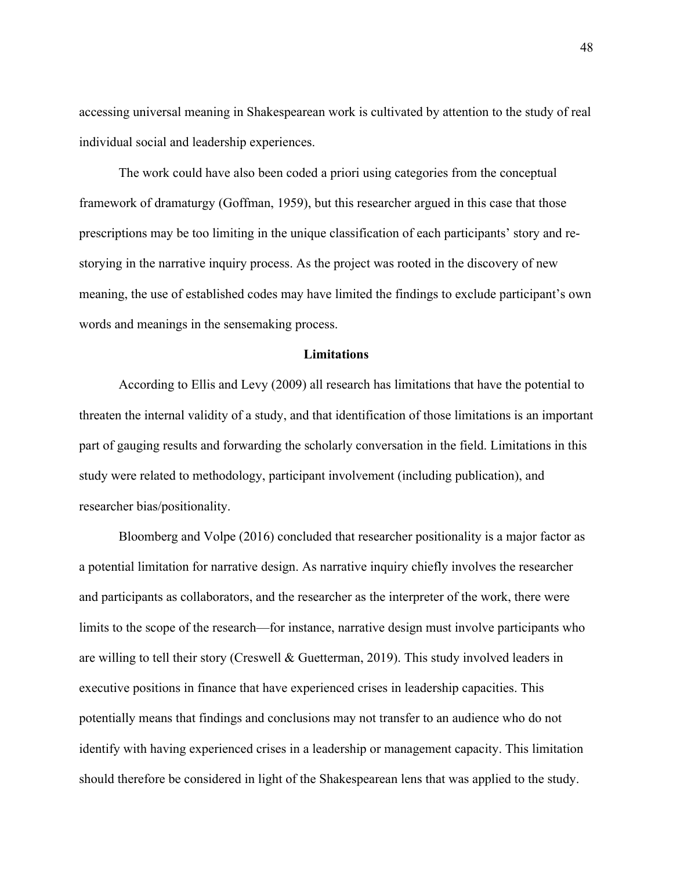accessing universal meaning in Shakespearean work is cultivated by attention to the study of real individual social and leadership experiences.

The work could have also been coded a priori using categories from the conceptual framework of dramaturgy (Goffman, 1959), but this researcher argued in this case that those prescriptions may be too limiting in the unique classification of each participants' story and restorying in the narrative inquiry process. As the project was rooted in the discovery of new meaning, the use of established codes may have limited the findings to exclude participant's own words and meanings in the sensemaking process.

### **Limitations**

According to Ellis and Levy (2009) all research has limitations that have the potential to threaten the internal validity of a study, and that identification of those limitations is an important part of gauging results and forwarding the scholarly conversation in the field. Limitations in this study were related to methodology, participant involvement (including publication), and researcher bias/positionality.

Bloomberg and Volpe (2016) concluded that researcher positionality is a major factor as a potential limitation for narrative design. As narrative inquiry chiefly involves the researcher and participants as collaborators, and the researcher as the interpreter of the work, there were limits to the scope of the research—for instance, narrative design must involve participants who are willing to tell their story (Creswell & Guetterman, 2019). This study involved leaders in executive positions in finance that have experienced crises in leadership capacities. This potentially means that findings and conclusions may not transfer to an audience who do not identify with having experienced crises in a leadership or management capacity. This limitation should therefore be considered in light of the Shakespearean lens that was applied to the study.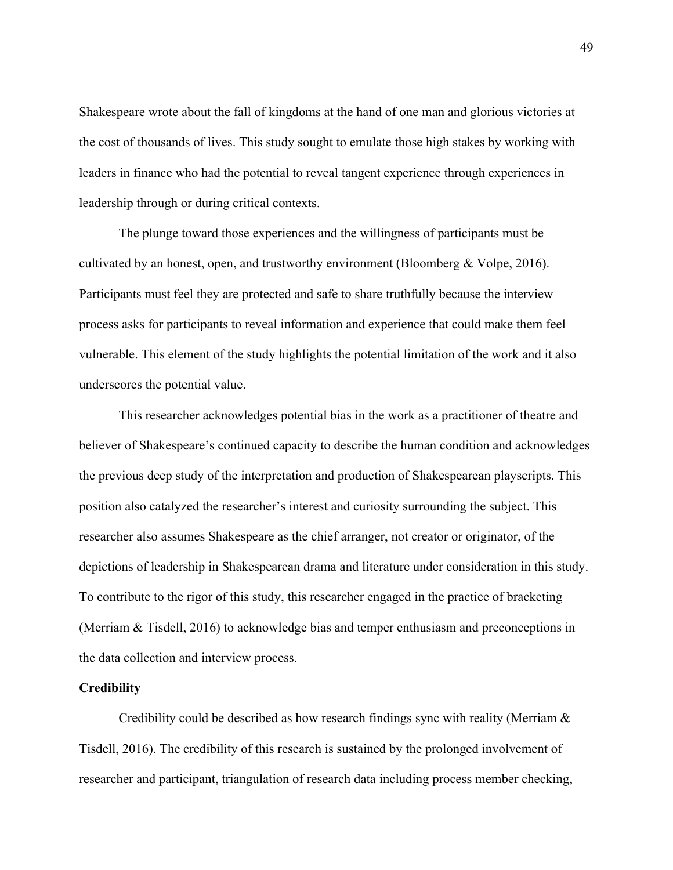Shakespeare wrote about the fall of kingdoms at the hand of one man and glorious victories at the cost of thousands of lives. This study sought to emulate those high stakes by working with leaders in finance who had the potential to reveal tangent experience through experiences in leadership through or during critical contexts.

The plunge toward those experiences and the willingness of participants must be cultivated by an honest, open, and trustworthy environment (Bloomberg & Volpe, 2016). Participants must feel they are protected and safe to share truthfully because the interview process asks for participants to reveal information and experience that could make them feel vulnerable. This element of the study highlights the potential limitation of the work and it also underscores the potential value.

This researcher acknowledges potential bias in the work as a practitioner of theatre and believer of Shakespeare's continued capacity to describe the human condition and acknowledges the previous deep study of the interpretation and production of Shakespearean playscripts. This position also catalyzed the researcher's interest and curiosity surrounding the subject. This researcher also assumes Shakespeare as the chief arranger, not creator or originator, of the depictions of leadership in Shakespearean drama and literature under consideration in this study. To contribute to the rigor of this study, this researcher engaged in the practice of bracketing (Merriam & Tisdell, 2016) to acknowledge bias and temper enthusiasm and preconceptions in the data collection and interview process.

# **Credibility**

Credibility could be described as how research findings sync with reality (Merriam & Tisdell, 2016). The credibility of this research is sustained by the prolonged involvement of researcher and participant, triangulation of research data including process member checking,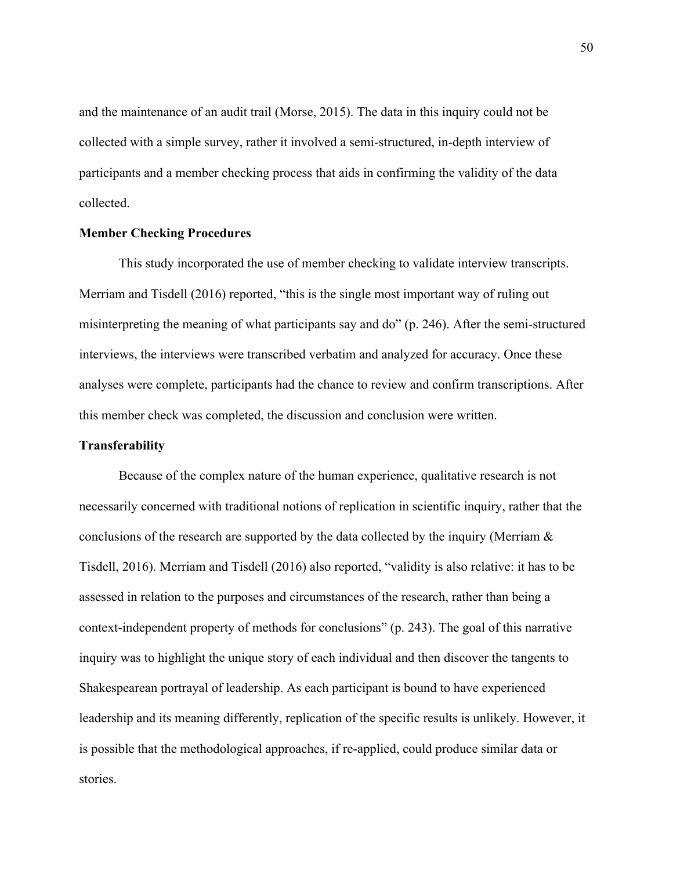and the maintenance of an audit trail (Morse, 2015). The data in this inquiry could not be collected with a simple survey, rather it involved a semi-structured, in-depth interview of participants and a member checking process that aids in confirming the validity of the data collected.

### **Member Checking Procedures**

This study incorporated the use of member checking to validate interview transcripts. Merriam and Tisdell (2016) reported, "this is the single most important way of ruling out misinterpreting the meaning of what participants say and do" (p. 246). After the semi-structured interviews, the interviews were transcribed verbatim and analyzed for accuracy. Once these analyses were complete, participants had the chance to review and confirm transcriptions. After this member check was completed, the discussion and conclusion were written.

### **Transferability**

Because of the complex nature of the human experience, qualitative research is not necessarily concerned with traditional notions of replication in scientific inquiry, rather that the conclusions of the research are supported by the data collected by the inquiry (Merriam & Tisdell, 2016). Merriam and Tisdell (2016) also reported, "validity is also relative: it has to be assessed in relation to the purposes and circumstances of the research, rather than being a context-independent property of methods for conclusions" (p. 243). The goal of this narrative inquiry was to highlight the unique story of each individual and then discover the tangents to Shakespearean portrayal of leadership. As each participant is bound to have experienced leadership and its meaning differently, replication of the specific results is unlikely. However, it is possible that the methodological approaches, if re-applied, could produce similar data or stories.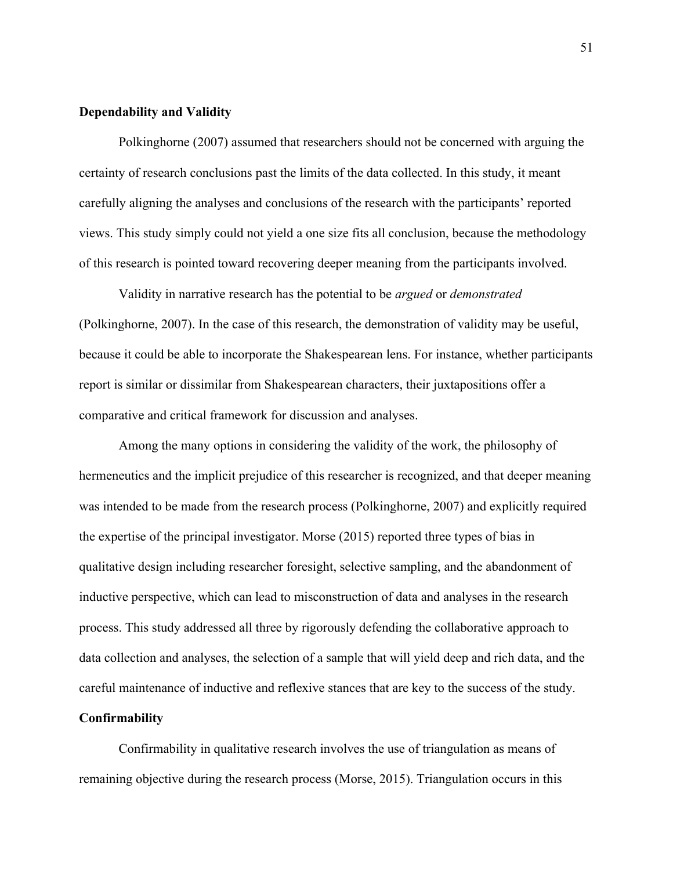## **Dependability and Validity**

Polkinghorne (2007) assumed that researchers should not be concerned with arguing the certainty of research conclusions past the limits of the data collected. In this study, it meant carefully aligning the analyses and conclusions of the research with the participants' reported views. This study simply could not yield a one size fits all conclusion, because the methodology of this research is pointed toward recovering deeper meaning from the participants involved.

Validity in narrative research has the potential to be *argued* or *demonstrated* (Polkinghorne, 2007). In the case of this research, the demonstration of validity may be useful, because it could be able to incorporate the Shakespearean lens. For instance, whether participants report is similar or dissimilar from Shakespearean characters, their juxtapositions offer a comparative and critical framework for discussion and analyses.

Among the many options in considering the validity of the work, the philosophy of hermeneutics and the implicit prejudice of this researcher is recognized, and that deeper meaning was intended to be made from the research process (Polkinghorne, 2007) and explicitly required the expertise of the principal investigator. Morse (2015) reported three types of bias in qualitative design including researcher foresight, selective sampling, and the abandonment of inductive perspective, which can lead to misconstruction of data and analyses in the research process. This study addressed all three by rigorously defending the collaborative approach to data collection and analyses, the selection of a sample that will yield deep and rich data, and the careful maintenance of inductive and reflexive stances that are key to the success of the study.

# **Confirmability**

Confirmability in qualitative research involves the use of triangulation as means of remaining objective during the research process (Morse, 2015). Triangulation occurs in this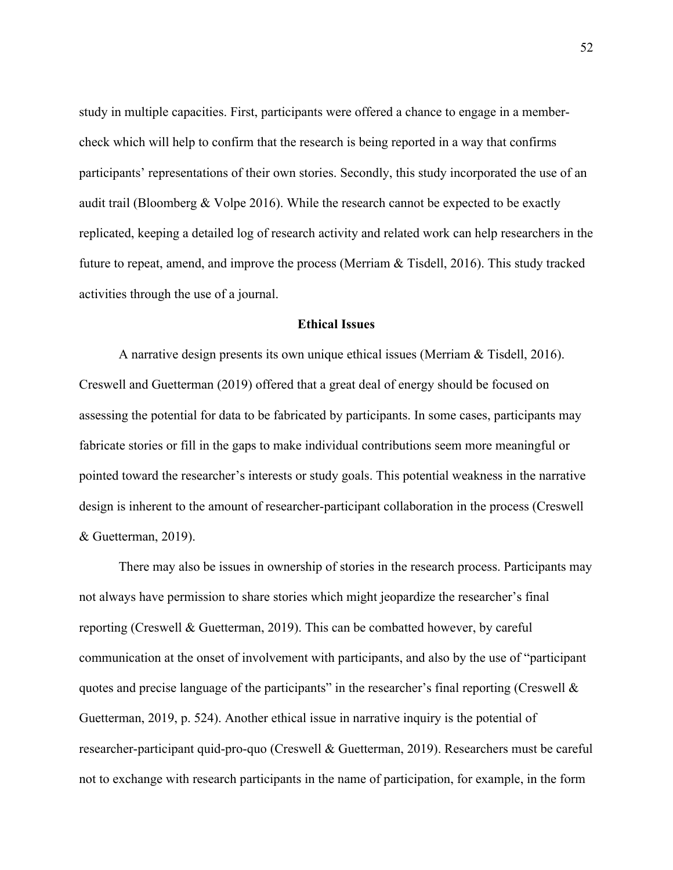study in multiple capacities. First, participants were offered a chance to engage in a membercheck which will help to confirm that the research is being reported in a way that confirms participants' representations of their own stories. Secondly, this study incorporated the use of an audit trail (Bloomberg & Volpe 2016). While the research cannot be expected to be exactly replicated, keeping a detailed log of research activity and related work can help researchers in the future to repeat, amend, and improve the process (Merriam  $\&$  Tisdell, 2016). This study tracked activities through the use of a journal.

## **Ethical Issues**

A narrative design presents its own unique ethical issues (Merriam & Tisdell, 2016). Creswell and Guetterman (2019) offered that a great deal of energy should be focused on assessing the potential for data to be fabricated by participants. In some cases, participants may fabricate stories or fill in the gaps to make individual contributions seem more meaningful or pointed toward the researcher's interests or study goals. This potential weakness in the narrative design is inherent to the amount of researcher-participant collaboration in the process (Creswell & Guetterman, 2019).

There may also be issues in ownership of stories in the research process. Participants may not always have permission to share stories which might jeopardize the researcher's final reporting (Creswell & Guetterman, 2019). This can be combatted however, by careful communication at the onset of involvement with participants, and also by the use of "participant quotes and precise language of the participants" in the researcher's final reporting (Creswell  $\&$ Guetterman, 2019, p. 524). Another ethical issue in narrative inquiry is the potential of researcher-participant quid-pro-quo (Creswell & Guetterman, 2019). Researchers must be careful not to exchange with research participants in the name of participation, for example, in the form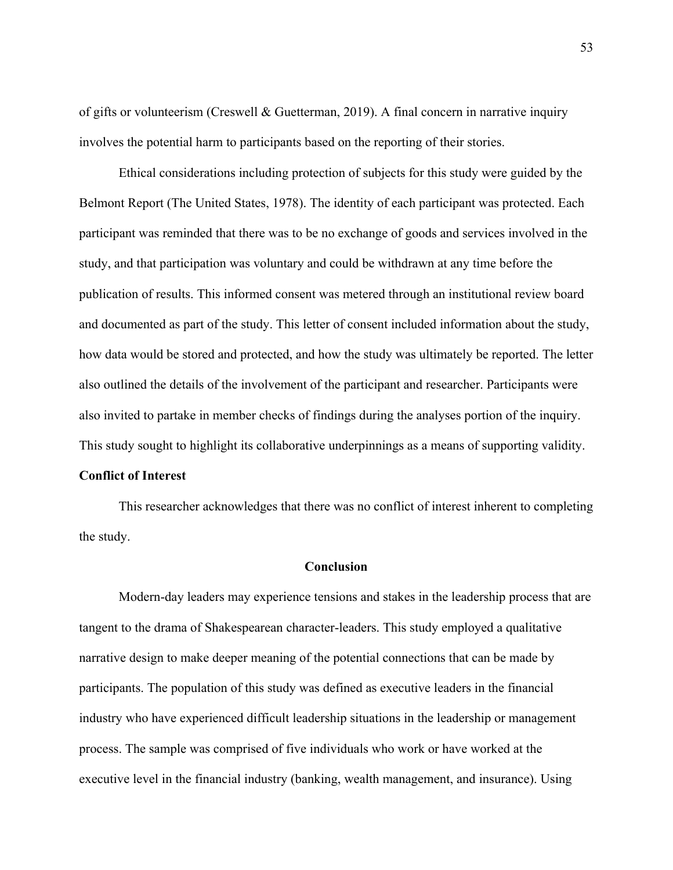of gifts or volunteerism (Creswell & Guetterman, 2019). A final concern in narrative inquiry involves the potential harm to participants based on the reporting of their stories.

Ethical considerations including protection of subjects for this study were guided by the Belmont Report (The United States, 1978). The identity of each participant was protected. Each participant was reminded that there was to be no exchange of goods and services involved in the study, and that participation was voluntary and could be withdrawn at any time before the publication of results. This informed consent was metered through an institutional review board and documented as part of the study. This letter of consent included information about the study, how data would be stored and protected, and how the study was ultimately be reported. The letter also outlined the details of the involvement of the participant and researcher. Participants were also invited to partake in member checks of findings during the analyses portion of the inquiry. This study sought to highlight its collaborative underpinnings as a means of supporting validity.

# **Conflict of Interest**

This researcher acknowledges that there was no conflict of interest inherent to completing the study.

### **Conclusion**

Modern-day leaders may experience tensions and stakes in the leadership process that are tangent to the drama of Shakespearean character-leaders. This study employed a qualitative narrative design to make deeper meaning of the potential connections that can be made by participants. The population of this study was defined as executive leaders in the financial industry who have experienced difficult leadership situations in the leadership or management process. The sample was comprised of five individuals who work or have worked at the executive level in the financial industry (banking, wealth management, and insurance). Using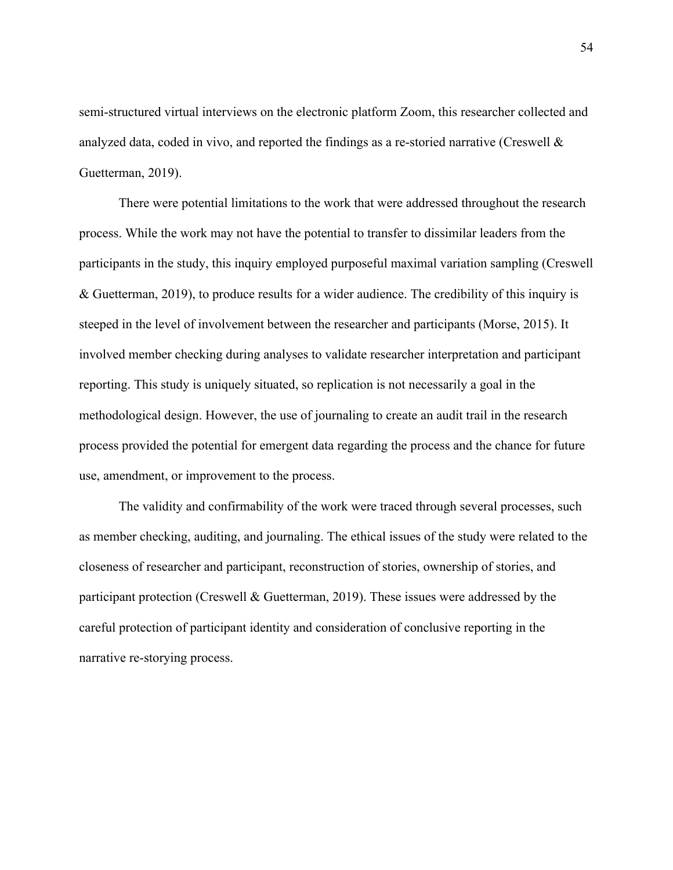semi-structured virtual interviews on the electronic platform Zoom, this researcher collected and analyzed data, coded in vivo, and reported the findings as a re-storied narrative (Creswell & Guetterman, 2019).

There were potential limitations to the work that were addressed throughout the research process. While the work may not have the potential to transfer to dissimilar leaders from the participants in the study, this inquiry employed purposeful maximal variation sampling (Creswell & Guetterman, 2019), to produce results for a wider audience. The credibility of this inquiry is steeped in the level of involvement between the researcher and participants (Morse, 2015). It involved member checking during analyses to validate researcher interpretation and participant reporting. This study is uniquely situated, so replication is not necessarily a goal in the methodological design. However, the use of journaling to create an audit trail in the research process provided the potential for emergent data regarding the process and the chance for future use, amendment, or improvement to the process.

The validity and confirmability of the work were traced through several processes, such as member checking, auditing, and journaling. The ethical issues of the study were related to the closeness of researcher and participant, reconstruction of stories, ownership of stories, and participant protection (Creswell & Guetterman, 2019). These issues were addressed by the careful protection of participant identity and consideration of conclusive reporting in the narrative re-storying process.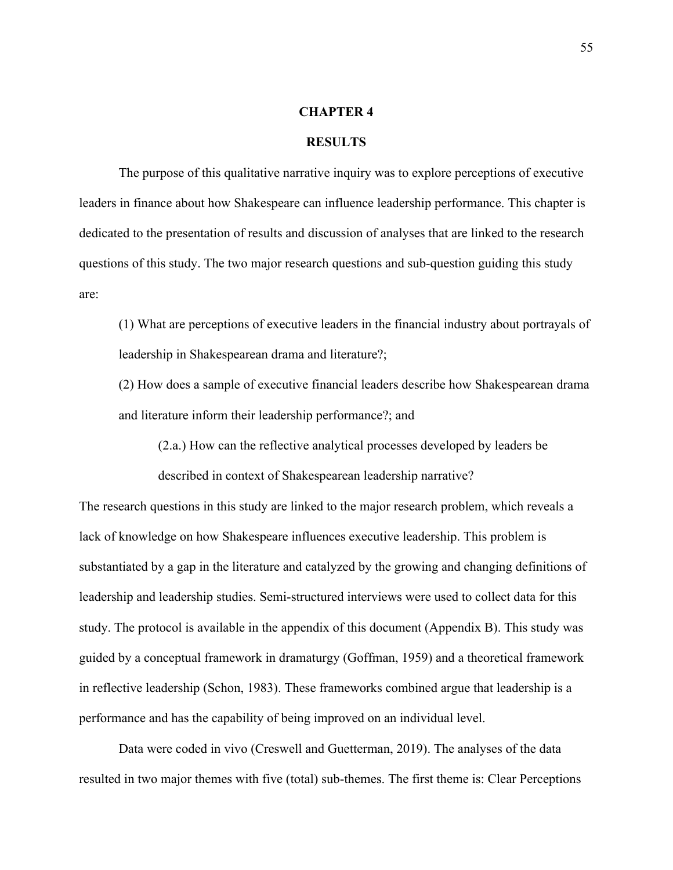### **CHAPTER 4**

### **RESULTS**

The purpose of this qualitative narrative inquiry was to explore perceptions of executive leaders in finance about how Shakespeare can influence leadership performance. This chapter is dedicated to the presentation of results and discussion of analyses that are linked to the research questions of this study. The two major research questions and sub-question guiding this study are:

(1) What are perceptions of executive leaders in the financial industry about portrayals of leadership in Shakespearean drama and literature?;

(2) How does a sample of executive financial leaders describe how Shakespearean drama and literature inform their leadership performance?; and

(2.a.) How can the reflective analytical processes developed by leaders be

described in context of Shakespearean leadership narrative?

The research questions in this study are linked to the major research problem, which reveals a lack of knowledge on how Shakespeare influences executive leadership. This problem is substantiated by a gap in the literature and catalyzed by the growing and changing definitions of leadership and leadership studies. Semi-structured interviews were used to collect data for this study. The protocol is available in the appendix of this document (Appendix B). This study was guided by a conceptual framework in dramaturgy (Goffman, 1959) and a theoretical framework in reflective leadership (Schon, 1983). These frameworks combined argue that leadership is a performance and has the capability of being improved on an individual level.

Data were coded in vivo (Creswell and Guetterman, 2019). The analyses of the data resulted in two major themes with five (total) sub-themes. The first theme is: Clear Perceptions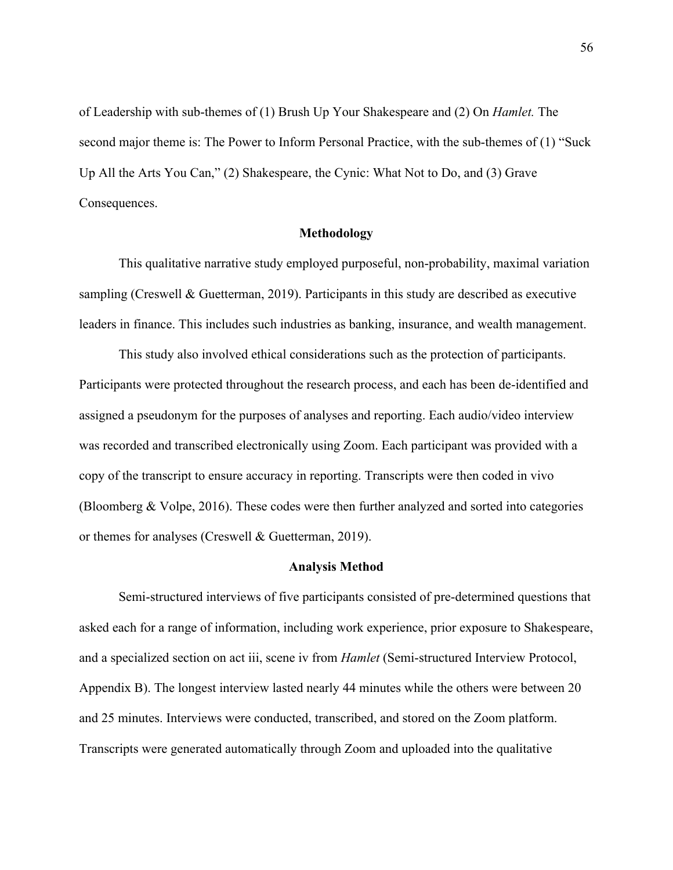of Leadership with sub-themes of (1) Brush Up Your Shakespeare and (2) On *Hamlet.* The second major theme is: The Power to Inform Personal Practice, with the sub-themes of (1) "Suck Up All the Arts You Can," (2) Shakespeare, the Cynic: What Not to Do, and (3) Grave Consequences.

## **Methodology**

This qualitative narrative study employed purposeful, non-probability, maximal variation sampling (Creswell & Guetterman, 2019). Participants in this study are described as executive leaders in finance. This includes such industries as banking, insurance, and wealth management.

This study also involved ethical considerations such as the protection of participants. Participants were protected throughout the research process, and each has been de-identified and assigned a pseudonym for the purposes of analyses and reporting. Each audio/video interview was recorded and transcribed electronically using Zoom. Each participant was provided with a copy of the transcript to ensure accuracy in reporting. Transcripts were then coded in vivo (Bloomberg & Volpe, 2016). These codes were then further analyzed and sorted into categories or themes for analyses (Creswell & Guetterman, 2019).

#### **Analysis Method**

Semi-structured interviews of five participants consisted of pre-determined questions that asked each for a range of information, including work experience, prior exposure to Shakespeare, and a specialized section on act iii, scene iv from *Hamlet* (Semi-structured Interview Protocol, Appendix B). The longest interview lasted nearly 44 minutes while the others were between 20 and 25 minutes. Interviews were conducted, transcribed, and stored on the Zoom platform. Transcripts were generated automatically through Zoom and uploaded into the qualitative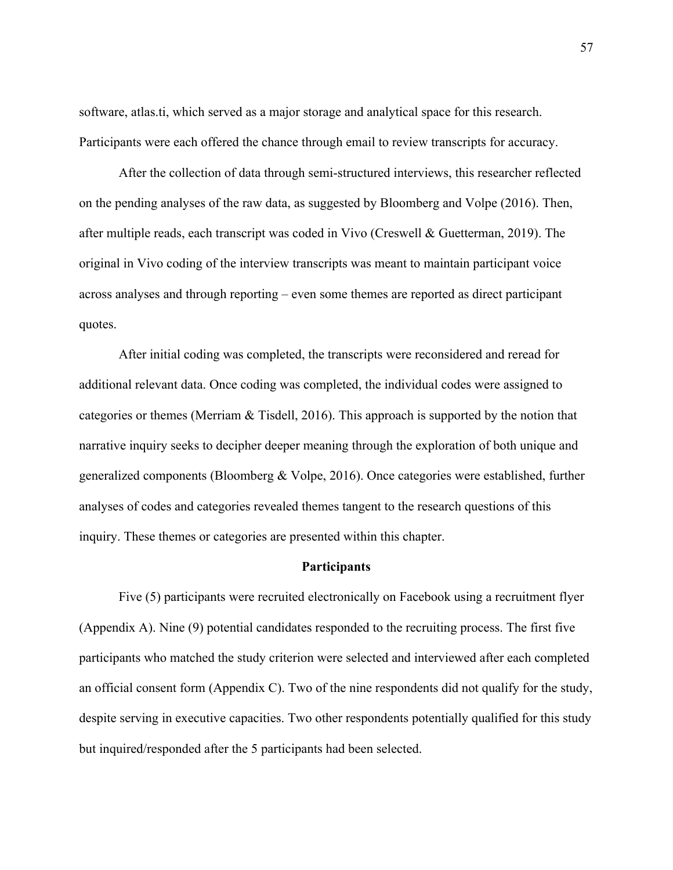software, atlas.ti, which served as a major storage and analytical space for this research. Participants were each offered the chance through email to review transcripts for accuracy.

After the collection of data through semi-structured interviews, this researcher reflected on the pending analyses of the raw data, as suggested by Bloomberg and Volpe (2016). Then, after multiple reads, each transcript was coded in Vivo (Creswell & Guetterman, 2019). The original in Vivo coding of the interview transcripts was meant to maintain participant voice across analyses and through reporting – even some themes are reported as direct participant quotes.

After initial coding was completed, the transcripts were reconsidered and reread for additional relevant data. Once coding was completed, the individual codes were assigned to categories or themes (Merriam & Tisdell, 2016). This approach is supported by the notion that narrative inquiry seeks to decipher deeper meaning through the exploration of both unique and generalized components (Bloomberg & Volpe, 2016). Once categories were established, further analyses of codes and categories revealed themes tangent to the research questions of this inquiry. These themes or categories are presented within this chapter.

### **Participants**

Five (5) participants were recruited electronically on Facebook using a recruitment flyer (Appendix A). Nine (9) potential candidates responded to the recruiting process. The first five participants who matched the study criterion were selected and interviewed after each completed an official consent form (Appendix C). Two of the nine respondents did not qualify for the study, despite serving in executive capacities. Two other respondents potentially qualified for this study but inquired/responded after the 5 participants had been selected.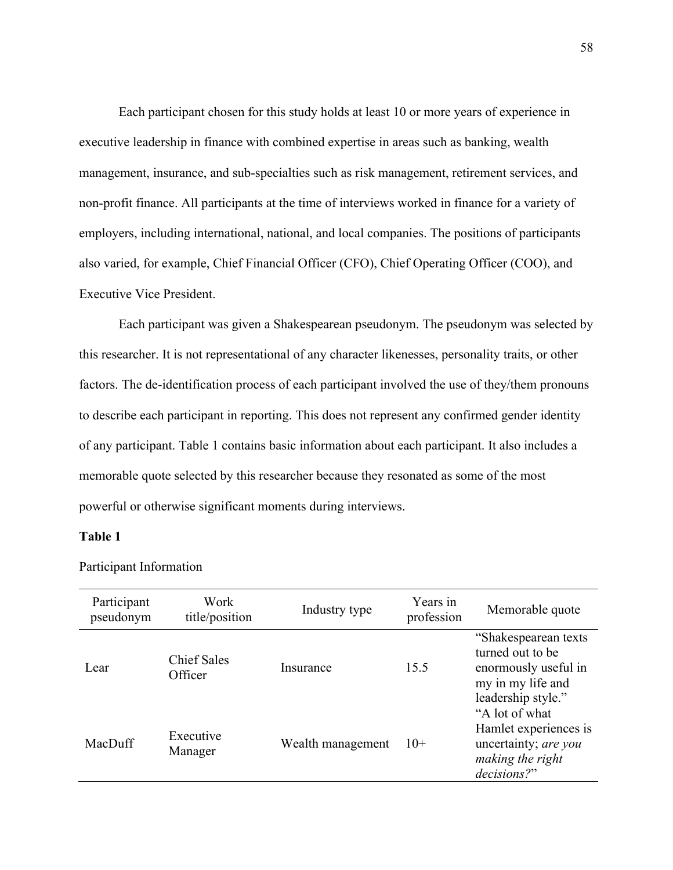Each participant chosen for this study holds at least 10 or more years of experience in executive leadership in finance with combined expertise in areas such as banking, wealth management, insurance, and sub-specialties such as risk management, retirement services, and non-profit finance. All participants at the time of interviews worked in finance for a variety of employers, including international, national, and local companies. The positions of participants also varied, for example, Chief Financial Officer (CFO), Chief Operating Officer (COO), and Executive Vice President.

Each participant was given a Shakespearean pseudonym. The pseudonym was selected by this researcher. It is not representational of any character likenesses, personality traits, or other factors. The de-identification process of each participant involved the use of they/them pronouns to describe each participant in reporting. This does not represent any confirmed gender identity of any participant. Table 1 contains basic information about each participant. It also includes a memorable quote selected by this researcher because they resonated as some of the most powerful or otherwise significant moments during interviews.

# **Table 1**

| Participant<br>pseudonym | Work<br>title/position        | Industry type     | Years in<br>profession | Memorable quote                                                                                             |
|--------------------------|-------------------------------|-------------------|------------------------|-------------------------------------------------------------------------------------------------------------|
| Lear                     | <b>Chief Sales</b><br>Officer | Insurance         | 15.5                   | "Shakespearean texts<br>turned out to be<br>enormously useful in<br>my in my life and<br>leadership style." |
| MacDuff                  | Executive<br>Manager          | Wealth management | $10+$                  | "A lot of what<br>Hamlet experiences is<br>uncertainty; are you<br>making the right<br>decisions?"          |

Participant Information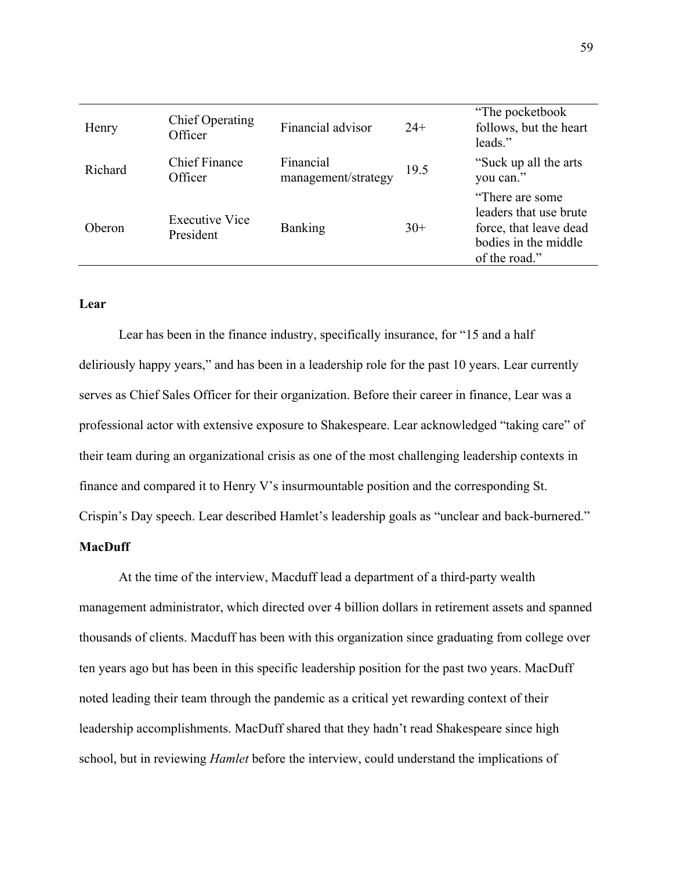| Henry   | <b>Chief Operating</b><br>Officer  | Financial advisor                | $24+$ | "The pocketbook"<br>follows, but the heart<br>leads."                                                         |
|---------|------------------------------------|----------------------------------|-------|---------------------------------------------------------------------------------------------------------------|
| Richard | <b>Chief Finance</b><br>Officer    | Financial<br>management/strategy | 19.5  | "Suck up all the arts"<br>you can."                                                                           |
| Oberon  | <b>Executive Vice</b><br>President | Banking                          | $30+$ | "There are some"<br>leaders that use brute<br>force, that leave dead<br>bodies in the middle<br>of the road." |

# **Lear**

Lear has been in the finance industry, specifically insurance, for "15 and a half deliriously happy years," and has been in a leadership role for the past 10 years. Lear currently serves as Chief Sales Officer for their organization. Before their career in finance, Lear was a professional actor with extensive exposure to Shakespeare. Lear acknowledged "taking care" of their team during an organizational crisis as one of the most challenging leadership contexts in finance and compared it to Henry V's insurmountable position and the corresponding St. Crispin's Day speech. Lear described Hamlet's leadership goals as "unclear and back-burnered."

# **MacDuff**

At the time of the interview, Macduff lead a department of a third-party wealth management administrator, which directed over 4 billion dollars in retirement assets and spanned thousands of clients. Macduff has been with this organization since graduating from college over ten years ago but has been in this specific leadership position for the past two years. MacDuff noted leading their team through the pandemic as a critical yet rewarding context of their leadership accomplishments. MacDuff shared that they hadn't read Shakespeare since high school, but in reviewing *Hamlet* before the interview, could understand the implications of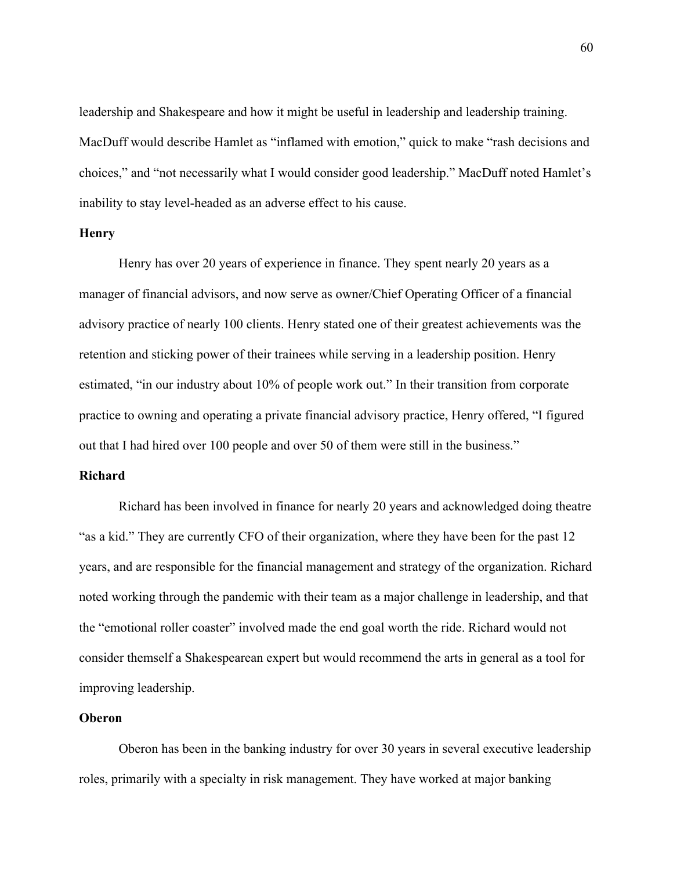leadership and Shakespeare and how it might be useful in leadership and leadership training. MacDuff would describe Hamlet as "inflamed with emotion," quick to make "rash decisions and choices," and "not necessarily what I would consider good leadership." MacDuff noted Hamlet's inability to stay level-headed as an adverse effect to his cause.

## **Henry**

Henry has over 20 years of experience in finance. They spent nearly 20 years as a manager of financial advisors, and now serve as owner/Chief Operating Officer of a financial advisory practice of nearly 100 clients. Henry stated one of their greatest achievements was the retention and sticking power of their trainees while serving in a leadership position. Henry estimated, "in our industry about 10% of people work out." In their transition from corporate practice to owning and operating a private financial advisory practice, Henry offered, "I figured out that I had hired over 100 people and over 50 of them were still in the business."

# **Richard**

Richard has been involved in finance for nearly 20 years and acknowledged doing theatre "as a kid." They are currently CFO of their organization, where they have been for the past 12 years, and are responsible for the financial management and strategy of the organization. Richard noted working through the pandemic with their team as a major challenge in leadership, and that the "emotional roller coaster" involved made the end goal worth the ride. Richard would not consider themself a Shakespearean expert but would recommend the arts in general as a tool for improving leadership.

# **Oberon**

Oberon has been in the banking industry for over 30 years in several executive leadership roles, primarily with a specialty in risk management. They have worked at major banking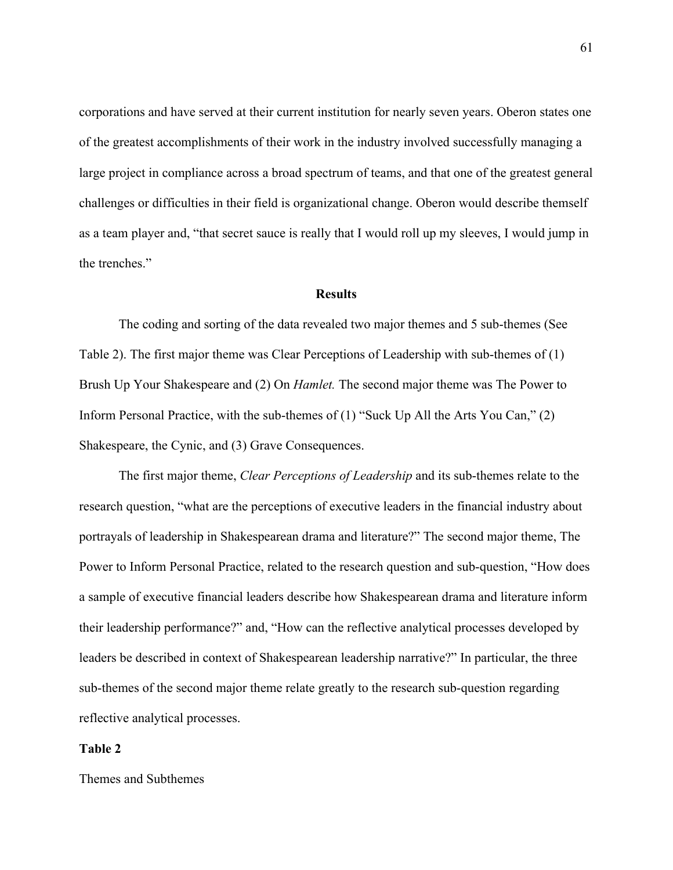corporations and have served at their current institution for nearly seven years. Oberon states one of the greatest accomplishments of their work in the industry involved successfully managing a large project in compliance across a broad spectrum of teams, and that one of the greatest general challenges or difficulties in their field is organizational change. Oberon would describe themself as a team player and, "that secret sauce is really that I would roll up my sleeves, I would jump in the trenches."

#### **Results**

The coding and sorting of the data revealed two major themes and 5 sub-themes (See Table 2). The first major theme was Clear Perceptions of Leadership with sub-themes of (1) Brush Up Your Shakespeare and (2) On *Hamlet.* The second major theme was The Power to Inform Personal Practice, with the sub-themes of (1) "Suck Up All the Arts You Can," (2) Shakespeare, the Cynic, and (3) Grave Consequences.

The first major theme, *Clear Perceptions of Leadership* and its sub-themes relate to the research question, "what are the perceptions of executive leaders in the financial industry about portrayals of leadership in Shakespearean drama and literature?" The second major theme, The Power to Inform Personal Practice, related to the research question and sub-question, "How does a sample of executive financial leaders describe how Shakespearean drama and literature inform their leadership performance?" and, "How can the reflective analytical processes developed by leaders be described in context of Shakespearean leadership narrative?" In particular, the three sub-themes of the second major theme relate greatly to the research sub-question regarding reflective analytical processes.

#### **Table 2**

Themes and Subthemes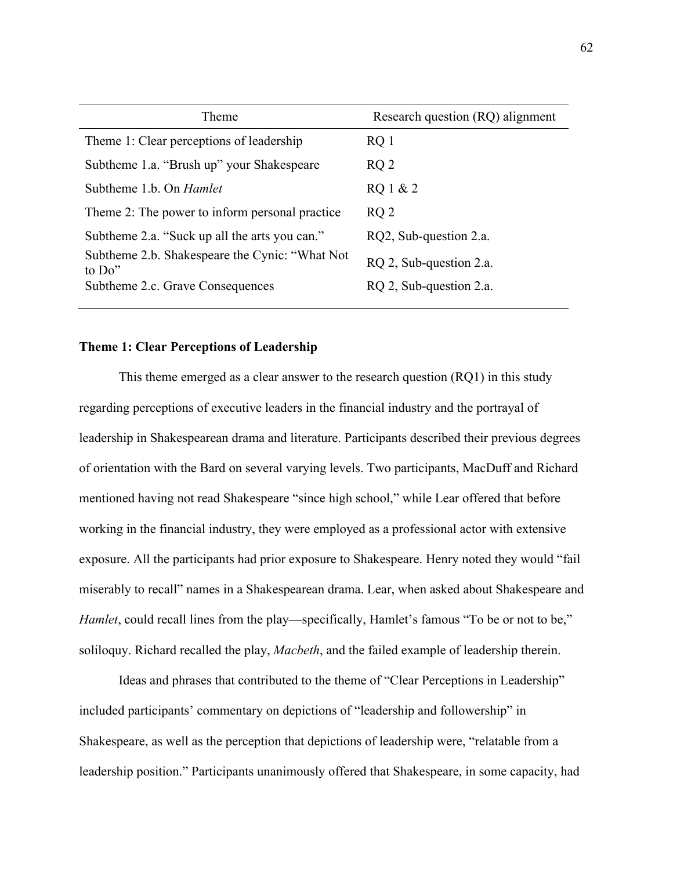| Research question (RQ) alignment |
|----------------------------------|
| $RQ_1$                           |
| RQ2                              |
| RQ 1 & 2                         |
| RQ <sub>2</sub>                  |
| RQ2, Sub-question 2.a.           |
| RQ 2, Sub-question 2.a.          |
| RQ 2, Sub-question 2.a.          |
|                                  |

# **Theme 1: Clear Perceptions of Leadership**

This theme emerged as a clear answer to the research question (RQ1) in this study regarding perceptions of executive leaders in the financial industry and the portrayal of leadership in Shakespearean drama and literature. Participants described their previous degrees of orientation with the Bard on several varying levels. Two participants, MacDuff and Richard mentioned having not read Shakespeare "since high school," while Lear offered that before working in the financial industry, they were employed as a professional actor with extensive exposure. All the participants had prior exposure to Shakespeare. Henry noted they would "fail miserably to recall" names in a Shakespearean drama. Lear, when asked about Shakespeare and *Hamlet*, could recall lines from the play—specifically, Hamlet's famous "To be or not to be," soliloquy. Richard recalled the play, *Macbeth*, and the failed example of leadership therein.

Ideas and phrases that contributed to the theme of "Clear Perceptions in Leadership" included participants' commentary on depictions of "leadership and followership" in Shakespeare, as well as the perception that depictions of leadership were, "relatable from a leadership position." Participants unanimously offered that Shakespeare, in some capacity, had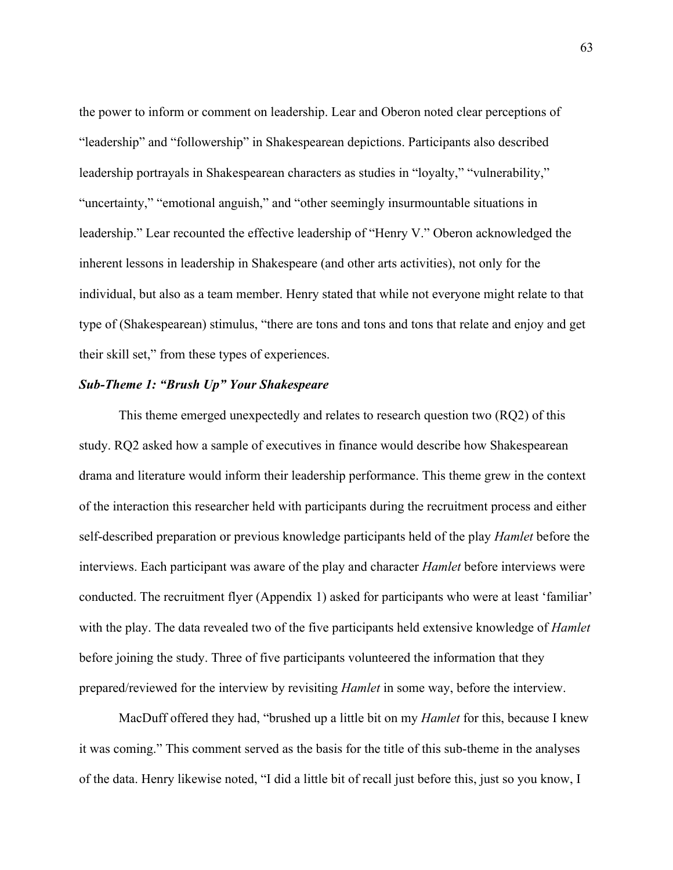the power to inform or comment on leadership. Lear and Oberon noted clear perceptions of "leadership" and "followership" in Shakespearean depictions. Participants also described leadership portrayals in Shakespearean characters as studies in "loyalty," "vulnerability," "uncertainty," "emotional anguish," and "other seemingly insurmountable situations in leadership." Lear recounted the effective leadership of "Henry V." Oberon acknowledged the inherent lessons in leadership in Shakespeare (and other arts activities), not only for the individual, but also as a team member. Henry stated that while not everyone might relate to that type of (Shakespearean) stimulus, "there are tons and tons and tons that relate and enjoy and get their skill set," from these types of experiences.

## *Sub-Theme 1: "Brush Up" Your Shakespeare*

This theme emerged unexpectedly and relates to research question two (RQ2) of this study. RQ2 asked how a sample of executives in finance would describe how Shakespearean drama and literature would inform their leadership performance. This theme grew in the context of the interaction this researcher held with participants during the recruitment process and either self-described preparation or previous knowledge participants held of the play *Hamlet* before the interviews. Each participant was aware of the play and character *Hamlet* before interviews were conducted. The recruitment flyer (Appendix 1) asked for participants who were at least 'familiar' with the play. The data revealed two of the five participants held extensive knowledge of *Hamlet* before joining the study. Three of five participants volunteered the information that they prepared/reviewed for the interview by revisiting *Hamlet* in some way, before the interview.

MacDuff offered they had, "brushed up a little bit on my *Hamlet* for this, because I knew it was coming." This comment served as the basis for the title of this sub-theme in the analyses of the data. Henry likewise noted, "I did a little bit of recall just before this, just so you know, I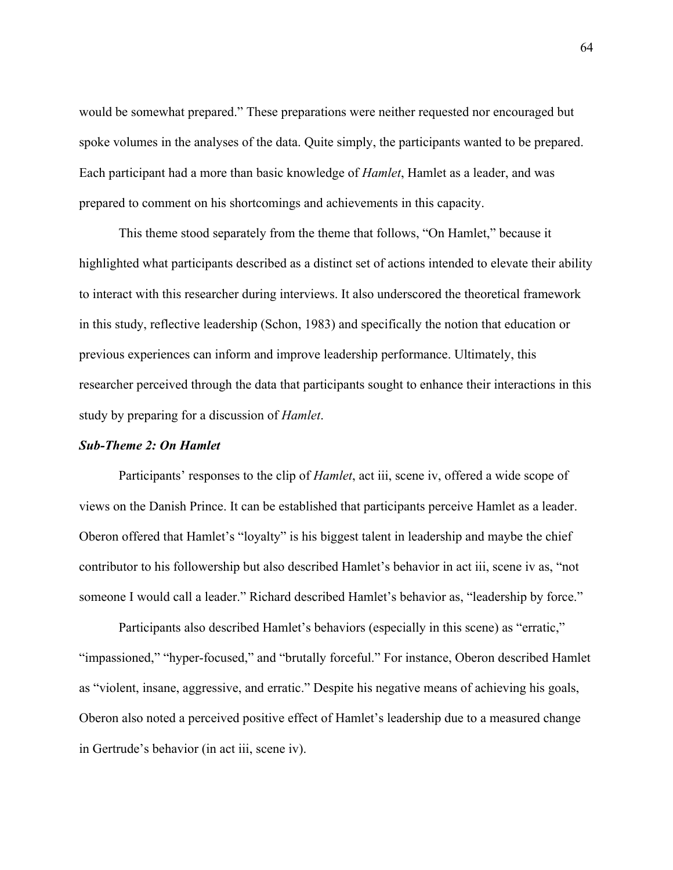would be somewhat prepared." These preparations were neither requested nor encouraged but spoke volumes in the analyses of the data. Quite simply, the participants wanted to be prepared. Each participant had a more than basic knowledge of *Hamlet*, Hamlet as a leader, and was prepared to comment on his shortcomings and achievements in this capacity.

This theme stood separately from the theme that follows, "On Hamlet," because it highlighted what participants described as a distinct set of actions intended to elevate their ability to interact with this researcher during interviews. It also underscored the theoretical framework in this study, reflective leadership (Schon, 1983) and specifically the notion that education or previous experiences can inform and improve leadership performance. Ultimately, this researcher perceived through the data that participants sought to enhance their interactions in this study by preparing for a discussion of *Hamlet*.

#### *Sub-Theme 2: On Hamlet*

Participants' responses to the clip of *Hamlet*, act iii, scene iv, offered a wide scope of views on the Danish Prince. It can be established that participants perceive Hamlet as a leader. Oberon offered that Hamlet's "loyalty" is his biggest talent in leadership and maybe the chief contributor to his followership but also described Hamlet's behavior in act iii, scene iv as, "not someone I would call a leader." Richard described Hamlet's behavior as, "leadership by force."

Participants also described Hamlet's behaviors (especially in this scene) as "erratic," "impassioned," "hyper-focused," and "brutally forceful." For instance, Oberon described Hamlet as "violent, insane, aggressive, and erratic." Despite his negative means of achieving his goals, Oberon also noted a perceived positive effect of Hamlet's leadership due to a measured change in Gertrude's behavior (in act iii, scene iv).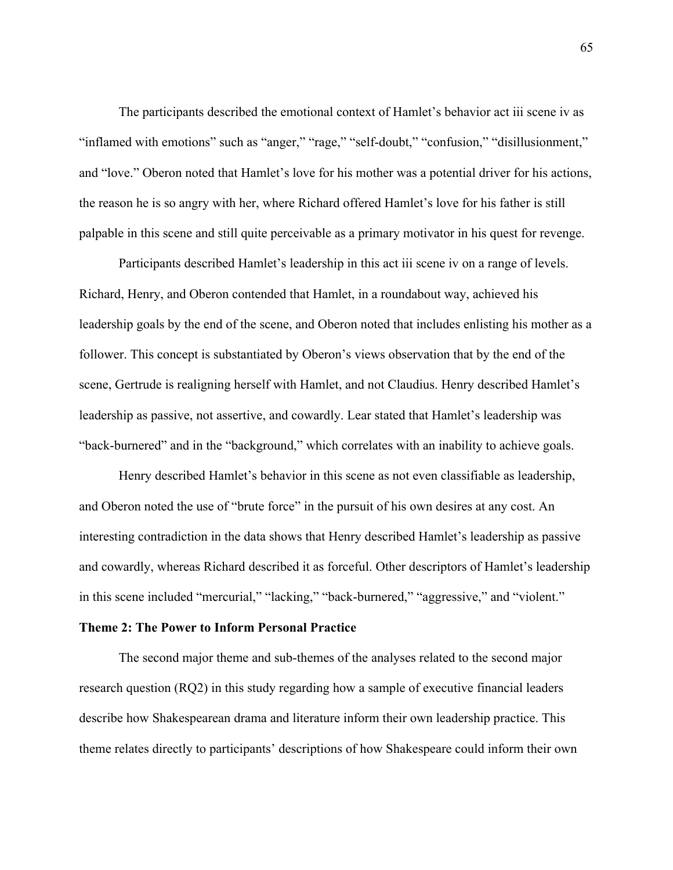The participants described the emotional context of Hamlet's behavior act iii scene iv as "inflamed with emotions" such as "anger," "rage," "self-doubt," "confusion," "disillusionment," and "love." Oberon noted that Hamlet's love for his mother was a potential driver for his actions, the reason he is so angry with her, where Richard offered Hamlet's love for his father is still palpable in this scene and still quite perceivable as a primary motivator in his quest for revenge.

Participants described Hamlet's leadership in this act iii scene iv on a range of levels. Richard, Henry, and Oberon contended that Hamlet, in a roundabout way, achieved his leadership goals by the end of the scene, and Oberon noted that includes enlisting his mother as a follower. This concept is substantiated by Oberon's views observation that by the end of the scene, Gertrude is realigning herself with Hamlet, and not Claudius. Henry described Hamlet's leadership as passive, not assertive, and cowardly. Lear stated that Hamlet's leadership was "back-burnered" and in the "background," which correlates with an inability to achieve goals.

Henry described Hamlet's behavior in this scene as not even classifiable as leadership, and Oberon noted the use of "brute force" in the pursuit of his own desires at any cost. An interesting contradiction in the data shows that Henry described Hamlet's leadership as passive and cowardly, whereas Richard described it as forceful. Other descriptors of Hamlet's leadership in this scene included "mercurial," "lacking," "back-burnered," "aggressive," and "violent."

#### **Theme 2: The Power to Inform Personal Practice**

The second major theme and sub-themes of the analyses related to the second major research question (RQ2) in this study regarding how a sample of executive financial leaders describe how Shakespearean drama and literature inform their own leadership practice. This theme relates directly to participants' descriptions of how Shakespeare could inform their own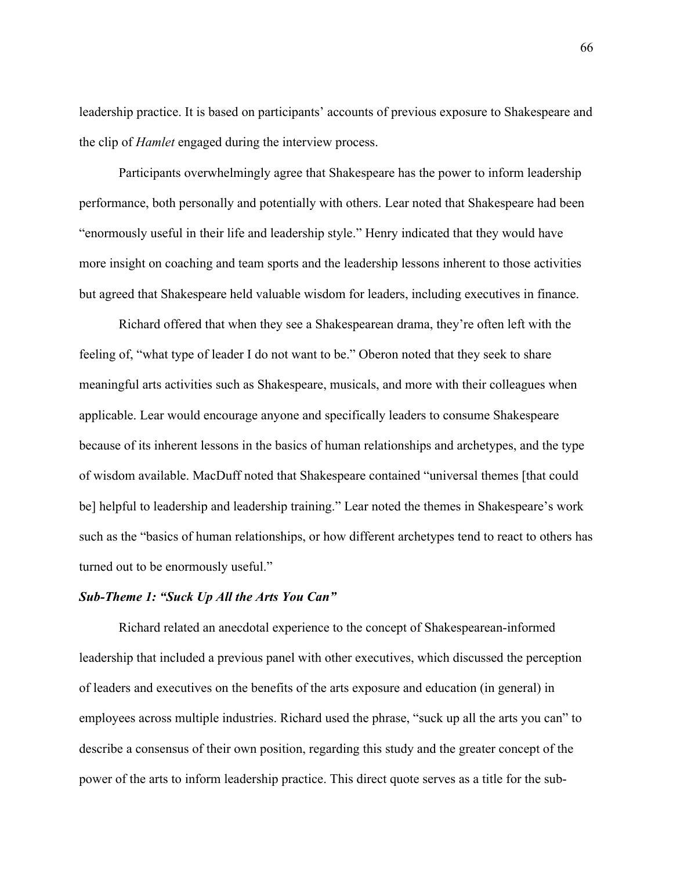leadership practice. It is based on participants' accounts of previous exposure to Shakespeare and the clip of *Hamlet* engaged during the interview process.

Participants overwhelmingly agree that Shakespeare has the power to inform leadership performance, both personally and potentially with others. Lear noted that Shakespeare had been "enormously useful in their life and leadership style." Henry indicated that they would have more insight on coaching and team sports and the leadership lessons inherent to those activities but agreed that Shakespeare held valuable wisdom for leaders, including executives in finance.

Richard offered that when they see a Shakespearean drama, they're often left with the feeling of, "what type of leader I do not want to be." Oberon noted that they seek to share meaningful arts activities such as Shakespeare, musicals, and more with their colleagues when applicable. Lear would encourage anyone and specifically leaders to consume Shakespeare because of its inherent lessons in the basics of human relationships and archetypes, and the type of wisdom available. MacDuff noted that Shakespeare contained "universal themes [that could be] helpful to leadership and leadership training." Lear noted the themes in Shakespeare's work such as the "basics of human relationships, or how different archetypes tend to react to others has turned out to be enormously useful."

## *Sub-Theme 1: "Suck Up All the Arts You Can"*

Richard related an anecdotal experience to the concept of Shakespearean-informed leadership that included a previous panel with other executives, which discussed the perception of leaders and executives on the benefits of the arts exposure and education (in general) in employees across multiple industries. Richard used the phrase, "suck up all the arts you can" to describe a consensus of their own position, regarding this study and the greater concept of the power of the arts to inform leadership practice. This direct quote serves as a title for the sub-

66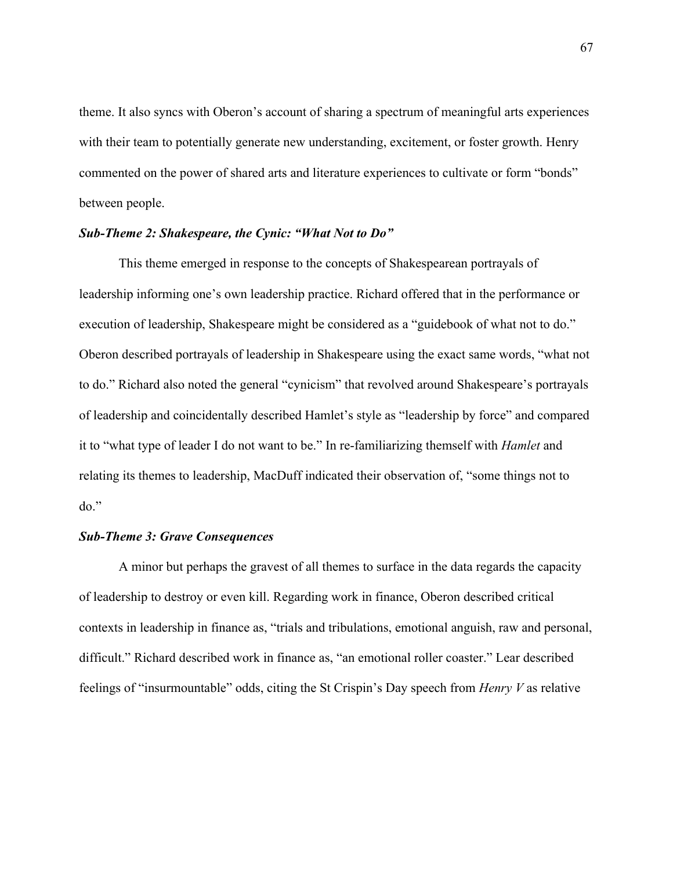theme. It also syncs with Oberon's account of sharing a spectrum of meaningful arts experiences with their team to potentially generate new understanding, excitement, or foster growth. Henry commented on the power of shared arts and literature experiences to cultivate or form "bonds" between people.

## *Sub-Theme 2: Shakespeare, the Cynic: "What Not to Do"*

This theme emerged in response to the concepts of Shakespearean portrayals of leadership informing one's own leadership practice. Richard offered that in the performance or execution of leadership, Shakespeare might be considered as a "guidebook of what not to do." Oberon described portrayals of leadership in Shakespeare using the exact same words, "what not to do." Richard also noted the general "cynicism" that revolved around Shakespeare's portrayals of leadership and coincidentally described Hamlet's style as "leadership by force" and compared it to "what type of leader I do not want to be." In re-familiarizing themself with *Hamlet* and relating its themes to leadership, MacDuff indicated their observation of, "some things not to do."

#### *Sub-Theme 3: Grave Consequences*

A minor but perhaps the gravest of all themes to surface in the data regards the capacity of leadership to destroy or even kill. Regarding work in finance, Oberon described critical contexts in leadership in finance as, "trials and tribulations, emotional anguish, raw and personal, difficult." Richard described work in finance as, "an emotional roller coaster." Lear described feelings of "insurmountable" odds, citing the St Crispin's Day speech from *Henry V* as relative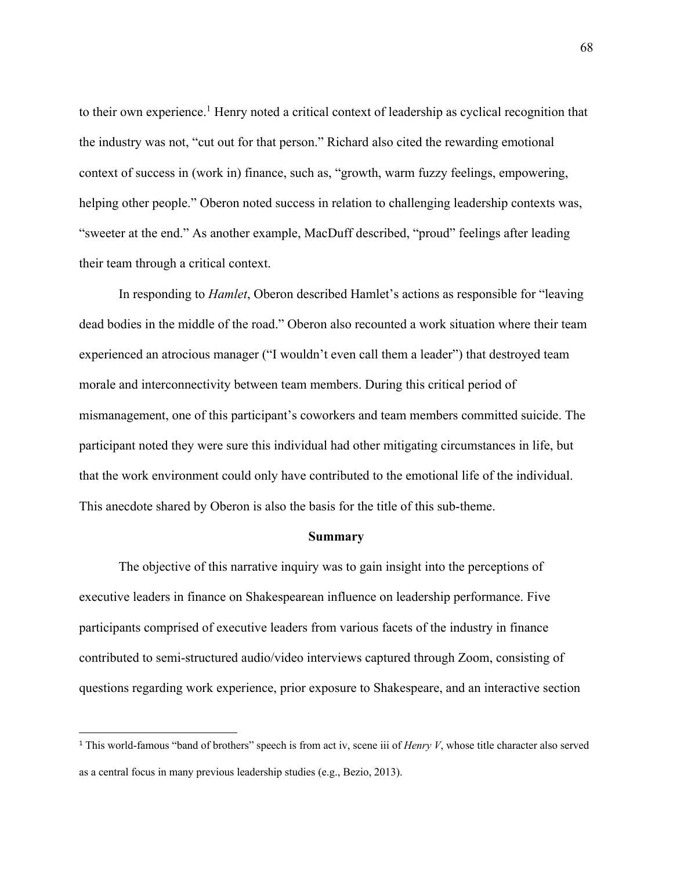to their own experience.<sup>1</sup> Henry noted a critical context of leadership as cyclical recognition that the industry was not, "cut out for that person." Richard also cited the rewarding emotional context of success in (work in) finance, such as, "growth, warm fuzzy feelings, empowering, helping other people." Oberon noted success in relation to challenging leadership contexts was, "sweeter at the end." As another example, MacDuff described, "proud" feelings after leading their team through a critical context.

In responding to *Hamlet*, Oberon described Hamlet's actions as responsible for "leaving dead bodies in the middle of the road." Oberon also recounted a work situation where their team experienced an atrocious manager ("I wouldn't even call them a leader") that destroyed team morale and interconnectivity between team members. During this critical period of mismanagement, one of this participant's coworkers and team members committed suicide. The participant noted they were sure this individual had other mitigating circumstances in life, but that the work environment could only have contributed to the emotional life of the individual. This anecdote shared by Oberon is also the basis for the title of this sub-theme.

#### **Summary**

The objective of this narrative inquiry was to gain insight into the perceptions of executive leaders in finance on Shakespearean influence on leadership performance. Five participants comprised of executive leaders from various facets of the industry in finance contributed to semi-structured audio/video interviews captured through Zoom, consisting of questions regarding work experience, prior exposure to Shakespeare, and an interactive section

<sup>1</sup> This world-famous "band of brothers" speech is from act iv, scene iii of *Henry V*, whose title character also served as a central focus in many previous leadership studies (e.g., Bezio, 2013).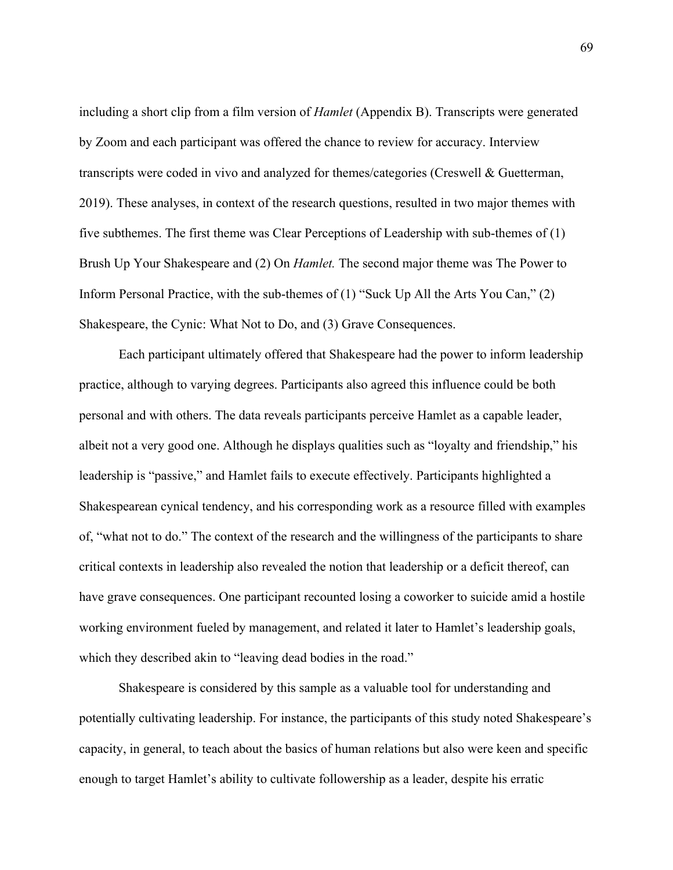including a short clip from a film version of *Hamlet* (Appendix B). Transcripts were generated by Zoom and each participant was offered the chance to review for accuracy. Interview transcripts were coded in vivo and analyzed for themes/categories (Creswell & Guetterman, 2019). These analyses, in context of the research questions, resulted in two major themes with five subthemes. The first theme was Clear Perceptions of Leadership with sub-themes of (1) Brush Up Your Shakespeare and (2) On *Hamlet.* The second major theme was The Power to Inform Personal Practice, with the sub-themes of (1) "Suck Up All the Arts You Can," (2) Shakespeare, the Cynic: What Not to Do, and (3) Grave Consequences.

Each participant ultimately offered that Shakespeare had the power to inform leadership practice, although to varying degrees. Participants also agreed this influence could be both personal and with others. The data reveals participants perceive Hamlet as a capable leader, albeit not a very good one. Although he displays qualities such as "loyalty and friendship," his leadership is "passive," and Hamlet fails to execute effectively. Participants highlighted a Shakespearean cynical tendency, and his corresponding work as a resource filled with examples of, "what not to do." The context of the research and the willingness of the participants to share critical contexts in leadership also revealed the notion that leadership or a deficit thereof, can have grave consequences. One participant recounted losing a coworker to suicide amid a hostile working environment fueled by management, and related it later to Hamlet's leadership goals, which they described akin to "leaving dead bodies in the road."

Shakespeare is considered by this sample as a valuable tool for understanding and potentially cultivating leadership. For instance, the participants of this study noted Shakespeare's capacity, in general, to teach about the basics of human relations but also were keen and specific enough to target Hamlet's ability to cultivate followership as a leader, despite his erratic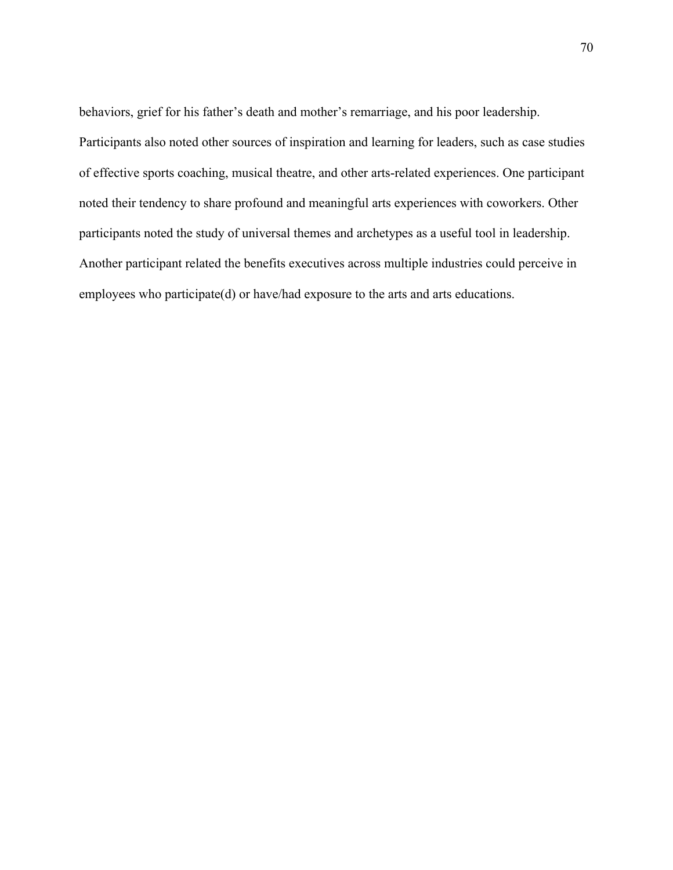behaviors, grief for his father's death and mother's remarriage, and his poor leadership. Participants also noted other sources of inspiration and learning for leaders, such as case studies of effective sports coaching, musical theatre, and other arts-related experiences. One participant noted their tendency to share profound and meaningful arts experiences with coworkers. Other participants noted the study of universal themes and archetypes as a useful tool in leadership. Another participant related the benefits executives across multiple industries could perceive in employees who participate(d) or have/had exposure to the arts and arts educations.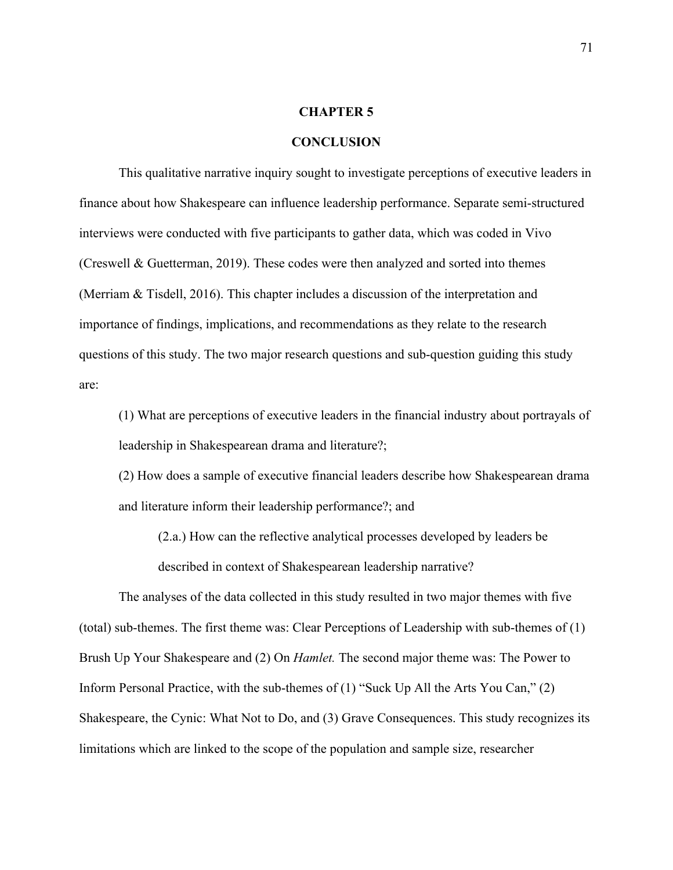#### **CHAPTER 5**

#### **CONCLUSION**

This qualitative narrative inquiry sought to investigate perceptions of executive leaders in finance about how Shakespeare can influence leadership performance. Separate semi-structured interviews were conducted with five participants to gather data, which was coded in Vivo (Creswell & Guetterman, 2019). These codes were then analyzed and sorted into themes (Merriam & Tisdell, 2016). This chapter includes a discussion of the interpretation and importance of findings, implications, and recommendations as they relate to the research questions of this study. The two major research questions and sub-question guiding this study are:

(1) What are perceptions of executive leaders in the financial industry about portrayals of leadership in Shakespearean drama and literature?;

(2) How does a sample of executive financial leaders describe how Shakespearean drama and literature inform their leadership performance?; and

(2.a.) How can the reflective analytical processes developed by leaders be described in context of Shakespearean leadership narrative?

The analyses of the data collected in this study resulted in two major themes with five (total) sub-themes. The first theme was: Clear Perceptions of Leadership with sub-themes of (1) Brush Up Your Shakespeare and (2) On *Hamlet.* The second major theme was: The Power to Inform Personal Practice, with the sub-themes of (1) "Suck Up All the Arts You Can," (2) Shakespeare, the Cynic: What Not to Do, and (3) Grave Consequences. This study recognizes its limitations which are linked to the scope of the population and sample size, researcher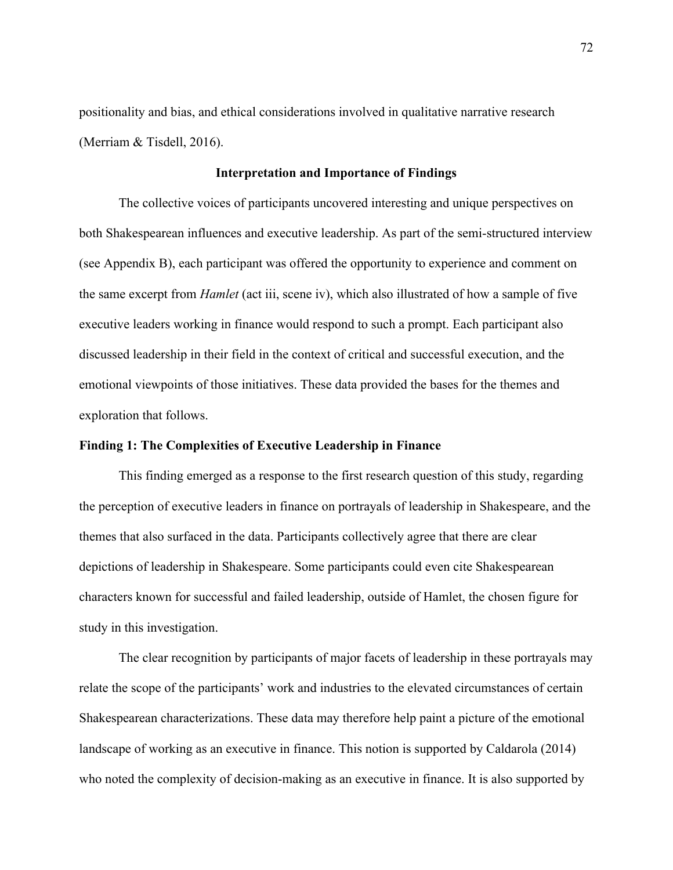positionality and bias, and ethical considerations involved in qualitative narrative research (Merriam & Tisdell, 2016).

## **Interpretation and Importance of Findings**

The collective voices of participants uncovered interesting and unique perspectives on both Shakespearean influences and executive leadership. As part of the semi-structured interview (see Appendix B), each participant was offered the opportunity to experience and comment on the same excerpt from *Hamlet* (act iii, scene iv), which also illustrated of how a sample of five executive leaders working in finance would respond to such a prompt. Each participant also discussed leadership in their field in the context of critical and successful execution, and the emotional viewpoints of those initiatives. These data provided the bases for the themes and exploration that follows.

#### **Finding 1: The Complexities of Executive Leadership in Finance**

This finding emerged as a response to the first research question of this study, regarding the perception of executive leaders in finance on portrayals of leadership in Shakespeare, and the themes that also surfaced in the data. Participants collectively agree that there are clear depictions of leadership in Shakespeare. Some participants could even cite Shakespearean characters known for successful and failed leadership, outside of Hamlet, the chosen figure for study in this investigation.

The clear recognition by participants of major facets of leadership in these portrayals may relate the scope of the participants' work and industries to the elevated circumstances of certain Shakespearean characterizations. These data may therefore help paint a picture of the emotional landscape of working as an executive in finance. This notion is supported by Caldarola (2014) who noted the complexity of decision-making as an executive in finance. It is also supported by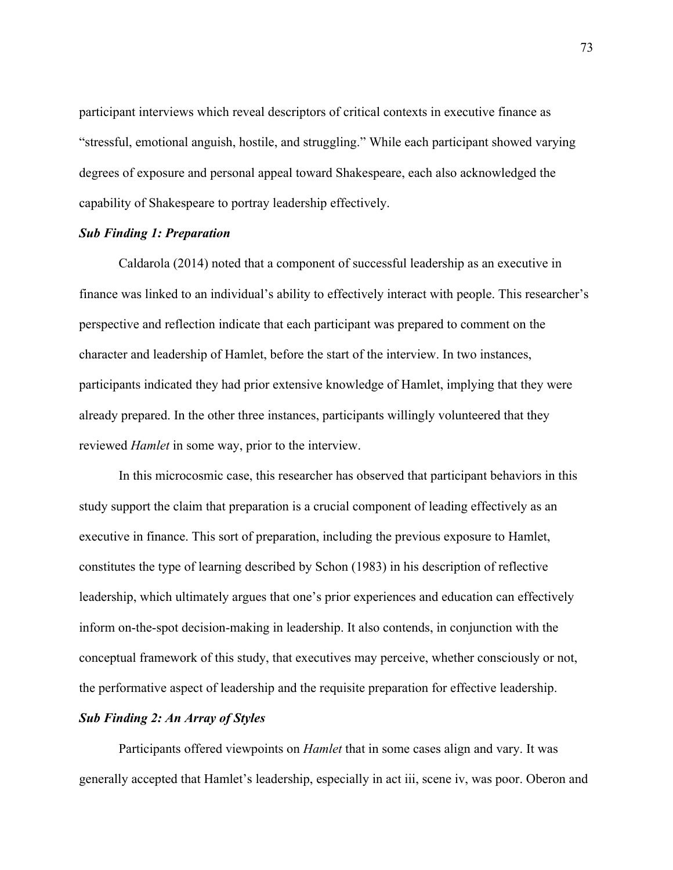participant interviews which reveal descriptors of critical contexts in executive finance as "stressful, emotional anguish, hostile, and struggling." While each participant showed varying degrees of exposure and personal appeal toward Shakespeare, each also acknowledged the capability of Shakespeare to portray leadership effectively.

#### *Sub Finding 1: Preparation*

Caldarola (2014) noted that a component of successful leadership as an executive in finance was linked to an individual's ability to effectively interact with people. This researcher's perspective and reflection indicate that each participant was prepared to comment on the character and leadership of Hamlet, before the start of the interview. In two instances, participants indicated they had prior extensive knowledge of Hamlet, implying that they were already prepared. In the other three instances, participants willingly volunteered that they reviewed *Hamlet* in some way, prior to the interview.

In this microcosmic case, this researcher has observed that participant behaviors in this study support the claim that preparation is a crucial component of leading effectively as an executive in finance. This sort of preparation, including the previous exposure to Hamlet, constitutes the type of learning described by Schon (1983) in his description of reflective leadership, which ultimately argues that one's prior experiences and education can effectively inform on-the-spot decision-making in leadership. It also contends, in conjunction with the conceptual framework of this study, that executives may perceive, whether consciously or not, the performative aspect of leadership and the requisite preparation for effective leadership.

# *Sub Finding 2: An Array of Styles*

Participants offered viewpoints on *Hamlet* that in some cases align and vary. It was generally accepted that Hamlet's leadership, especially in act iii, scene iv, was poor. Oberon and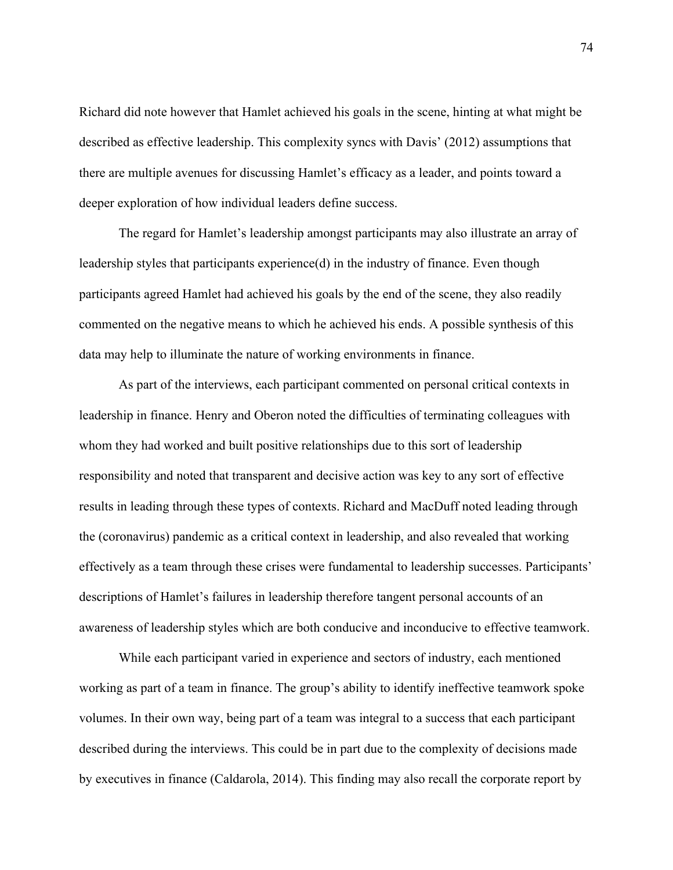Richard did note however that Hamlet achieved his goals in the scene, hinting at what might be described as effective leadership. This complexity syncs with Davis' (2012) assumptions that there are multiple avenues for discussing Hamlet's efficacy as a leader, and points toward a deeper exploration of how individual leaders define success.

The regard for Hamlet's leadership amongst participants may also illustrate an array of leadership styles that participants experience(d) in the industry of finance. Even though participants agreed Hamlet had achieved his goals by the end of the scene, they also readily commented on the negative means to which he achieved his ends. A possible synthesis of this data may help to illuminate the nature of working environments in finance.

As part of the interviews, each participant commented on personal critical contexts in leadership in finance. Henry and Oberon noted the difficulties of terminating colleagues with whom they had worked and built positive relationships due to this sort of leadership responsibility and noted that transparent and decisive action was key to any sort of effective results in leading through these types of contexts. Richard and MacDuff noted leading through the (coronavirus) pandemic as a critical context in leadership, and also revealed that working effectively as a team through these crises were fundamental to leadership successes. Participants' descriptions of Hamlet's failures in leadership therefore tangent personal accounts of an awareness of leadership styles which are both conducive and inconducive to effective teamwork.

While each participant varied in experience and sectors of industry, each mentioned working as part of a team in finance. The group's ability to identify ineffective teamwork spoke volumes. In their own way, being part of a team was integral to a success that each participant described during the interviews. This could be in part due to the complexity of decisions made by executives in finance (Caldarola, 2014). This finding may also recall the corporate report by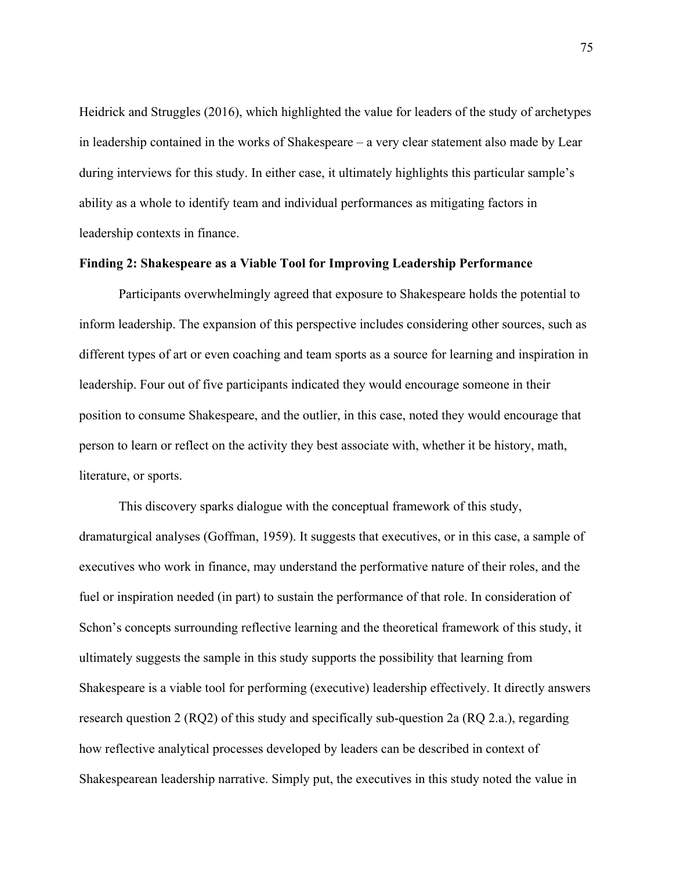Heidrick and Struggles (2016), which highlighted the value for leaders of the study of archetypes in leadership contained in the works of Shakespeare – a very clear statement also made by Lear during interviews for this study. In either case, it ultimately highlights this particular sample's ability as a whole to identify team and individual performances as mitigating factors in leadership contexts in finance.

#### **Finding 2: Shakespeare as a Viable Tool for Improving Leadership Performance**

Participants overwhelmingly agreed that exposure to Shakespeare holds the potential to inform leadership. The expansion of this perspective includes considering other sources, such as different types of art or even coaching and team sports as a source for learning and inspiration in leadership. Four out of five participants indicated they would encourage someone in their position to consume Shakespeare, and the outlier, in this case, noted they would encourage that person to learn or reflect on the activity they best associate with, whether it be history, math, literature, or sports.

This discovery sparks dialogue with the conceptual framework of this study, dramaturgical analyses (Goffman, 1959). It suggests that executives, or in this case, a sample of executives who work in finance, may understand the performative nature of their roles, and the fuel or inspiration needed (in part) to sustain the performance of that role. In consideration of Schon's concepts surrounding reflective learning and the theoretical framework of this study, it ultimately suggests the sample in this study supports the possibility that learning from Shakespeare is a viable tool for performing (executive) leadership effectively. It directly answers research question 2 (RQ2) of this study and specifically sub-question 2a (RQ 2.a.), regarding how reflective analytical processes developed by leaders can be described in context of Shakespearean leadership narrative. Simply put, the executives in this study noted the value in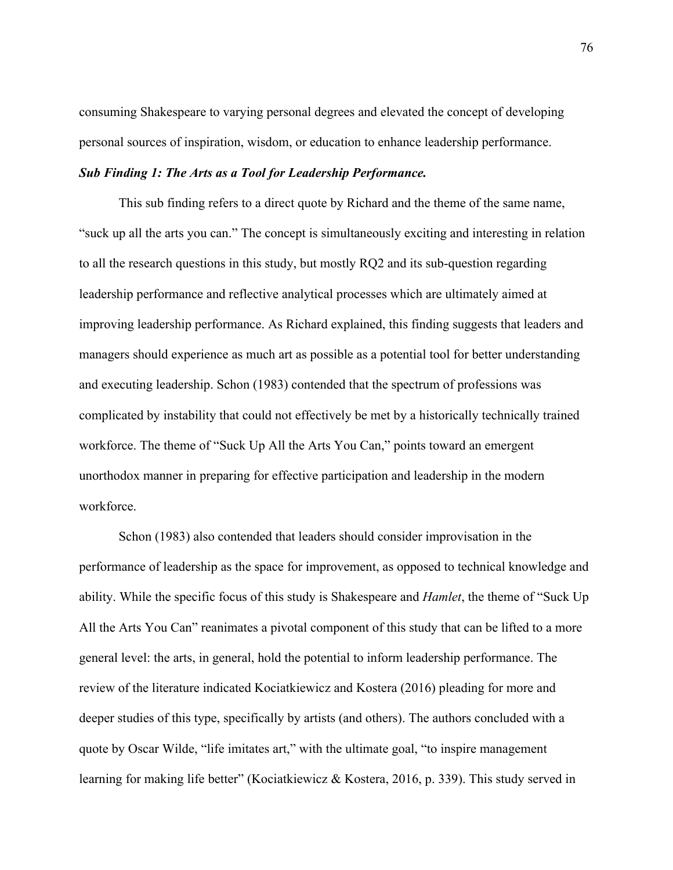consuming Shakespeare to varying personal degrees and elevated the concept of developing personal sources of inspiration, wisdom, or education to enhance leadership performance.

#### *Sub Finding 1: The Arts as a Tool for Leadership Performance.*

This sub finding refers to a direct quote by Richard and the theme of the same name, "suck up all the arts you can." The concept is simultaneously exciting and interesting in relation to all the research questions in this study, but mostly RQ2 and its sub-question regarding leadership performance and reflective analytical processes which are ultimately aimed at improving leadership performance. As Richard explained, this finding suggests that leaders and managers should experience as much art as possible as a potential tool for better understanding and executing leadership. Schon (1983) contended that the spectrum of professions was complicated by instability that could not effectively be met by a historically technically trained workforce. The theme of "Suck Up All the Arts You Can," points toward an emergent unorthodox manner in preparing for effective participation and leadership in the modern workforce.

Schon (1983) also contended that leaders should consider improvisation in the performance of leadership as the space for improvement, as opposed to technical knowledge and ability. While the specific focus of this study is Shakespeare and *Hamlet*, the theme of "Suck Up All the Arts You Can" reanimates a pivotal component of this study that can be lifted to a more general level: the arts, in general, hold the potential to inform leadership performance. The review of the literature indicated Kociatkiewicz and Kostera (2016) pleading for more and deeper studies of this type, specifically by artists (and others). The authors concluded with a quote by Oscar Wilde, "life imitates art," with the ultimate goal, "to inspire management learning for making life better" (Kociatkiewicz & Kostera, 2016, p. 339). This study served in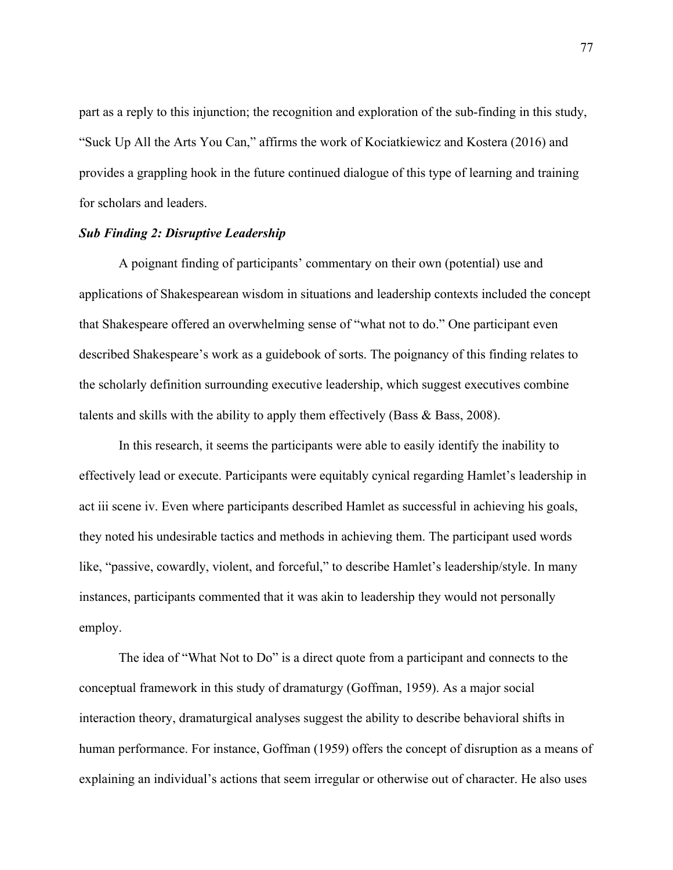part as a reply to this injunction; the recognition and exploration of the sub-finding in this study, "Suck Up All the Arts You Can," affirms the work of Kociatkiewicz and Kostera (2016) and provides a grappling hook in the future continued dialogue of this type of learning and training for scholars and leaders.

## *Sub Finding 2: Disruptive Leadership*

A poignant finding of participants' commentary on their own (potential) use and applications of Shakespearean wisdom in situations and leadership contexts included the concept that Shakespeare offered an overwhelming sense of "what not to do." One participant even described Shakespeare's work as a guidebook of sorts. The poignancy of this finding relates to the scholarly definition surrounding executive leadership, which suggest executives combine talents and skills with the ability to apply them effectively (Bass & Bass, 2008).

In this research, it seems the participants were able to easily identify the inability to effectively lead or execute. Participants were equitably cynical regarding Hamlet's leadership in act iii scene iv. Even where participants described Hamlet as successful in achieving his goals, they noted his undesirable tactics and methods in achieving them. The participant used words like, "passive, cowardly, violent, and forceful," to describe Hamlet's leadership/style. In many instances, participants commented that it was akin to leadership they would not personally employ.

The idea of "What Not to Do" is a direct quote from a participant and connects to the conceptual framework in this study of dramaturgy (Goffman, 1959). As a major social interaction theory, dramaturgical analyses suggest the ability to describe behavioral shifts in human performance. For instance, Goffman (1959) offers the concept of disruption as a means of explaining an individual's actions that seem irregular or otherwise out of character. He also uses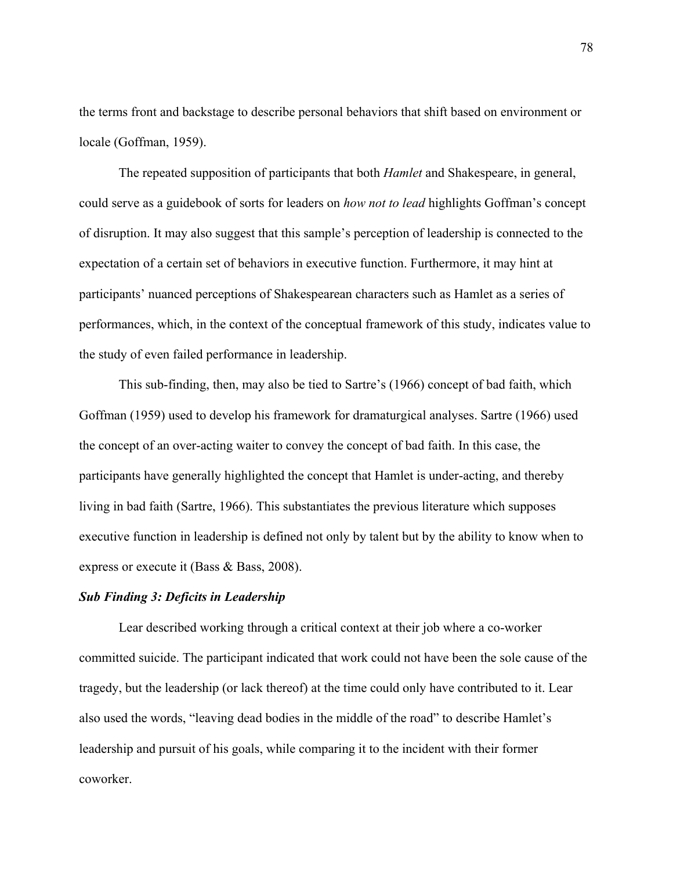the terms front and backstage to describe personal behaviors that shift based on environment or locale (Goffman, 1959).

The repeated supposition of participants that both *Hamlet* and Shakespeare, in general, could serve as a guidebook of sorts for leaders on *how not to lead* highlights Goffman's concept of disruption. It may also suggest that this sample's perception of leadership is connected to the expectation of a certain set of behaviors in executive function. Furthermore, it may hint at participants' nuanced perceptions of Shakespearean characters such as Hamlet as a series of performances, which, in the context of the conceptual framework of this study, indicates value to the study of even failed performance in leadership.

This sub-finding, then, may also be tied to Sartre's (1966) concept of bad faith, which Goffman (1959) used to develop his framework for dramaturgical analyses. Sartre (1966) used the concept of an over-acting waiter to convey the concept of bad faith. In this case, the participants have generally highlighted the concept that Hamlet is under-acting, and thereby living in bad faith (Sartre, 1966). This substantiates the previous literature which supposes executive function in leadership is defined not only by talent but by the ability to know when to express or execute it (Bass & Bass, 2008).

## *Sub Finding 3: Deficits in Leadership*

Lear described working through a critical context at their job where a co-worker committed suicide. The participant indicated that work could not have been the sole cause of the tragedy, but the leadership (or lack thereof) at the time could only have contributed to it. Lear also used the words, "leaving dead bodies in the middle of the road" to describe Hamlet's leadership and pursuit of his goals, while comparing it to the incident with their former coworker.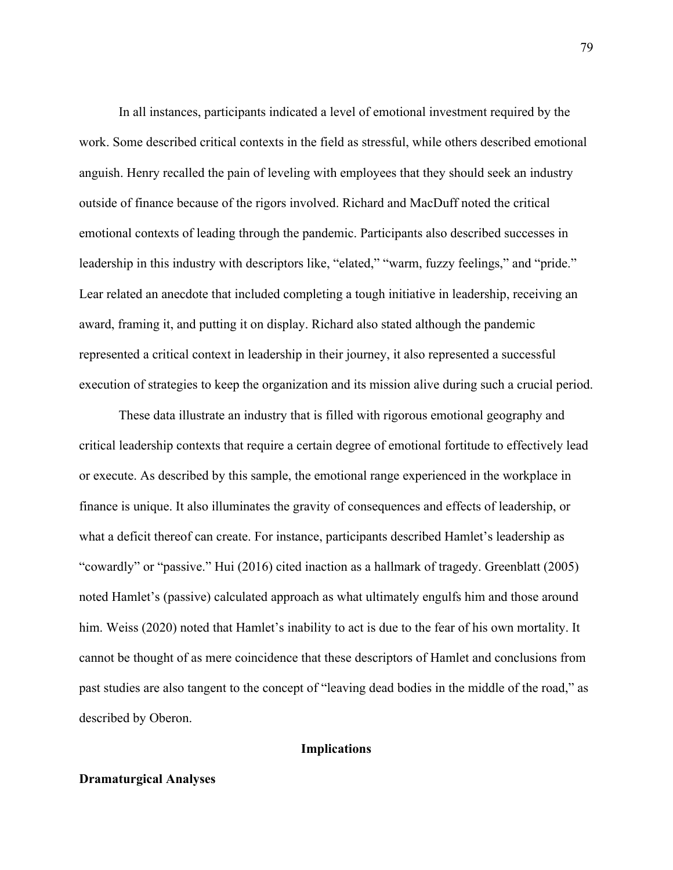In all instances, participants indicated a level of emotional investment required by the work. Some described critical contexts in the field as stressful, while others described emotional anguish. Henry recalled the pain of leveling with employees that they should seek an industry outside of finance because of the rigors involved. Richard and MacDuff noted the critical emotional contexts of leading through the pandemic. Participants also described successes in leadership in this industry with descriptors like, "elated," "warm, fuzzy feelings," and "pride." Lear related an anecdote that included completing a tough initiative in leadership, receiving an award, framing it, and putting it on display. Richard also stated although the pandemic represented a critical context in leadership in their journey, it also represented a successful execution of strategies to keep the organization and its mission alive during such a crucial period.

These data illustrate an industry that is filled with rigorous emotional geography and critical leadership contexts that require a certain degree of emotional fortitude to effectively lead or execute. As described by this sample, the emotional range experienced in the workplace in finance is unique. It also illuminates the gravity of consequences and effects of leadership, or what a deficit thereof can create. For instance, participants described Hamlet's leadership as "cowardly" or "passive." Hui (2016) cited inaction as a hallmark of tragedy. Greenblatt (2005) noted Hamlet's (passive) calculated approach as what ultimately engulfs him and those around him. Weiss (2020) noted that Hamlet's inability to act is due to the fear of his own mortality. It cannot be thought of as mere coincidence that these descriptors of Hamlet and conclusions from past studies are also tangent to the concept of "leaving dead bodies in the middle of the road," as described by Oberon.

## **Implications**

# **Dramaturgical Analyses**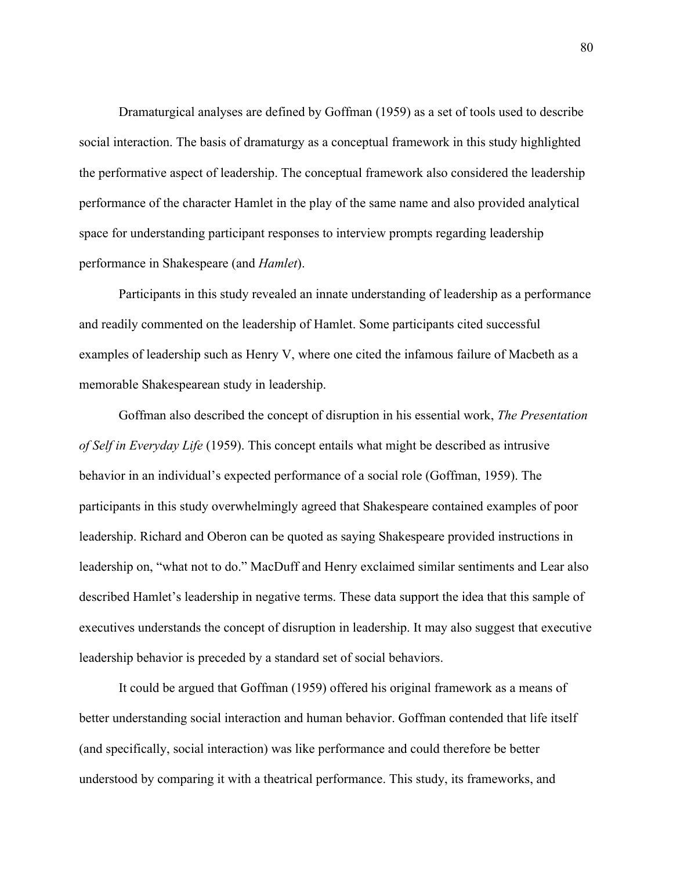Dramaturgical analyses are defined by Goffman (1959) as a set of tools used to describe social interaction. The basis of dramaturgy as a conceptual framework in this study highlighted the performative aspect of leadership. The conceptual framework also considered the leadership performance of the character Hamlet in the play of the same name and also provided analytical space for understanding participant responses to interview prompts regarding leadership performance in Shakespeare (and *Hamlet*).

Participants in this study revealed an innate understanding of leadership as a performance and readily commented on the leadership of Hamlet. Some participants cited successful examples of leadership such as Henry V, where one cited the infamous failure of Macbeth as a memorable Shakespearean study in leadership.

Goffman also described the concept of disruption in his essential work, *The Presentation of Self in Everyday Life* (1959). This concept entails what might be described as intrusive behavior in an individual's expected performance of a social role (Goffman, 1959). The participants in this study overwhelmingly agreed that Shakespeare contained examples of poor leadership. Richard and Oberon can be quoted as saying Shakespeare provided instructions in leadership on, "what not to do." MacDuff and Henry exclaimed similar sentiments and Lear also described Hamlet's leadership in negative terms. These data support the idea that this sample of executives understands the concept of disruption in leadership. It may also suggest that executive leadership behavior is preceded by a standard set of social behaviors.

It could be argued that Goffman (1959) offered his original framework as a means of better understanding social interaction and human behavior. Goffman contended that life itself (and specifically, social interaction) was like performance and could therefore be better understood by comparing it with a theatrical performance. This study, its frameworks, and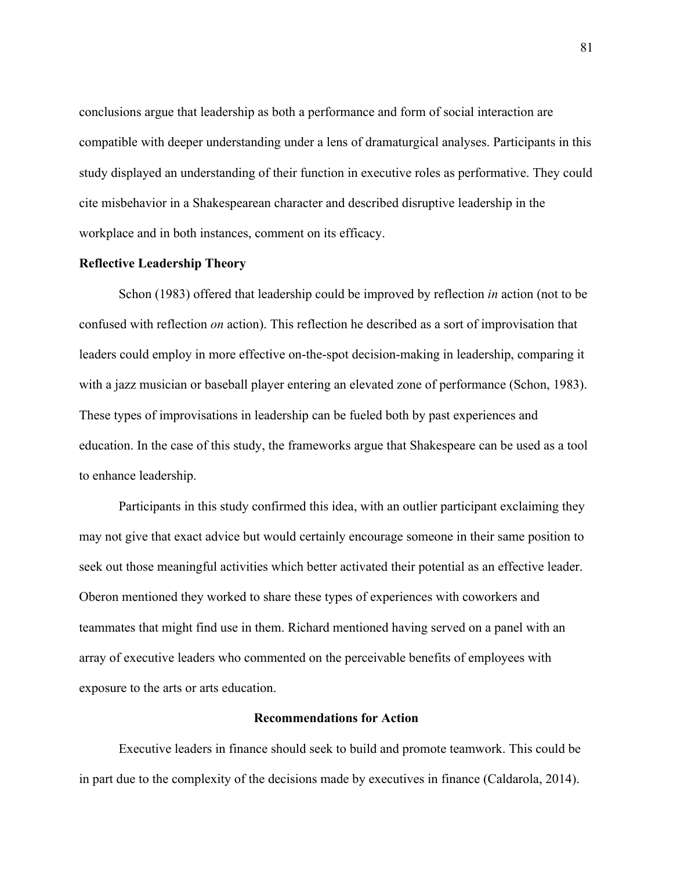conclusions argue that leadership as both a performance and form of social interaction are compatible with deeper understanding under a lens of dramaturgical analyses. Participants in this study displayed an understanding of their function in executive roles as performative. They could cite misbehavior in a Shakespearean character and described disruptive leadership in the workplace and in both instances, comment on its efficacy.

#### **Reflective Leadership Theory**

Schon (1983) offered that leadership could be improved by reflection *in* action (not to be confused with reflection *on* action). This reflection he described as a sort of improvisation that leaders could employ in more effective on-the-spot decision-making in leadership, comparing it with a jazz musician or baseball player entering an elevated zone of performance (Schon, 1983). These types of improvisations in leadership can be fueled both by past experiences and education. In the case of this study, the frameworks argue that Shakespeare can be used as a tool to enhance leadership.

Participants in this study confirmed this idea, with an outlier participant exclaiming they may not give that exact advice but would certainly encourage someone in their same position to seek out those meaningful activities which better activated their potential as an effective leader. Oberon mentioned they worked to share these types of experiences with coworkers and teammates that might find use in them. Richard mentioned having served on a panel with an array of executive leaders who commented on the perceivable benefits of employees with exposure to the arts or arts education.

# **Recommendations for Action**

Executive leaders in finance should seek to build and promote teamwork. This could be in part due to the complexity of the decisions made by executives in finance (Caldarola, 2014).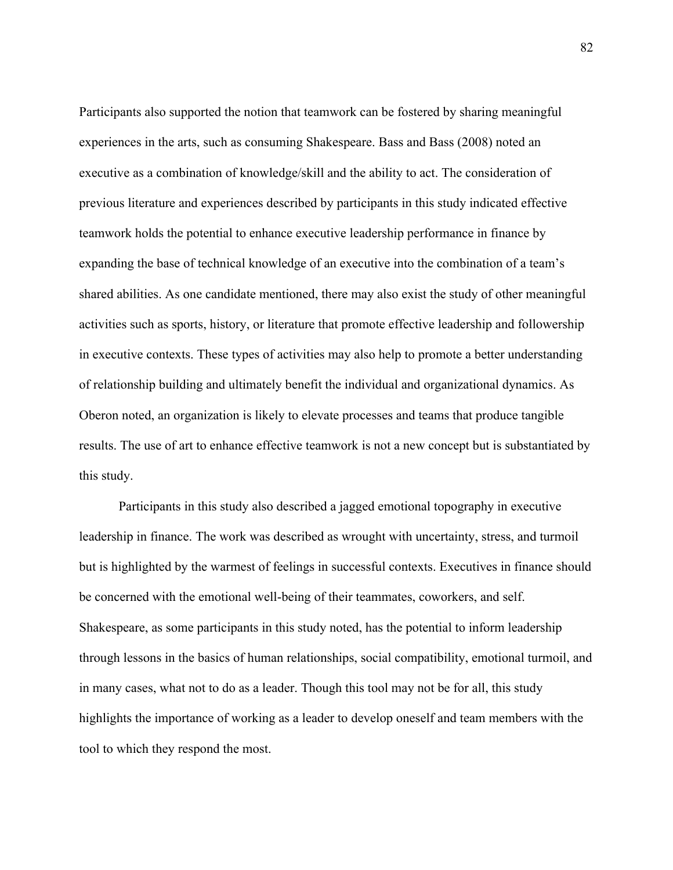Participants also supported the notion that teamwork can be fostered by sharing meaningful experiences in the arts, such as consuming Shakespeare. Bass and Bass (2008) noted an executive as a combination of knowledge/skill and the ability to act. The consideration of previous literature and experiences described by participants in this study indicated effective teamwork holds the potential to enhance executive leadership performance in finance by expanding the base of technical knowledge of an executive into the combination of a team's shared abilities. As one candidate mentioned, there may also exist the study of other meaningful activities such as sports, history, or literature that promote effective leadership and followership in executive contexts. These types of activities may also help to promote a better understanding of relationship building and ultimately benefit the individual and organizational dynamics. As Oberon noted, an organization is likely to elevate processes and teams that produce tangible results. The use of art to enhance effective teamwork is not a new concept but is substantiated by this study.

Participants in this study also described a jagged emotional topography in executive leadership in finance. The work was described as wrought with uncertainty, stress, and turmoil but is highlighted by the warmest of feelings in successful contexts. Executives in finance should be concerned with the emotional well-being of their teammates, coworkers, and self. Shakespeare, as some participants in this study noted, has the potential to inform leadership through lessons in the basics of human relationships, social compatibility, emotional turmoil, and in many cases, what not to do as a leader. Though this tool may not be for all, this study highlights the importance of working as a leader to develop oneself and team members with the tool to which they respond the most.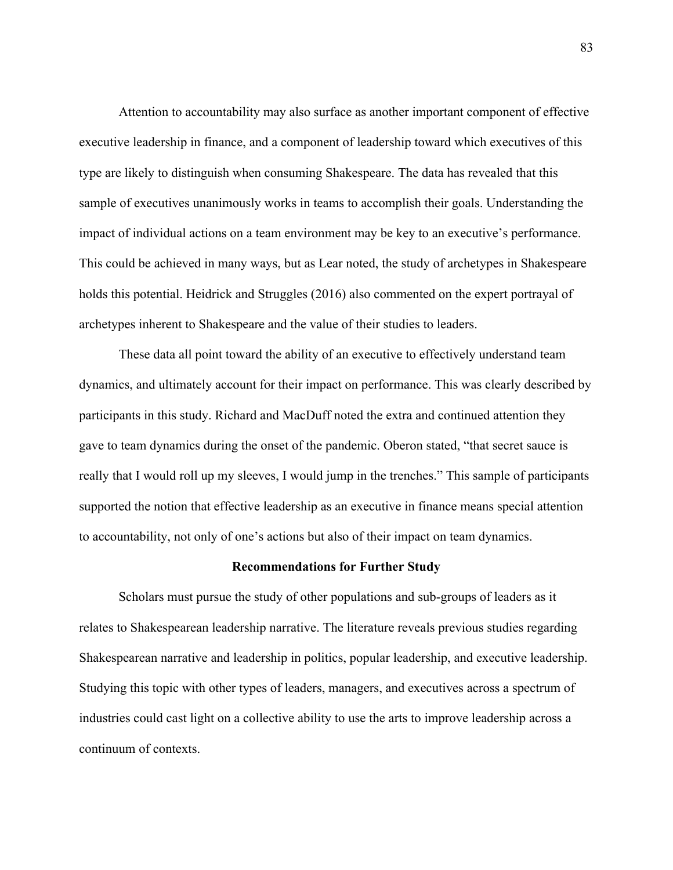Attention to accountability may also surface as another important component of effective executive leadership in finance, and a component of leadership toward which executives of this type are likely to distinguish when consuming Shakespeare. The data has revealed that this sample of executives unanimously works in teams to accomplish their goals. Understanding the impact of individual actions on a team environment may be key to an executive's performance. This could be achieved in many ways, but as Lear noted, the study of archetypes in Shakespeare holds this potential. Heidrick and Struggles (2016) also commented on the expert portrayal of archetypes inherent to Shakespeare and the value of their studies to leaders.

These data all point toward the ability of an executive to effectively understand team dynamics, and ultimately account for their impact on performance. This was clearly described by participants in this study. Richard and MacDuff noted the extra and continued attention they gave to team dynamics during the onset of the pandemic. Oberon stated, "that secret sauce is really that I would roll up my sleeves, I would jump in the trenches." This sample of participants supported the notion that effective leadership as an executive in finance means special attention to accountability, not only of one's actions but also of their impact on team dynamics.

#### **Recommendations for Further Study**

Scholars must pursue the study of other populations and sub-groups of leaders as it relates to Shakespearean leadership narrative. The literature reveals previous studies regarding Shakespearean narrative and leadership in politics, popular leadership, and executive leadership. Studying this topic with other types of leaders, managers, and executives across a spectrum of industries could cast light on a collective ability to use the arts to improve leadership across a continuum of contexts.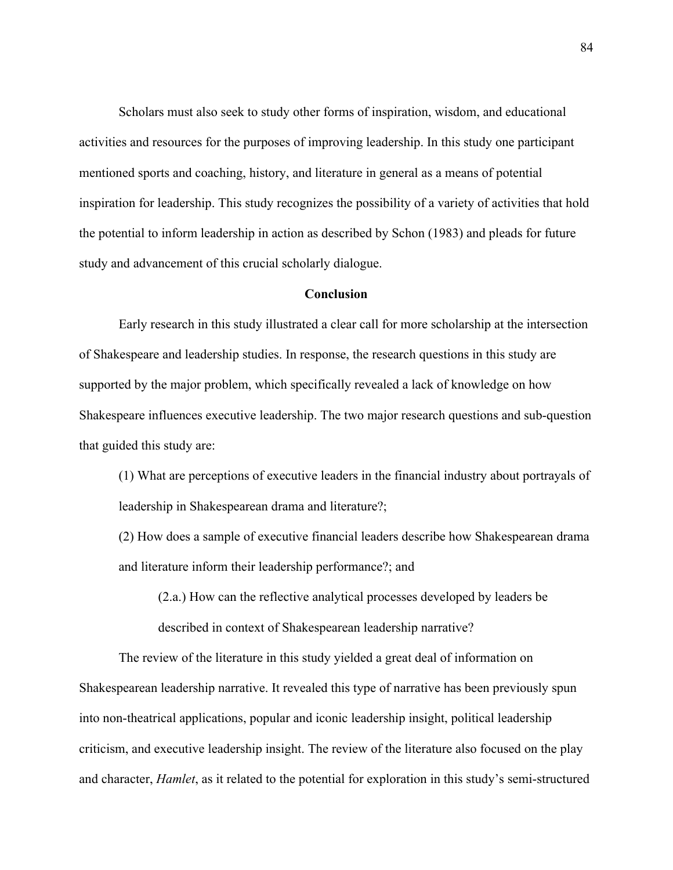Scholars must also seek to study other forms of inspiration, wisdom, and educational activities and resources for the purposes of improving leadership. In this study one participant mentioned sports and coaching, history, and literature in general as a means of potential inspiration for leadership. This study recognizes the possibility of a variety of activities that hold the potential to inform leadership in action as described by Schon (1983) and pleads for future study and advancement of this crucial scholarly dialogue.

#### **Conclusion**

Early research in this study illustrated a clear call for more scholarship at the intersection of Shakespeare and leadership studies. In response, the research questions in this study are supported by the major problem, which specifically revealed a lack of knowledge on how Shakespeare influences executive leadership. The two major research questions and sub-question that guided this study are:

(1) What are perceptions of executive leaders in the financial industry about portrayals of leadership in Shakespearean drama and literature?;

(2) How does a sample of executive financial leaders describe how Shakespearean drama and literature inform their leadership performance?; and

(2.a.) How can the reflective analytical processes developed by leaders be described in context of Shakespearean leadership narrative?

The review of the literature in this study yielded a great deal of information on Shakespearean leadership narrative. It revealed this type of narrative has been previously spun into non-theatrical applications, popular and iconic leadership insight, political leadership criticism, and executive leadership insight. The review of the literature also focused on the play and character, *Hamlet*, as it related to the potential for exploration in this study's semi-structured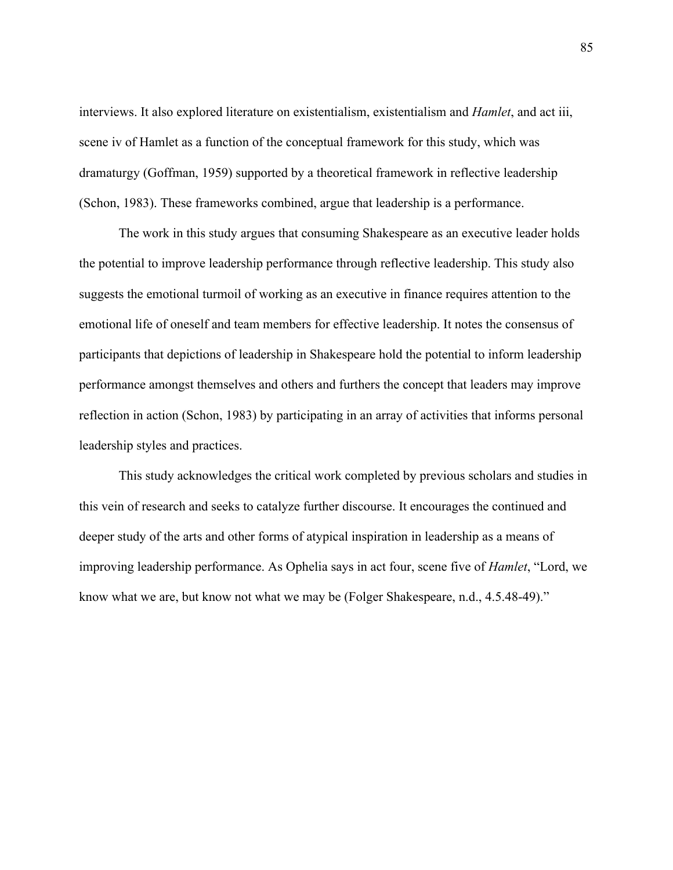interviews. It also explored literature on existentialism, existentialism and *Hamlet*, and act iii, scene iv of Hamlet as a function of the conceptual framework for this study, which was dramaturgy (Goffman, 1959) supported by a theoretical framework in reflective leadership (Schon, 1983). These frameworks combined, argue that leadership is a performance.

The work in this study argues that consuming Shakespeare as an executive leader holds the potential to improve leadership performance through reflective leadership. This study also suggests the emotional turmoil of working as an executive in finance requires attention to the emotional life of oneself and team members for effective leadership. It notes the consensus of participants that depictions of leadership in Shakespeare hold the potential to inform leadership performance amongst themselves and others and furthers the concept that leaders may improve reflection in action (Schon, 1983) by participating in an array of activities that informs personal leadership styles and practices.

This study acknowledges the critical work completed by previous scholars and studies in this vein of research and seeks to catalyze further discourse. It encourages the continued and deeper study of the arts and other forms of atypical inspiration in leadership as a means of improving leadership performance. As Ophelia says in act four, scene five of *Hamlet*, "Lord, we know what we are, but know not what we may be (Folger Shakespeare, n.d., 4.5.48-49)."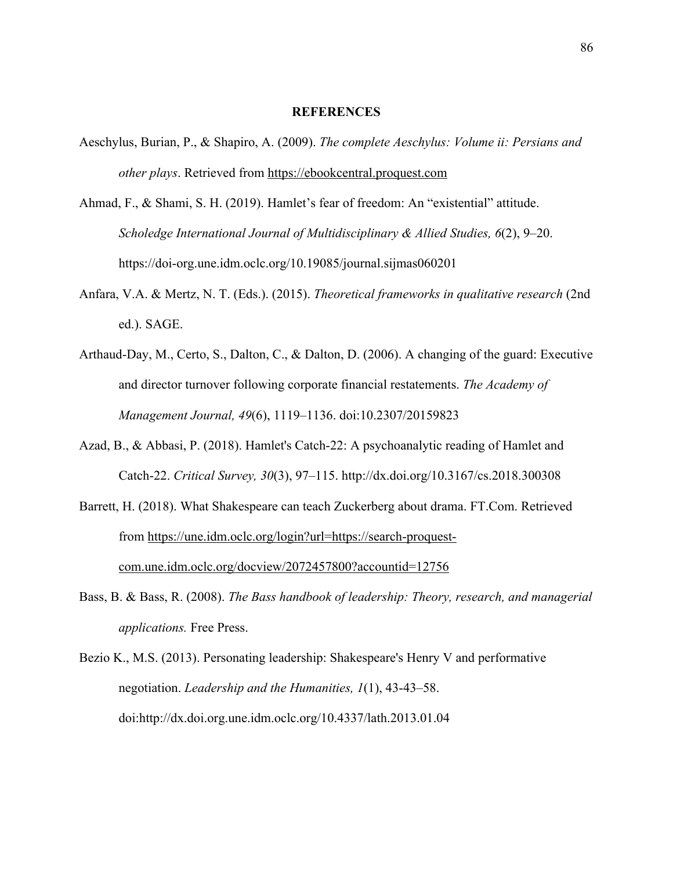#### **REFERENCES**

- Aeschylus, Burian, P., & Shapiro, A. (2009). *The complete Aeschylus: Volume ii: Persians and other plays*. Retrieved from https://ebookcentral.proquest.com
- Ahmad, F., & Shami, S. H. (2019). Hamlet's fear of freedom: An "existential" attitude. *Scholedge International Journal of Multidisciplinary & Allied Studies, 6*(2), 9–20. https://doi-org.une.idm.oclc.org/10.19085/journal.sijmas060201
- Anfara, V.A. & Mertz, N. T. (Eds.). (2015). *Theoretical frameworks in qualitative research* (2nd ed.). SAGE.
- Arthaud-Day, M., Certo, S., Dalton, C., & Dalton, D. (2006). A changing of the guard: Executive and director turnover following corporate financial restatements. *The Academy of Management Journal, 49*(6), 1119–1136. doi:10.2307/20159823
- Azad, B., & Abbasi, P. (2018). Hamlet's Catch-22: A psychoanalytic reading of Hamlet and Catch-22. *Critical Survey, 30*(3), 97–115. http://dx.doi.org/10.3167/cs.2018.300308
- Barrett, H. (2018). What Shakespeare can teach Zuckerberg about drama. FT.Com. Retrieved from https://une.idm.oclc.org/login?url=https://search-proquestcom.une.idm.oclc.org/docview/2072457800?accountid=12756
- Bass, B. & Bass, R. (2008). *The Bass handbook of leadership: Theory, research, and managerial applications.* Free Press.
- Bezio K., M.S. (2013). Personating leadership: Shakespeare's Henry V and performative negotiation. *Leadership and the Humanities, 1*(1), 43-43–58. doi:http://dx.doi.org.une.idm.oclc.org/10.4337/lath.2013.01.04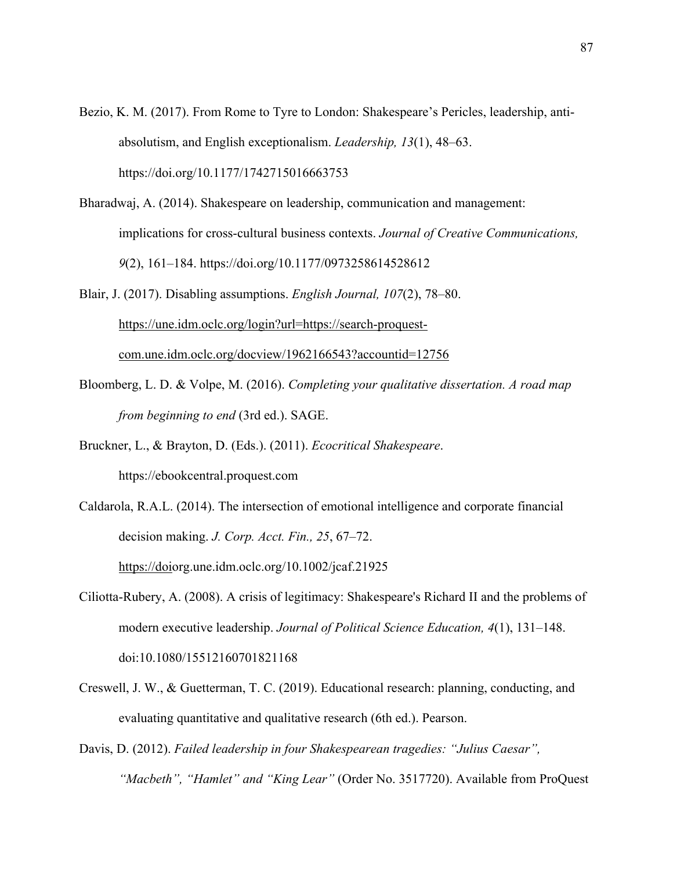- Bezio, K. M. (2017). From Rome to Tyre to London: Shakespeare's Pericles, leadership, antiabsolutism, and English exceptionalism. *Leadership, 13*(1), 48–63. https://doi.org/10.1177/1742715016663753
- Bharadwaj, A. (2014). Shakespeare on leadership, communication and management: implications for cross-cultural business contexts. *Journal of Creative Communications, 9*(2), 161–184. https://doi.org/10.1177/0973258614528612
- Blair, J. (2017). Disabling assumptions. *English Journal, 107*(2), 78–80. https://une.idm.oclc.org/login?url=https://search-proquestcom.une.idm.oclc.org/docview/1962166543?accountid=12756
- Bloomberg, L. D. & Volpe, M. (2016). *Completing your qualitative dissertation. A road map from beginning to end* (3rd ed.). SAGE.
- Bruckner, L., & Brayton, D. (Eds.). (2011). *Ecocritical Shakespeare*. https://ebookcentral.proquest.com
- Caldarola, R.A.L. (2014). The intersection of emotional intelligence and corporate financial decision making. *J. Corp. Acct. Fin., 25*, 67–72. https://doiorg.une.idm.oclc.org/10.1002/jcaf.21925
- Ciliotta-Rubery, A. (2008). A crisis of legitimacy: Shakespeare's Richard II and the problems of modern executive leadership. *Journal of Political Science Education, 4*(1), 131–148. doi:10.1080/15512160701821168
- Creswell, J. W., & Guetterman, T. C. (2019). Educational research: planning, conducting, and evaluating quantitative and qualitative research (6th ed.). Pearson.
- Davis, D. (2012). *Failed leadership in four Shakespearean tragedies: "Julius Caesar", "Macbeth", "Hamlet" and "King Lear"* (Order No. 3517720). Available from ProQuest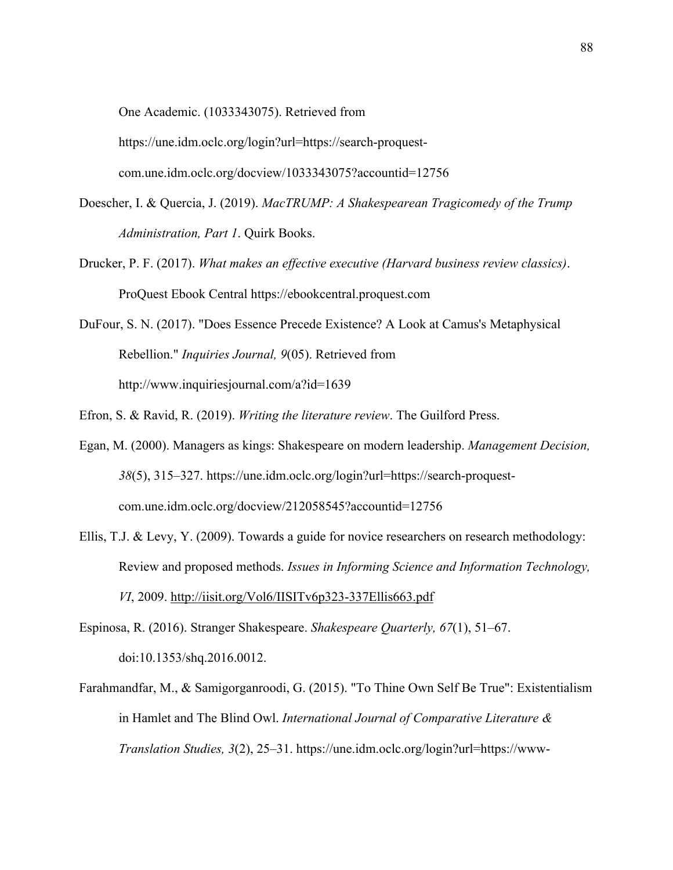One Academic. (1033343075). Retrieved from

https://une.idm.oclc.org/login?url=https://search-proquest-

com.une.idm.oclc.org/docview/1033343075?accountid=12756

- Doescher, I. & Quercia, J. (2019). *MacTRUMP: A Shakespearean Tragicomedy of the Trump Administration, Part 1*. Quirk Books.
- Drucker, P. F. (2017). *What makes an effective executive (Harvard business review classics)*. ProQuest Ebook Central https://ebookcentral.proquest.com
- DuFour, S. N. (2017). "Does Essence Precede Existence? A Look at Camus's Metaphysical Rebellion." *Inquiries Journal, 9*(05). Retrieved from http://www.inquiriesjournal.com/a?id=1639
- Efron, S. & Ravid, R. (2019). *Writing the literature review*. The Guilford Press.
- Egan, M. (2000). Managers as kings: Shakespeare on modern leadership. *Management Decision, 38*(5), 315–327. https://une.idm.oclc.org/login?url=https://search-proquestcom.une.idm.oclc.org/docview/212058545?accountid=12756
- Ellis, T.J. & Levy, Y. (2009). Towards a guide for novice researchers on research methodology: Review and proposed methods. *Issues in Informing Science and Information Technology, VI*, 2009. http://iisit.org/Vol6/IISITv6p323-337Ellis663.pdf
- Espinosa, R. (2016). Stranger Shakespeare. *Shakespeare Quarterly, 67*(1), 51–67. doi:10.1353/shq.2016.0012.
- Farahmandfar, M., & Samigorganroodi, G. (2015). "To Thine Own Self Be True": Existentialism in Hamlet and The Blind Owl. *International Journal of Comparative Literature & Translation Studies, 3*(2), 25–31. https://une.idm.oclc.org/login?url=https://www-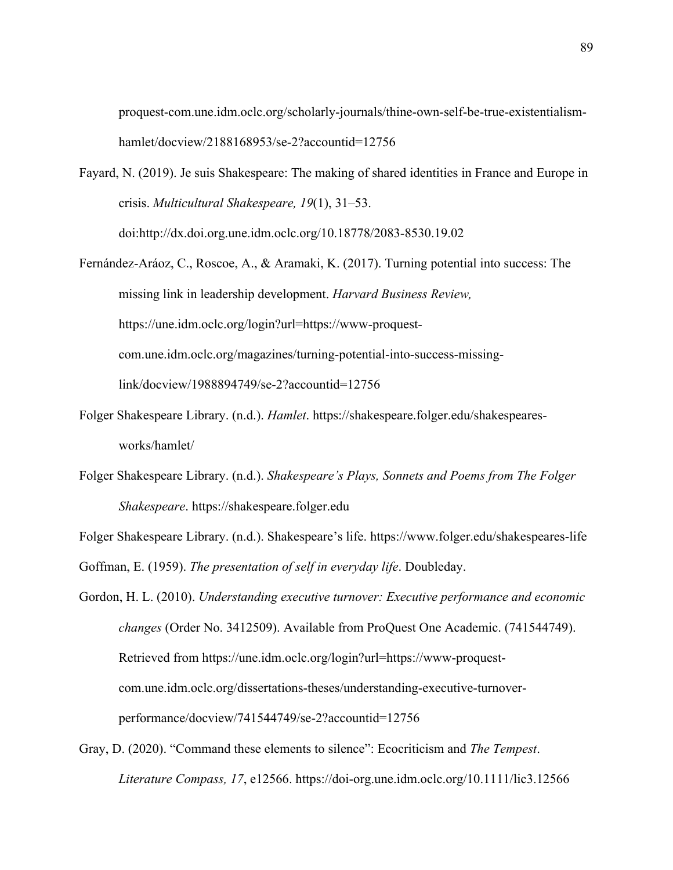proquest-com.une.idm.oclc.org/scholarly-journals/thine-own-self-be-true-existentialismhamlet/docview/2188168953/se-2?accountid=12756

- Fayard, N. (2019). Je suis Shakespeare: The making of shared identities in France and Europe in crisis. *Multicultural Shakespeare, 19*(1), 31–53. doi:http://dx.doi.org.une.idm.oclc.org/10.18778/2083-8530.19.02
- Fernández-Aráoz, C., Roscoe, A., & Aramaki, K. (2017). Turning potential into success: The missing link in leadership development. *Harvard Business Review,*  https://une.idm.oclc.org/login?url=https://www-proquestcom.une.idm.oclc.org/magazines/turning-potential-into-success-missinglink/docview/1988894749/se-2?accountid=12756
- Folger Shakespeare Library. (n.d.). *Hamlet*. https://shakespeare.folger.edu/shakespearesworks/hamlet/
- Folger Shakespeare Library. (n.d.). *Shakespeare's Plays, Sonnets and Poems from The Folger Shakespeare*. https://shakespeare.folger.edu
- Folger Shakespeare Library. (n.d.). Shakespeare's life. https://www.folger.edu/shakespeares-life

Goffman, E. (1959). *The presentation of self in everyday life*. Doubleday.

Gordon, H. L. (2010). *Understanding executive turnover: Executive performance and economic changes* (Order No. 3412509). Available from ProQuest One Academic. (741544749). Retrieved from https://une.idm.oclc.org/login?url=https://www-proquestcom.une.idm.oclc.org/dissertations-theses/understanding-executive-turnoverperformance/docview/741544749/se-2?accountid=12756

Gray, D. (2020). "Command these elements to silence": Ecocriticism and *The Tempest*. *Literature Compass, 17*, e12566. https://doi-org.une.idm.oclc.org/10.1111/lic3.12566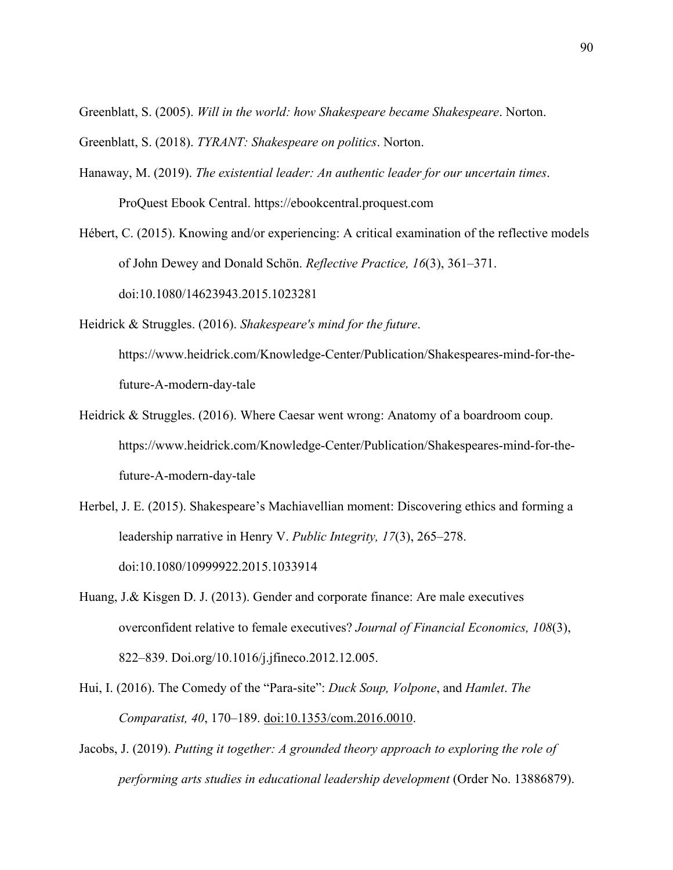Greenblatt, S. (2005). *Will in the world: how Shakespeare became Shakespeare*. Norton.

Greenblatt, S. (2018). *TYRANT: Shakespeare on politics*. Norton.

- Hanaway, M. (2019). *The existential leader: An authentic leader for our uncertain times*. ProQuest Ebook Central. https://ebookcentral.proquest.com
- Hébert, C. (2015). Knowing and/or experiencing: A critical examination of the reflective models of John Dewey and Donald Schön. *Reflective Practice, 16*(3), 361–371. doi:10.1080/14623943.2015.1023281
- Heidrick & Struggles. (2016). *Shakespeare's mind for the future*. https://www.heidrick.com/Knowledge-Center/Publication/Shakespeares-mind-for-thefuture-A-modern-day-tale
- Heidrick & Struggles. (2016). Where Caesar went wrong: Anatomy of a boardroom coup. https://www.heidrick.com/Knowledge-Center/Publication/Shakespeares-mind-for-thefuture-A-modern-day-tale
- Herbel, J. E. (2015). Shakespeare's Machiavellian moment: Discovering ethics and forming a leadership narrative in Henry V. *Public Integrity, 17*(3), 265–278. doi:10.1080/10999922.2015.1033914
- Huang, J.& Kisgen D. J. (2013). Gender and corporate finance: Are male executives overconfident relative to female executives? *Journal of Financial Economics, 108*(3), 822–839. Doi.org/10.1016/j.jfineco.2012.12.005.
- Hui, I. (2016). The Comedy of the "Para-site": *Duck Soup, Volpone*, and *Hamlet*. *The Comparatist, 40*, 170–189. doi:10.1353/com.2016.0010.
- Jacobs, J. (2019). *Putting it together: A grounded theory approach to exploring the role of performing arts studies in educational leadership development* (Order No. 13886879).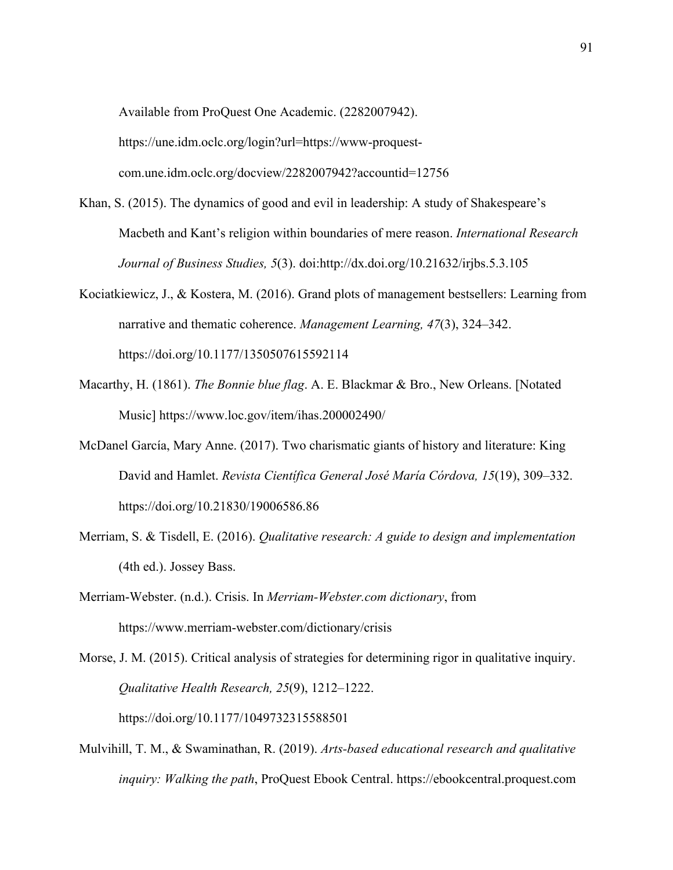Available from ProQuest One Academic. (2282007942). https://une.idm.oclc.org/login?url=https://www-proquestcom.une.idm.oclc.org/docview/2282007942?accountid=12756

- Khan, S. (2015). The dynamics of good and evil in leadership: A study of Shakespeare's Macbeth and Kant's religion within boundaries of mere reason. *International Research Journal of Business Studies, 5*(3). doi:http://dx.doi.org/10.21632/irjbs.5.3.105
- Kociatkiewicz, J., & Kostera, M. (2016). Grand plots of management bestsellers: Learning from narrative and thematic coherence. *Management Learning, 47*(3), 324–342. https://doi.org/10.1177/1350507615592114
- Macarthy, H. (1861). *The Bonnie blue flag*. A. E. Blackmar & Bro., New Orleans. [Notated Music] https://www.loc.gov/item/ihas.200002490/
- McDanel García, Mary Anne. (2017). Two charismatic giants of history and literature: King David and Hamlet. *Revista Científica General José María Córdova, 15*(19), 309–332. https://doi.org/10.21830/19006586.86
- Merriam, S. & Tisdell, E. (2016). *Qualitative research: A guide to design and implementation*  (4th ed.). Jossey Bass.
- Merriam-Webster. (n.d.). Crisis. In *Merriam-Webster.com dictionary*, from https://www.merriam-webster.com/dictionary/crisis
- Morse, J. M. (2015). Critical analysis of strategies for determining rigor in qualitative inquiry. *Qualitative Health Research, 25*(9), 1212–1222. https://doi.org/10.1177/1049732315588501
- Mulvihill, T. M., & Swaminathan, R. (2019). *Arts-based educational research and qualitative inquiry: Walking the path*, ProQuest Ebook Central. https://ebookcentral.proquest.com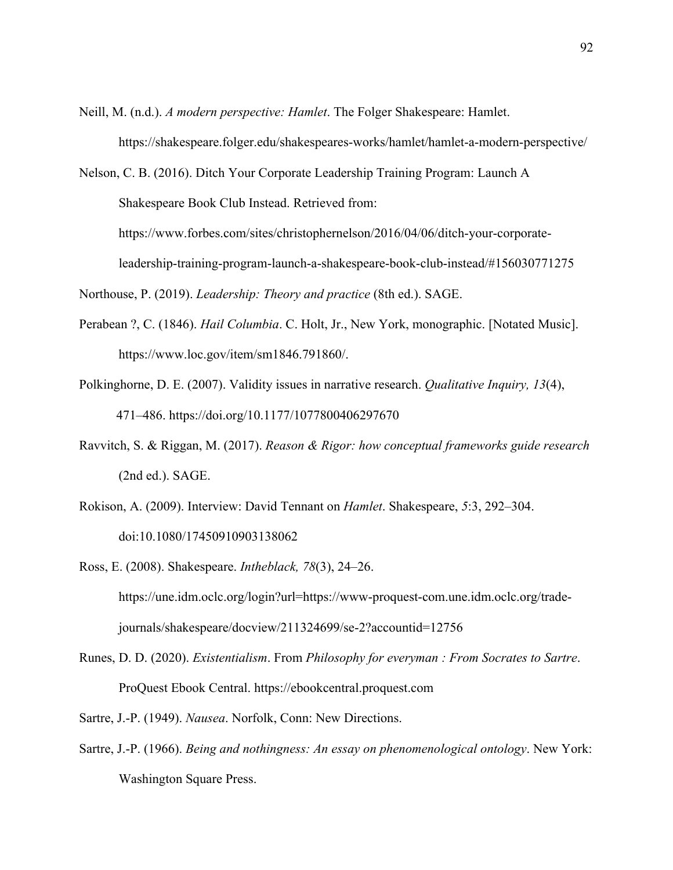Neill, M. (n.d.). *A modern perspective: Hamlet*. The Folger Shakespeare: Hamlet. https://shakespeare.folger.edu/shakespeares-works/hamlet/hamlet-a-modern-perspective/

Nelson, C. B. (2016). Ditch Your Corporate Leadership Training Program: Launch A Shakespeare Book Club Instead. Retrieved from: https://www.forbes.com/sites/christophernelson/2016/04/06/ditch-your-corporateleadership-training-program-launch-a-shakespeare-book-club-instead/#156030771275 Northouse, P. (2019). *Leadership: Theory and practice* (8th ed.). SAGE.

- Perabean ?, C. (1846). *Hail Columbia*. C. Holt, Jr., New York, monographic. [Notated Music]. https://www.loc.gov/item/sm1846.791860/.
- Polkinghorne, D. E. (2007). Validity issues in narrative research. *Qualitative Inquiry, 13*(4), 471–486. https://doi.org/10.1177/1077800406297670
- Ravvitch, S. & Riggan, M. (2017). *Reason & Rigor: how conceptual frameworks guide research* (2nd ed.). SAGE.
- Rokison, A. (2009). Interview: David Tennant on *Hamlet*. Shakespeare, *5*:3, 292–304. doi:10.1080/17450910903138062
- Ross, E. (2008). Shakespeare. *Intheblack, 78*(3), 24–26. https://une.idm.oclc.org/login?url=https://www-proquest-com.une.idm.oclc.org/tradejournals/shakespeare/docview/211324699/se-2?accountid=12756
- Runes, D. D. (2020). *Existentialism*. From *Philosophy for everyman : From Socrates to Sartre*. ProQuest Ebook Central. https://ebookcentral.proquest.com
- Sartre, J.-P. (1949). *Nausea*. Norfolk, Conn: New Directions.
- Sartre, J.-P. (1966). *Being and nothingness: An essay on phenomenological ontology*. New York: Washington Square Press.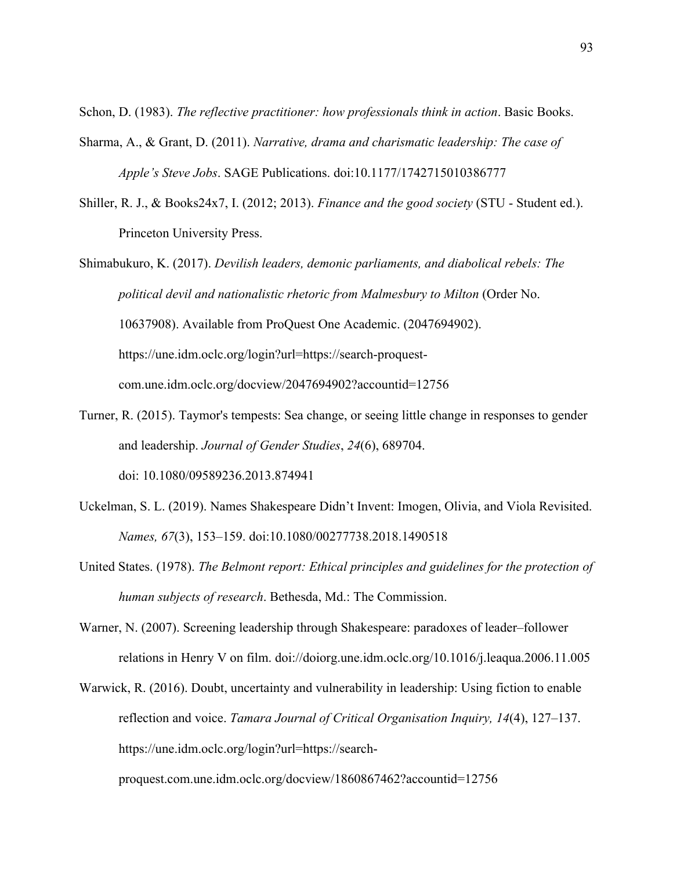Schon, D. (1983). *The reflective practitioner: how professionals think in action*. Basic Books.

- Sharma, A., & Grant, D. (2011). *Narrative, drama and charismatic leadership: The case of Apple's Steve Jobs*. SAGE Publications. doi:10.1177/1742715010386777
- Shiller, R. J., & Books24x7, I. (2012; 2013). *Finance and the good society* (STU Student ed.). Princeton University Press.
- Shimabukuro, K. (2017). *Devilish leaders, demonic parliaments, and diabolical rebels: The political devil and nationalistic rhetoric from Malmesbury to Milton* (Order No. 10637908). Available from ProQuest One Academic. (2047694902). https://une.idm.oclc.org/login?url=https://search-proquestcom.une.idm.oclc.org/docview/2047694902?accountid=12756
- Turner, R. (2015). Taymor's tempests: Sea change, or seeing little change in responses to gender and leadership. *Journal of Gender Studies*, *24*(6), 689704. doi: 10.1080/09589236.2013.874941
- Uckelman, S. L. (2019). Names Shakespeare Didn't Invent: Imogen, Olivia, and Viola Revisited. *Names, 67*(3), 153–159. doi:10.1080/00277738.2018.1490518
- United States. (1978). *The Belmont report: Ethical principles and guidelines for the protection of human subjects of research*. Bethesda, Md.: The Commission.
- Warner, N. (2007). Screening leadership through Shakespeare: paradoxes of leader–follower relations in Henry V on film. doi://doiorg.une.idm.oclc.org/10.1016/j.leaqua.2006.11.005
- Warwick, R. (2016). Doubt, uncertainty and vulnerability in leadership: Using fiction to enable reflection and voice. *Tamara Journal of Critical Organisation Inquiry, 14*(4), 127–137. https://une.idm.oclc.org/login?url=https://search-

proquest.com.une.idm.oclc.org/docview/1860867462?accountid=12756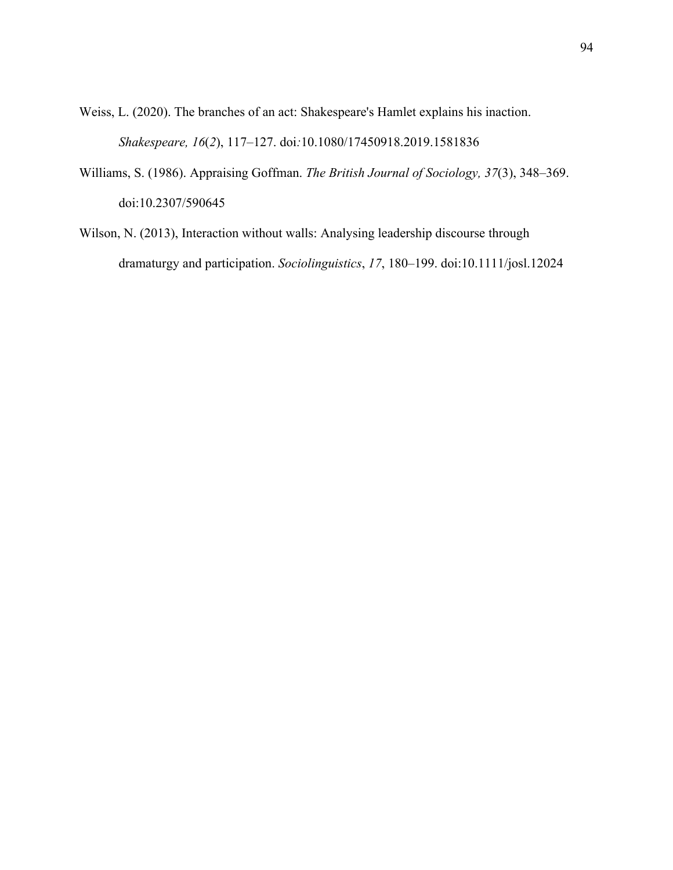Weiss, L. (2020). The branches of an act: Shakespeare's Hamlet explains his inaction. *Shakespeare, 16*(*2*), 117–127. doi*:*10.1080/17450918.2019.1581836

- Williams, S. (1986). Appraising Goffman. *The British Journal of Sociology, 37*(3), 348–369. doi:10.2307/590645
- Wilson, N. (2013), Interaction without walls: Analysing leadership discourse through dramaturgy and participation. *Sociolinguistics*, *17*, 180–199. doi:10.1111/josl.12024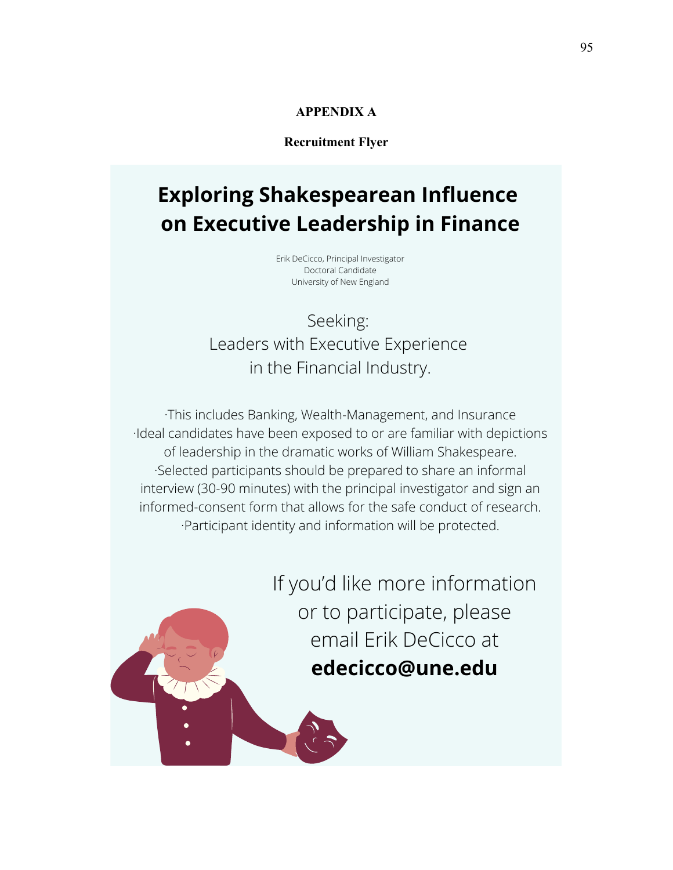# **APPENDIX A**

# **Recruitment Flyer**

# **Exploring Shakespearean Influence on Executive Leadership in Finance**

Erik DeCicco, Principal Investigator Doctoral Candidate University of New England

Seeking: Leaders with Executive Experience in the Financial Industry.

·This includes Banking, Wealth-Management, and Insurance ·Ideal candidates have been exposed to or are familiar with depictions of leadership in the dramatic works of William Shakespeare. ·Selected participants should be prepared to share an informal interview (30-90 minutes) with the principal investigator and sign an informed-consent form that allows for the safe conduct of research. ·Participant identity and information will be protected.

> If you'd like more information or to participate, please email Erik DeCicco at **edecicco@une.edu**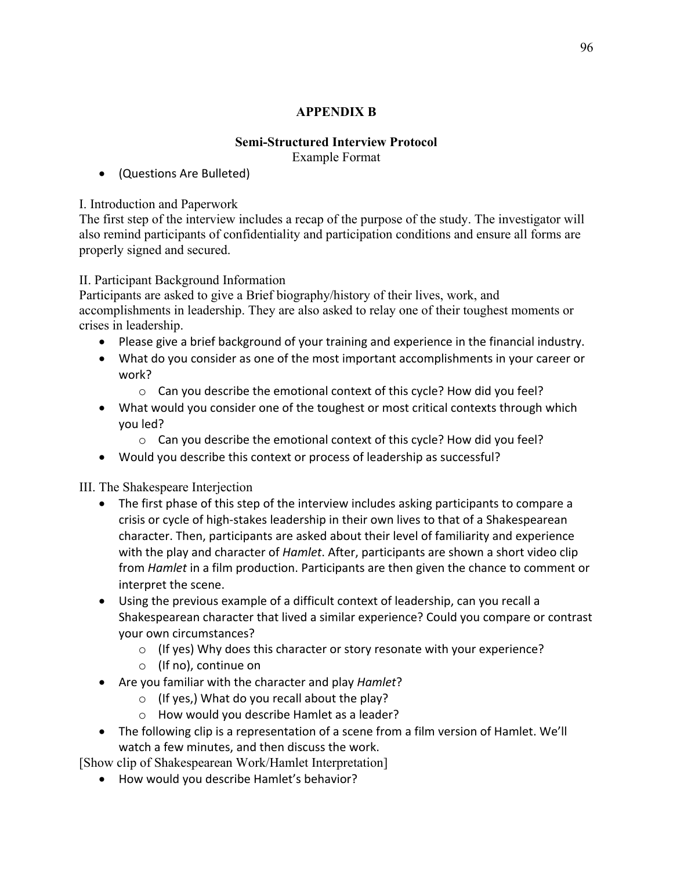# **APPENDIX B**

# **Semi-Structured Interview Protocol** Example Format

• (Questions Are Bulleted)

# I. Introduction and Paperwork

The first step of the interview includes a recap of the purpose of the study. The investigator will also remind participants of confidentiality and participation conditions and ensure all forms are properly signed and secured.

# II. Participant Background Information

Participants are asked to give a Brief biography/history of their lives, work, and accomplishments in leadership. They are also asked to relay one of their toughest moments or crises in leadership.

- Please give a brief background of your training and experience in the financial industry.
- What do you consider as one of the most important accomplishments in your career or work?
	- o Can you describe the emotional context of this cycle? How did you feel?
- What would you consider one of the toughest or most critical contexts through which you led?
	- o Can you describe the emotional context of this cycle? How did you feel?
- Would you describe this context or process of leadership as successful?

# III. The Shakespeare Interjection

- The first phase of this step of the interview includes asking participants to compare a crisis or cycle of high-stakes leadership in their own lives to that of a Shakespearean character. Then, participants are asked about their level of familiarity and experience with the play and character of *Hamlet*. After, participants are shown a short video clip from *Hamlet* in a film production. Participants are then given the chance to comment or interpret the scene.
- Using the previous example of a difficult context of leadership, can you recall a Shakespearean character that lived a similar experience? Could you compare or contrast your own circumstances?
	- o (If yes) Why does this character or story resonate with your experience?
	- o (If no), continue on
- Are you familiar with the character and play *Hamlet*?
	- o (If yes,) What do you recall about the play?
	- o How would you describe Hamlet as a leader?
- The following clip is a representation of a scene from a film version of Hamlet. We'll watch a few minutes, and then discuss the work.

[Show clip of Shakespearean Work/Hamlet Interpretation]

• How would you describe Hamlet's behavior?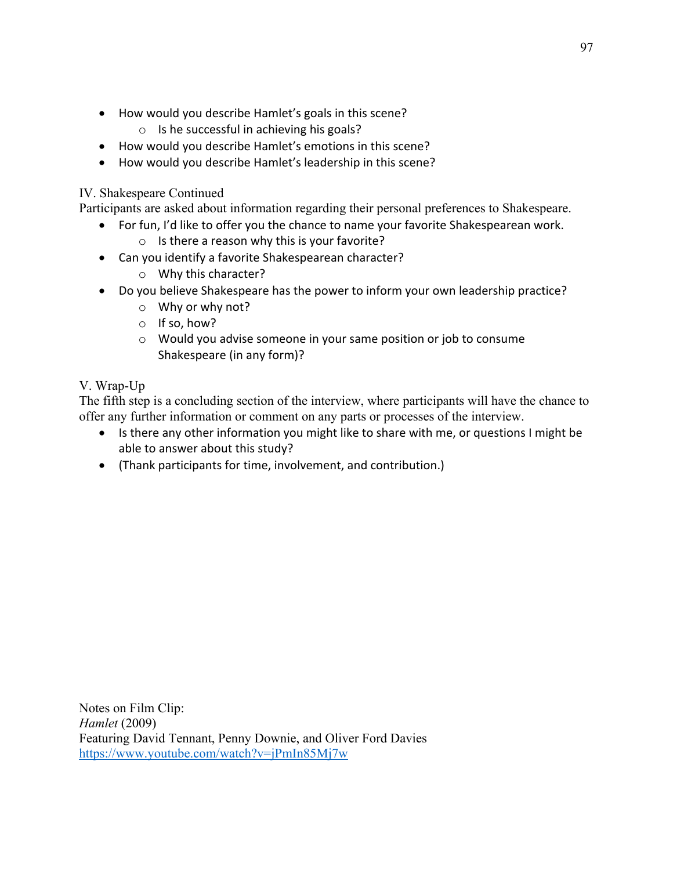- How would you describe Hamlet's goals in this scene?
	- o Is he successful in achieving his goals?
- How would you describe Hamlet's emotions in this scene?
- How would you describe Hamlet's leadership in this scene?

## IV. Shakespeare Continued

Participants are asked about information regarding their personal preferences to Shakespeare.

- For fun, I'd like to offer you the chance to name your favorite Shakespearean work.
	- o Is there a reason why this is your favorite?
- Can you identify a favorite Shakespearean character?
	- o Why this character?
- Do you believe Shakespeare has the power to inform your own leadership practice?
	- o Why or why not?
	- o If so, how?
	- o Would you advise someone in your same position or job to consume Shakespeare (in any form)?

## V. Wrap-Up

The fifth step is a concluding section of the interview, where participants will have the chance to offer any further information or comment on any parts or processes of the interview.

- Is there any other information you might like to share with me, or questions I might be able to answer about this study?
- (Thank participants for time, involvement, and contribution.)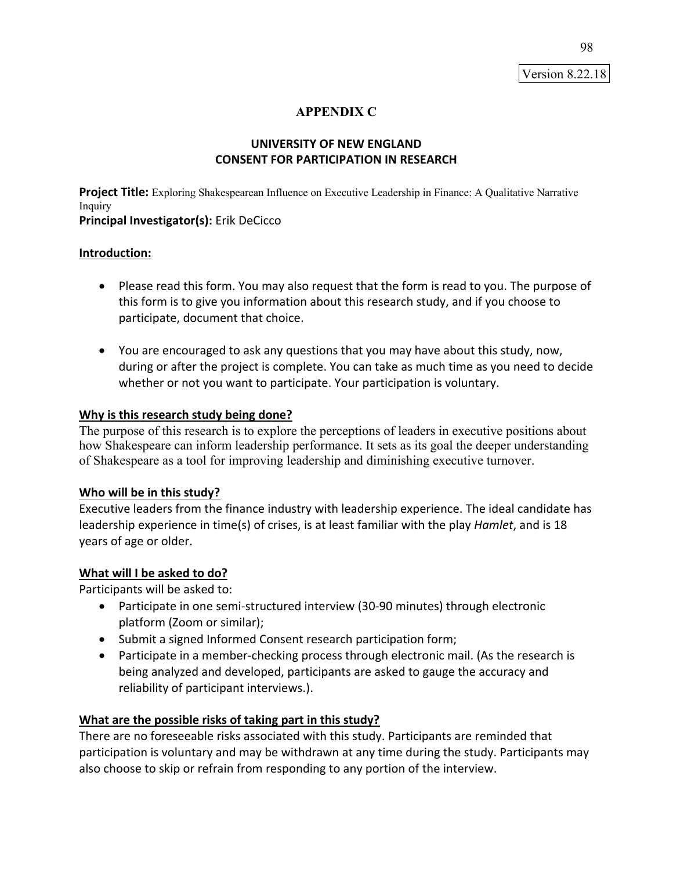Version 8.22.18

## **APPENDIX C**

## **UNIVERSITY OF NEW ENGLAND CONSENT FOR PARTICIPATION IN RESEARCH**

**Project Title:** Exploring Shakespearean Influence on Executive Leadership in Finance: A Qualitative Narrative Inquiry

**Principal Investigator(s):** Erik DeCicco

### **Introduction:**

- Please read this form. You may also request that the form is read to you. The purpose of this form is to give you information about this research study, and if you choose to participate, document that choice.
- You are encouraged to ask any questions that you may have about this study, now, during or after the project is complete. You can take as much time as you need to decide whether or not you want to participate. Your participation is voluntary.

#### **Why is this research study being done?**

The purpose of this research is to explore the perceptions of leaders in executive positions about how Shakespeare can inform leadership performance. It sets as its goal the deeper understanding of Shakespeare as a tool for improving leadership and diminishing executive turnover.

### **Who will be in this study?**

Executive leaders from the finance industry with leadership experience. The ideal candidate has leadership experience in time(s) of crises, is at least familiar with the play *Hamlet*, and is 18 years of age or older.

### **What will I be asked to do?**

Participants will be asked to:

- Participate in one semi-structured interview (30-90 minutes) through electronic platform (Zoom or similar);
- Submit a signed Informed Consent research participation form;
- Participate in a member-checking process through electronic mail. (As the research is being analyzed and developed, participants are asked to gauge the accuracy and reliability of participant interviews.).

### **What are the possible risks of taking part in this study?**

There are no foreseeable risks associated with this study. Participants are reminded that participation is voluntary and may be withdrawn at any time during the study. Participants may also choose to skip or refrain from responding to any portion of the interview.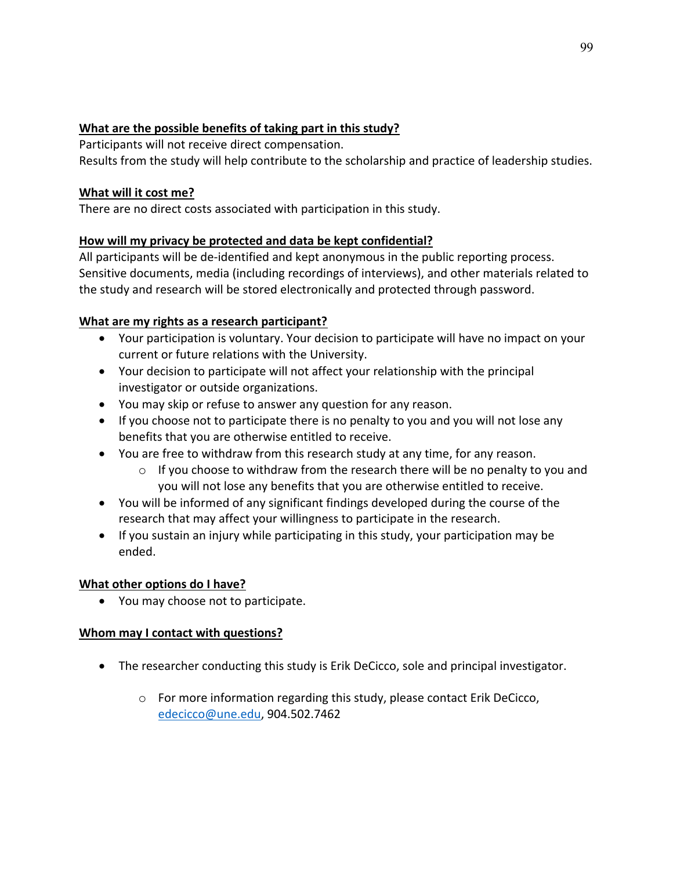## **What are the possible benefits of taking part in this study?**

Participants will not receive direct compensation.

Results from the study will help contribute to the scholarship and practice of leadership studies.

## **What will it cost me?**

There are no direct costs associated with participation in this study.

# **How will my privacy be protected and data be kept confidential?**

All participants will be de-identified and kept anonymous in the public reporting process. Sensitive documents, media (including recordings of interviews), and other materials related to the study and research will be stored electronically and protected through password.

# **What are my rights as a research participant?**

- Your participation is voluntary. Your decision to participate will have no impact on your current or future relations with the University.
- Your decision to participate will not affect your relationship with the principal investigator or outside organizations.
- You may skip or refuse to answer any question for any reason.
- If you choose not to participate there is no penalty to you and you will not lose any benefits that you are otherwise entitled to receive.
- You are free to withdraw from this research study at any time, for any reason.
	- $\circ$  If you choose to withdraw from the research there will be no penalty to you and you will not lose any benefits that you are otherwise entitled to receive.
- You will be informed of any significant findings developed during the course of the research that may affect your willingness to participate in the research.
- If you sustain an injury while participating in this study, your participation may be ended.

## **What other options do I have?**

• You may choose not to participate.

## **Whom may I contact with questions?**

- The researcher conducting this study is Erik DeCicco, sole and principal investigator.
	- o For more information regarding this study, please contact Erik DeCicco, edecicco@une.edu, 904.502.7462